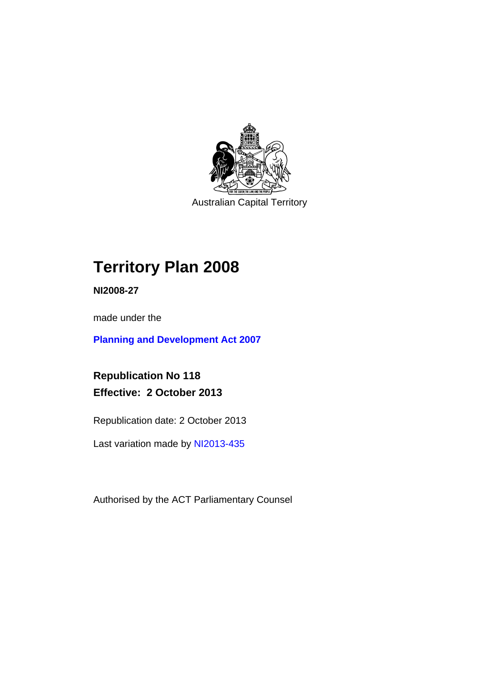

Australian Capital Territory

# **Territory Plan 2008**

**NI2008-27** 

made under the

**[Planning and Development Act 2007](http://www.legislation.act.gov.au/a/2007-24/default.asp)**

**Republication No 118 Effective: 2 October 2013** 

Republication date: 2 October 2013

Last variation made by [NI2013-435](http://www.legislation.act.gov.au/ni/2013-435/default.asp)

Authorised by the ACT Parliamentary Counsel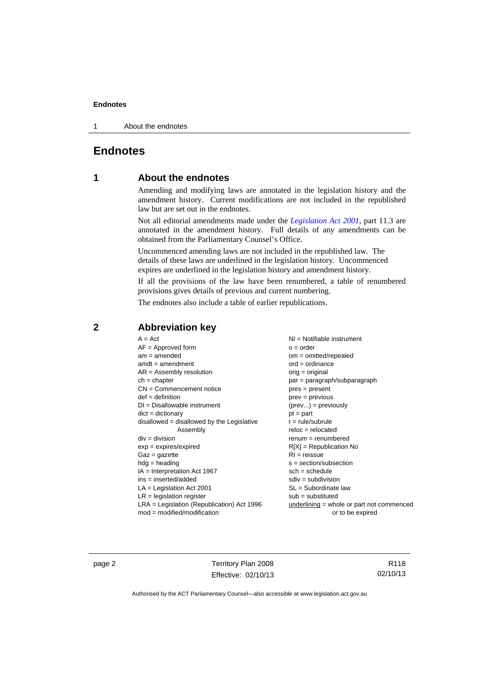1 About the endnotes

# **Endnotes**

# **1 About the endnotes**

Amending and modifying laws are annotated in the legislation history and the amendment history. Current modifications are not included in the republished law but are set out in the endnotes.

Not all editorial amendments made under the *[Legislation Act 2001](http://www.legislation.act.gov.au/a/2001-14/default.asp)*, part 11.3 are annotated in the amendment history. Full details of any amendments can be obtained from the Parliamentary Counsel's Office.

Uncommenced amending laws are not included in the republished law. The details of these laws are underlined in the legislation history. Uncommenced expires are underlined in the legislation history and amendment history.

If all the provisions of the law have been renumbered, a table of renumbered provisions gives details of previous and current numbering.

The endnotes also include a table of earlier republications.

| $A = Act$                                    | $NI =$ Notifiable instrument              |
|----------------------------------------------|-------------------------------------------|
| $AF =$ Approved form                         | $o = order$                               |
| $am = amended$                               | $om = omitted/repealed$                   |
| $amdt = amendment$                           | $ord = ordinance$                         |
| $AR = Assembly resolution$                   | $orig = original$                         |
| $ch = chapter$                               | par = paragraph/subparagraph              |
| $CN =$ Commencement notice                   | $pres = present$                          |
| $def = definition$                           | prev = previous                           |
| $DI = Disallowable instrument$               | $(\text{prev}) = \text{previously}$       |
| $dict = dictionary$                          | $pt = part$                               |
| disallowed = disallowed by the Legislative   | $r = rule/subrule$                        |
| Assembly                                     | $reloc = relocated$                       |
| $div = division$                             | $remum = renumbered$                      |
| $exp = expires/expired$                      | $R[X]$ = Republication No                 |
| $Gaz = gazette$                              | $RI =$ reissue                            |
| $h dq =$ heading                             | $s = section/subsection$                  |
| $IA = Interpretation Act 1967$               | $sch = schedule$                          |
| $ins = inserted/added$                       | $sdiv = subdivision$                      |
| $LA =$ Legislation Act 2001                  | $SL = Subordinate$ law                    |
| $LR =$ legislation register                  | $sub =$ substituted                       |
| $LRA =$ Legislation (Republication) Act 1996 | underlining = whole or part not commenced |
| $mod = modified/modification$                | or to be expired                          |
|                                              |                                           |

# **2 Abbreviation key**

page 2 Territory Plan 2008 Effective: 02/10/13

R118 02/10/13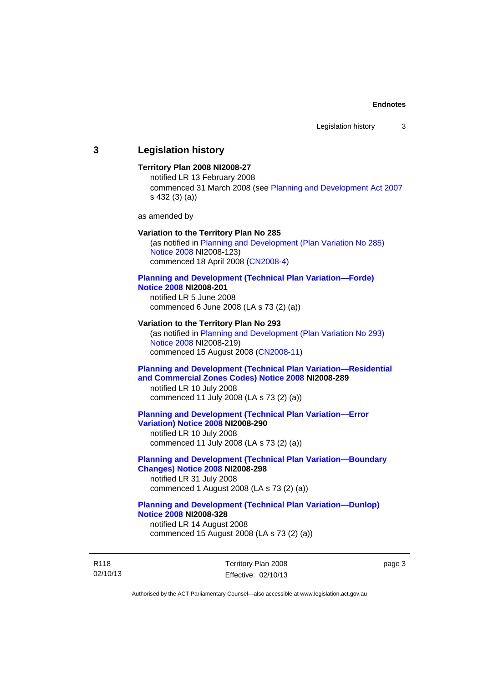### **3 Legislation history**

#### **Territory Plan 2008 NI2008-27**

notified LR 13 February 2008 commenced 31 March 2008 (see [Planning and Development Act 2007](http://www.legislation.act.gov.au/a/2007-24/default.asp) s 432 (3) (a))

as amended by

#### **Variation to the Territory Plan No 285**

(as notified in [Planning and Development \(Plan Variation No 285\)](http://www.legislation.act.gov.au/ni/2008-123/)  [Notice 2008](http://www.legislation.act.gov.au/ni/2008-123/) NI2008-123) commenced 18 April 2008 [\(CN2008-4\)](http://www.legislation.act.gov.au/cn/2008-4/)

#### **[Planning and Development \(Technical Plan Variation—Forde\)](http://www.legislation.act.gov.au/ni/2008-201/)  [Notice 2008](http://www.legislation.act.gov.au/ni/2008-201/) NI2008-201**

notified LR 5 June 2008 commenced 6 June 2008 (LA s 73 (2) (a))

#### **Variation to the Territory Plan No 293**

(as notified in [Planning and Development \(Plan Variation No 293\)](http://www.legislation.act.gov.au/ni/2008-219/)  [Notice 2008](http://www.legislation.act.gov.au/ni/2008-219/) NI2008-219) commenced 15 August 2008 [\(CN2008-11\)](http://www.legislation.act.gov.au/cn/2008-11/)

### **[Planning and Development \(Technical Plan Variation—Residential](http://www.legislation.act.gov.au/ni/2008-289/)  [and Commercial Zones Codes\) Notice 2008](http://www.legislation.act.gov.au/ni/2008-289/) NI2008-289**

notified LR 10 July 2008 commenced 11 July 2008 (LA s 73 (2) (a))

#### **[Planning and Development \(Technical Plan Variation—Error](http://www.legislation.act.gov.au/ni/2008-290/)  [Variation\) Notice 2008](http://www.legislation.act.gov.au/ni/2008-290/) NI2008-290**

notified LR 10 July 2008 commenced 11 July 2008 (LA s 73 (2) (a))

#### **[Planning and Development \(Technical Plan Variation—Boundary](http://www.legislation.act.gov.au/ni/2008-298/)  [Changes\) Notice 2008](http://www.legislation.act.gov.au/ni/2008-298/) NI2008-298**  notified LR 31 July 2008

commenced 1 August 2008 (LA s 73 (2) (a))

### **[Planning and Development \(Technical Plan Variation—Dunlop\)](http://www.legislation.act.gov.au/ni/2008-328/)  [Notice 2008](http://www.legislation.act.gov.au/ni/2008-328/) NI2008-328**

notified LR 14 August 2008 commenced 15 August 2008 (LA s 73 (2) (a))

R118 02/10/13 Territory Plan 2008 Effective: 02/10/13 page 3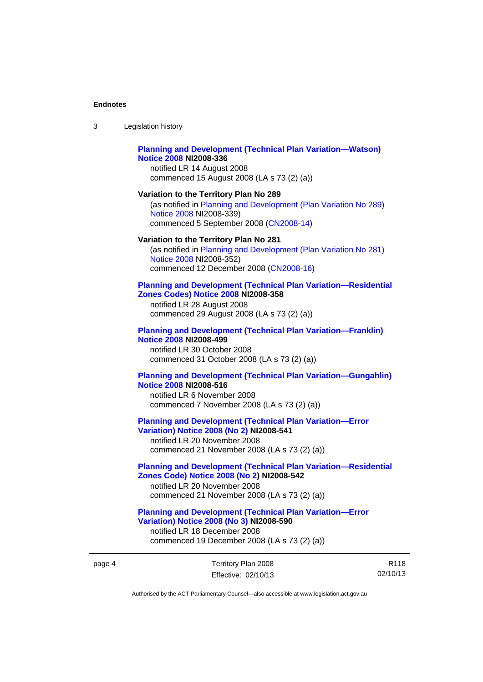$3<sub>l</sub>$ 

| 3      | Legislation history                                                                                                                                                                                |
|--------|----------------------------------------------------------------------------------------------------------------------------------------------------------------------------------------------------|
|        | <b>Planning and Development (Technical Plan Variation-Watson)</b><br><b>Notice 2008 NI2008-336</b><br>notified LR 14 August 2008<br>commenced 15 August 2008 (LA s 73 (2) (a))                     |
|        | Variation to the Territory Plan No 289<br>(as notified in Planning and Development (Plan Variation No 289)<br>Notice 2008 NI2008-339)<br>commenced 5 September 2008 (CN2008-14)                    |
|        | Variation to the Territory Plan No 281<br>(as notified in Planning and Development (Plan Variation No 281)<br>Notice 2008 NI2008-352)<br>commenced 12 December 2008 (CN2008-16)                    |
|        | <b>Planning and Development (Technical Plan Variation-Residenti</b><br>Zones Codes) Notice 2008 NI2008-358<br>notified LR 28 August 2008<br>commenced 29 August 2008 (LA s 73 (2) (a))             |
|        | <b>Planning and Development (Technical Plan Variation-Franklin)</b><br><b>Notice 2008 NI2008-499</b><br>notified LR 30 October 2008<br>commenced 31 October 2008 (LA s 73 (2) (a))                 |
|        | <b>Planning and Development (Technical Plan Variation-Gungahli</b><br><b>Notice 2008 NI2008-516</b><br>notified LR 6 November 2008<br>commenced 7 November 2008 (LA s 73 (2) (a))                  |
|        | <b>Planning and Development (Technical Plan Variation-Error</b><br><b>Variation) Notice 2008 (No 2) NI2008-541</b><br>notified LR 20 November 2008<br>commenced 21 November 2008 (LA s 73 (2) (a)) |
|        | <b>Planning and Development (Technical Plan Variation-Residenti</b><br>Zones Code) Notice 2008 (No 2) NI2008-542<br>notified LR 20 November 2008<br>commenced 21 November 2008 (LA s 73 (2) (a))   |
|        | <b>Planning and Development (Technical Plan Variation-Error</b><br><b>Variation) Notice 2008 (No 3) NI2008-590</b><br>notified LR 18 December 2008<br>commenced 19 December 2008 (LA s 73 (2) (a)) |
| page 4 | Territory Plan 2008<br>02<br>Effective: 02/10/13                                                                                                                                                   |
|        |                                                                                                                                                                                                    |

R118 02/10/13

**Variation—Residential** 

**Variation—Gungahlin)** 

**Variation—Residential**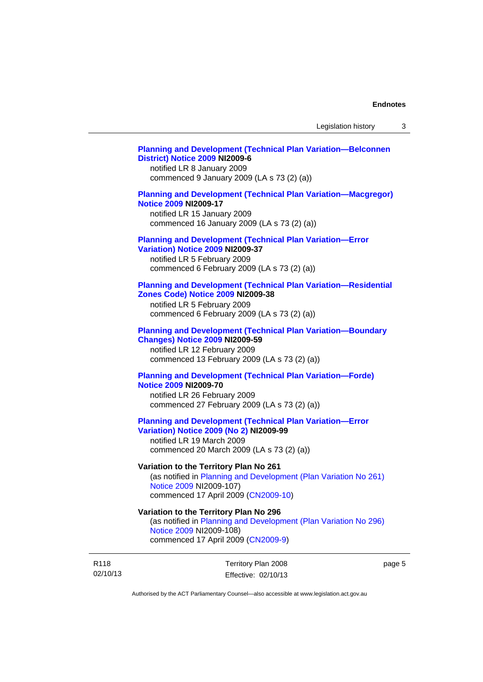#### **[Planning and Development \(Technical Plan Variation—Belconnen](http://www.legislation.act.gov.au/ni/2009-6/)  [District\) Notice 2009](http://www.legislation.act.gov.au/ni/2009-6/) NI2009-6**

notified LR 8 January 2009 commenced 9 January 2009 (LA s 73 (2) (a))

### **[Planning and Development \(Technical Plan Variation—Macgregor\)](http://www.legislation.act.gov.au/ni/2009-17/)  [Notice 2009](http://www.legislation.act.gov.au/ni/2009-17/) NI2009-17**

notified LR 15 January 2009 commenced 16 January 2009 (LA s 73 (2) (a))

# **[Planning and Development \(Technical Plan Variation—Error](http://www.legislation.act.gov.au/ni/2009-37/)**

**[Variation\) Notice 2009](http://www.legislation.act.gov.au/ni/2009-37/) NI2009-37** 

notified LR 5 February 2009 commenced 6 February 2009 (LA s 73 (2) (a))

#### **[Planning and Development \(Technical Plan Variation—Residential](http://www.legislation.act.gov.au/ni/2009-38/)  [Zones Code\) Notice 2009](http://www.legislation.act.gov.au/ni/2009-38/) NI2009-38**

notified LR 5 February 2009 commenced 6 February 2009 (LA s 73 (2) (a))

#### **[Planning and Development \(Technical Plan Variation—Boundary](http://www.legislation.act.gov.au/ni/2009-59/)  [Changes\) Notice 2009](http://www.legislation.act.gov.au/ni/2009-59/) NI2009-59**

notified LR 12 February 2009 commenced 13 February 2009 (LA s 73 (2) (a))

### **[Planning and Development \(Technical Plan Variation—Forde\)](http://www.legislation.act.gov.au/ni/2009-70/)  [Notice 2009](http://www.legislation.act.gov.au/ni/2009-70/) NI2009-70**

notified LR 26 February 2009 commenced 27 February 2009 (LA s 73 (2) (a))

### **[Planning and Development \(Technical Plan Variation—Error](http://www.legislation.act.gov.au/ni/2009-99/)  [Variation\) Notice 2009 \(No 2\)](http://www.legislation.act.gov.au/ni/2009-99/) NI2009-99**

notified LR 19 March 2009 commenced 20 March 2009 (LA s 73 (2) (a))

### **Variation to the Territory Plan No 261**

(as notified in [Planning and Development \(Plan Variation No 261\)](http://www.legislation.act.gov.au/ni/2009-107/)  [Notice 2009](http://www.legislation.act.gov.au/ni/2009-107/) NI2009-107) commenced 17 April 2009 [\(CN2009-10\)](http://www.legislation.act.gov.au/cn/2009-10/)

### **Variation to the Territory Plan No 296**

(as notified in [Planning and Development \(Plan Variation No 296\)](http://www.legislation.act.gov.au/ni/2009-108/)  [Notice 2009](http://www.legislation.act.gov.au/ni/2009-108/) NI2009-108) commenced 17 April 2009 [\(CN2009-9\)](http://www.legislation.act.gov.au/cn/2009-9/)

R118 02/10/13 Territory Plan 2008 Effective: 02/10/13 page 5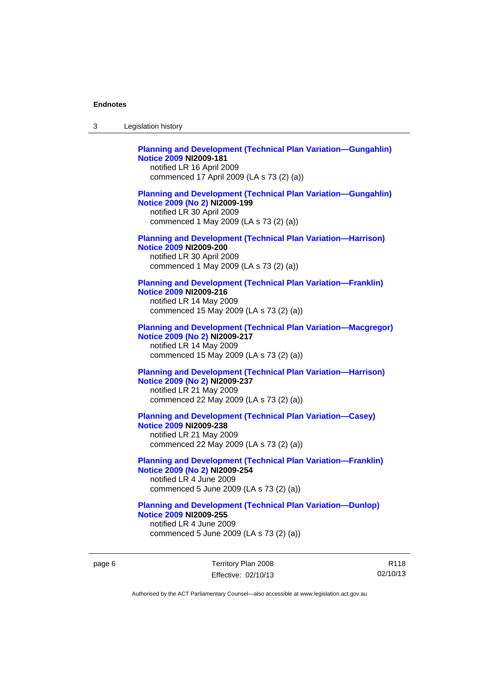| 3 | Legislation history                                                                                                                                                             |
|---|---------------------------------------------------------------------------------------------------------------------------------------------------------------------------------|
|   | <b>Planning and Development (Technical Plan Variation-Gungahlin)</b><br><b>Notice 2009 NI2009-181</b><br>notified LR 16 April 2009<br>commenced 17 April 2009 (LA s 73 (2) (a)) |
|   | <b>Planning and Development (Technical Plan Variation-Gungahlin)</b><br>Notice 2009 (No 2) NI2009-199<br>notified LR 30 April 2009<br>commenced 1 May 2009 (LA s 73 (2) (a))    |
|   | <b>Planning and Development (Technical Plan Variation-Harrison)</b><br><b>Notice 2009 NI2009-200</b><br>notified LR 30 April 2009<br>commenced 1 May 2009 (LA s 73 (2) (a))     |
|   | <b>Planning and Development (Technical Plan Variation-Franklin)</b><br><b>Notice 2009 NI2009-216</b><br>notified LR 14 May 2009<br>commenced 15 May 2009 (LA s 73 (2) (a))      |
|   | <b>Planning and Development (Technical Plan Variation-Macgregor)</b><br>Notice 2009 (No 2) NI2009-217<br>notified LR 14 May 2009<br>commenced 15 May 2009 (LA s 73 (2) (a))     |
|   | <b>Planning and Development (Technical Plan Variation-Harrison)</b><br>Notice 2009 (No 2) NI2009-237<br>notified LR 21 May 2009<br>commenced 22 May 2009 (LA s 73 (2) (a))      |
|   | <b>Planning and Development (Technical Plan Variation-Casey)</b><br><b>Notice 2009 NI2009-238</b><br>notified LR 21 May 2009<br>commenced 22 May 2009 (LA s 73 (2) (a))         |
|   | <b>Planning and Development (Technical Plan Variation-Franklin)</b><br>Notice 2009 (No 2) NI2009-254<br>notified LR 4 June 2009<br>commenced 5 June 2009 (LA s 73 (2) (a))      |
|   | <b>Planning and Development (Technical Plan Variation-Dunlop)</b><br><b>Notice 2009 NI2009-255</b><br>notified LR 4 June 2009<br>commenced 5 June 2009 (LA s 73 (2) (a))        |

page 6 Territory Plan 2008 Effective: 02/10/13

R118 02/10/13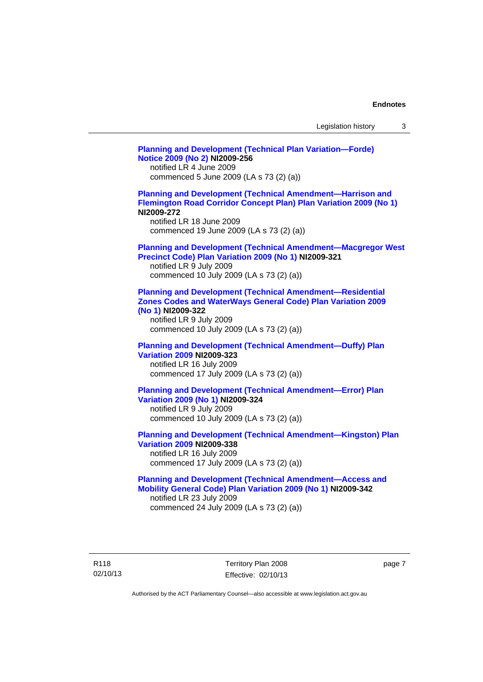| Legislation history |  |  |
|---------------------|--|--|
|---------------------|--|--|

**[Planning and Development \(Technical Plan Variation—Forde\)](http://www.legislation.act.gov.au/ni/2009-256/)  [Notice 2009 \(No 2\)](http://www.legislation.act.gov.au/ni/2009-256/) NI2009-256**  notified LR 4 June 2009 commenced 5 June 2009 (LA s 73 (2) (a)) **[Planning and Development \(Technical Amendment—Harrison and](http://www.legislation.act.gov.au/ni/2009-272/)  [Flemington Road Corridor Concept Plan\) Plan Variation 2009 \(No 1\)](http://www.legislation.act.gov.au/ni/2009-272/) NI2009-272**  notified LR 18 June 2009 commenced 19 June 2009 (LA s 73 (2) (a)) **[Planning and Development \(Technical Amendment—Macgregor West](http://www.legislation.act.gov.au/ni/2009-321/)  [Precinct Code\) Plan Variation 2009 \(No 1\)](http://www.legislation.act.gov.au/ni/2009-321/) NI2009-321**  notified LR 9 July 2009 commenced 10 July 2009 (LA s 73 (2) (a)) **[Planning and Development \(Technical Amendment—Residential](http://www.legislation.act.gov.au/ni/2009-322/)  [Zones Codes and WaterWays General Code\) Plan Variation 2009](http://www.legislation.act.gov.au/ni/2009-322/)  [\(No 1\)](http://www.legislation.act.gov.au/ni/2009-322/) NI2009-322**  notified LR 9 July 2009 commenced 10 July 2009 (LA s 73 (2) (a)) **[Planning and Development \(Technical Amendment—Duffy\) Plan](http://www.legislation.act.gov.au/ni/2009-323/)  [Variation 2009](http://www.legislation.act.gov.au/ni/2009-323/) NI2009-323**  notified LR 16 July 2009 commenced 17 July 2009 (LA s 73 (2) (a)) **[Planning and Development \(Technical Amendment—Error\) Plan](http://www.legislation.act.gov.au/ni/2009-324/)  [Variation 2009 \(No 1\)](http://www.legislation.act.gov.au/ni/2009-324/) NI2009-324**  notified LR 9 July 2009 commenced 10 July 2009 (LA s 73 (2) (a)) **[Planning and Development \(Technical Amendment—Kingston\) Plan](http://www.legislation.act.gov.au/ni/2009-338/)  [Variation 2009](http://www.legislation.act.gov.au/ni/2009-338/) NI2009-338**  notified LR 16 July 2009 commenced 17 July 2009 (LA s 73 (2) (a)) **[Planning and Development \(Technical Amendment—Access and](http://www.legislation.act.gov.au/ni/2009-342/)  [Mobility General Code\) Plan Variation 2009 \(No 1\)](http://www.legislation.act.gov.au/ni/2009-342/) NI2009-342**  notified LR 23 July 2009 commenced 24 July 2009 (LA s 73 (2) (a))

R118 02/10/13 Territory Plan 2008 Effective: 02/10/13 page 7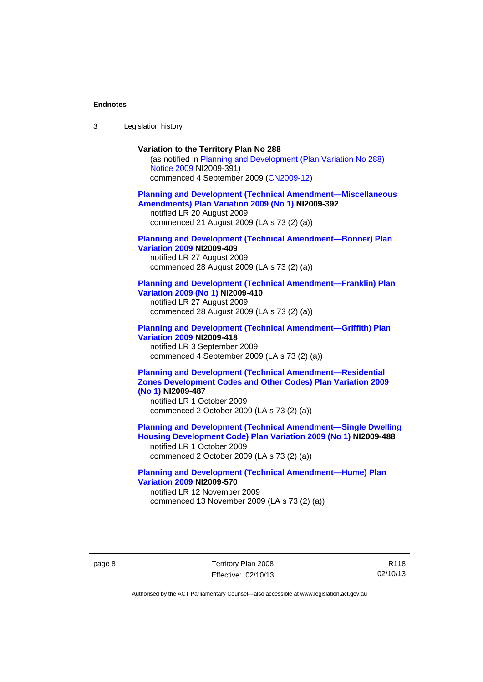3 Legislation history

#### **Variation to the Territory Plan No 288**

(as notified in [Planning and Development \(Plan Variation No 288\)](http://www.legislation.act.gov.au/ni/2009-391/)  [Notice 2009](http://www.legislation.act.gov.au/ni/2009-391/) NI2009-391) commenced 4 September 2009 ([CN2009-12\)](http://www.legislation.act.gov.au/cn/2009-12/)

#### **[Planning and Development \(Technical Amendment—Miscellaneous](http://www.legislation.act.gov.au/ni/2009-392/)  [Amendments\) Plan Variation 2009 \(No 1\)](http://www.legislation.act.gov.au/ni/2009-392/) NI2009-392**  notified LR 20 August 2009

commenced 21 August 2009 (LA s 73 (2) (a))

### **[Planning and Development \(Technical Amendment—Bonner\) Plan](http://www.legislation.act.gov.au/ni/2009-409/)  [Variation 2009](http://www.legislation.act.gov.au/ni/2009-409/) NI2009-409**

notified LR 27 August 2009 commenced 28 August 2009 (LA s 73 (2) (a))

#### **[Planning and Development \(Technical Amendment—Franklin\) Plan](http://www.legislation.act.gov.au/ni/2009-410/)  [Variation 2009 \(No 1\)](http://www.legislation.act.gov.au/ni/2009-410/) NI2009-410**

notified LR 27 August 2009 commenced 28 August 2009 (LA s 73 (2) (a))

#### **[Planning and Development \(Technical Amendment—Griffith\) Plan](http://www.legislation.act.gov.au/ni/2009-418/)  [Variation 2009](http://www.legislation.act.gov.au/ni/2009-418/) NI2009-418**  notified LR 3 September 2009

commenced 4 September 2009 (LA s 73 (2) (a))

### **[Planning and Development \(Technical Amendment—Residential](http://www.legislation.act.gov.au/ni/2009-487/)  [Zones Development Codes and Other Codes\) Plan Variation 2009](http://www.legislation.act.gov.au/ni/2009-487/)  [\(No 1\)](http://www.legislation.act.gov.au/ni/2009-487/) NI2009-487**

notified LR 1 October 2009 commenced 2 October 2009 (LA s 73 (2) (a))

**[Planning and Development \(Technical Amendment—Single Dwelling](http://www.legislation.act.gov.au/ni/2009-488/)  [Housing Development Code\) Plan Variation 2009 \(No 1\)](http://www.legislation.act.gov.au/ni/2009-488/) NI2009-488** 

notified LR 1 October 2009 commenced 2 October 2009 (LA s 73 (2) (a))

### **[Planning and Development \(Technical Amendment—Hume\) Plan](http://www.legislation.act.gov.au/ni/2009-570/)  [Variation 2009](http://www.legislation.act.gov.au/ni/2009-570/) NI2009-570**

notified LR 12 November 2009 commenced 13 November 2009 (LA s 73 (2) (a))

page 8 Territory Plan 2008 Effective: 02/10/13

R118 02/10/13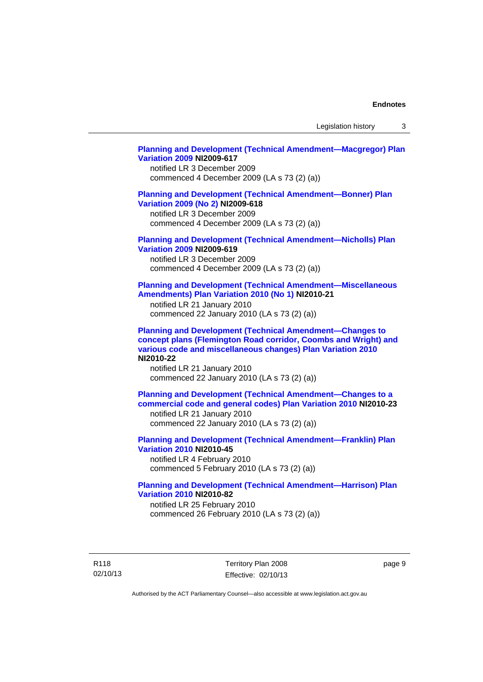Legislation history 3

#### **[Planning and Development \(Technical Amendment—Macgregor\) Plan](http://www.legislation.act.gov.au/ni/2009-617/)  [Variation 2009](http://www.legislation.act.gov.au/ni/2009-617/) NI2009-617**

notified LR 3 December 2009 commenced 4 December 2009 (LA s 73 (2) (a))

### **[Planning and Development \(Technical Amendment—Bonner\) Plan](http://www.legislation.act.gov.au/ni/2009-618/)  [Variation 2009 \(No 2\)](http://www.legislation.act.gov.au/ni/2009-618/) NI2009-618**

notified LR 3 December 2009 commenced 4 December 2009 (LA s 73 (2) (a))

### **[Planning and Development \(Technical Amendment—Nicholls\) Plan](http://www.legislation.act.gov.au/ni/2009-619/)  [Variation 2009](http://www.legislation.act.gov.au/ni/2009-619/) NI2009-619**

notified LR 3 December 2009 commenced 4 December 2009 (LA s 73 (2) (a))

#### **[Planning and Development \(Technical Amendment—Miscellaneous](http://www.legislation.act.gov.au/ni/2010-21/)  [Amendments\) Plan Variation 2010 \(No 1\)](http://www.legislation.act.gov.au/ni/2010-21/) NI2010-21**

notified LR 21 January 2010 commenced 22 January 2010 (LA s 73 (2) (a))

**[Planning and Development \(Technical Amendment—Changes to](http://www.legislation.act.gov.au/ni/2010-22/)  [concept plans \(Flemington Road corridor, Coombs and Wright\) and](http://www.legislation.act.gov.au/ni/2010-22/)  [various code and miscellaneous changes\) Plan Variation 2010](http://www.legislation.act.gov.au/ni/2010-22/) NI2010-22** 

notified LR 21 January 2010 commenced 22 January 2010 (LA s 73 (2) (a))

**[Planning and Development \(Technical Amendment—Changes to a](http://www.legislation.act.gov.au/ni/2010-23/)  [commercial code and general codes\) Plan Variation 2010](http://www.legislation.act.gov.au/ni/2010-23/) NI2010-23**  notified LR 21 January 2010

commenced 22 January 2010 (LA s 73 (2) (a))

**[Planning and Development \(Technical Amendment—Franklin\) Plan](http://www.legislation.act.gov.au/ni/2010-45/)  [Variation 2010](http://www.legislation.act.gov.au/ni/2010-45/) NI2010-45**  notified LR 4 February 2010 commenced 5 February 2010 (LA s 73 (2) (a))

### **[Planning and Development \(Technical Amendment—Harrison\) Plan](http://www.legislation.act.gov.au/ni/2010-82/)  [Variation 2010](http://www.legislation.act.gov.au/ni/2010-82/) NI2010-82**

notified LR 25 February 2010 commenced 26 February 2010 (LA s 73 (2) (a))

R118 02/10/13 Territory Plan 2008 Effective: 02/10/13 page 9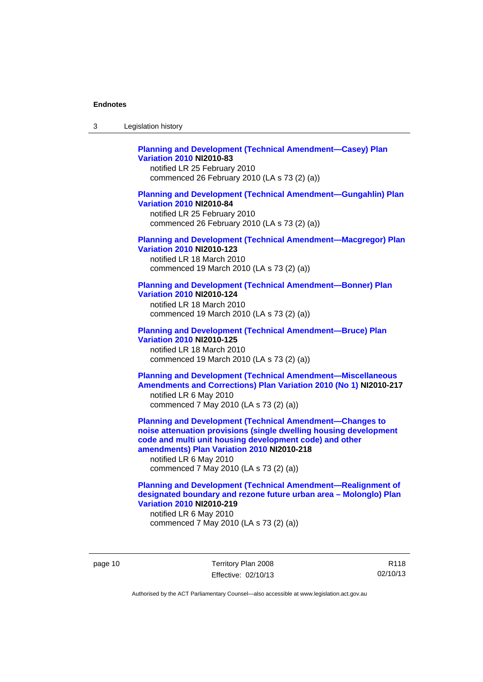| 3 | Legislation history |  |
|---|---------------------|--|
|---|---------------------|--|

### **[Planning and Development \(Technical Amendment—Casey\) Plan](http://www.legislation.act.gov.au/ni/2010-83/)  [Variation 2010](http://www.legislation.act.gov.au/ni/2010-83/) NI2010-83**

notified LR 25 February 2010 commenced 26 February 2010 (LA s 73 (2) (a))

#### **[Planning and Development \(Technical Amendment—Gungahlin\) Plan](http://www.legislation.act.gov.au/ni/2010-84/)  [Variation 2010](http://www.legislation.act.gov.au/ni/2010-84/) NI2010-84**

notified LR 25 February 2010 commenced 26 February 2010 (LA s 73 (2) (a))

#### **[Planning and Development \(Technical Amendment—Macgregor\) Plan](http://www.legislation.act.gov.au/ni/2010-123/)  [Variation 2010](http://www.legislation.act.gov.au/ni/2010-123/) NI2010-123**

notified LR 18 March 2010 commenced 19 March 2010 (LA s 73 (2) (a))

# **[Planning and Development \(Technical Amendment—Bonner\) Plan](http://www.legislation.act.gov.au/ni/2010-124/)**

**[Variation 2010](http://www.legislation.act.gov.au/ni/2010-124/) NI2010-124**  notified LR 18 March 2010 commenced 19 March 2010 (LA s 73 (2) (a))

#### **[Planning and Development \(Technical Amendment—Bruce\) Plan](http://www.legislation.act.gov.au/ni/2010-125/)  [Variation 2010](http://www.legislation.act.gov.au/ni/2010-125/) NI2010-125**

notified LR 18 March 2010 commenced 19 March 2010 (LA s 73 (2) (a))

### **[Planning and Development \(Technical Amendment—Miscellaneous](http://www.legislation.act.gov.au/ni/2010-217/)  [Amendments and Corrections\) Plan Variation 2010 \(No 1\)](http://www.legislation.act.gov.au/ni/2010-217/) NI2010-217**  notified LR 6 May 2010 commenced 7 May 2010 (LA s 73 (2) (a))

**[Planning and Development \(Technical Amendment—Changes to](http://www.legislation.act.gov.au/ni/2010-218/)  [noise attenuation provisions \(single dwelling housing development](http://www.legislation.act.gov.au/ni/2010-218/)  [code and multi unit housing development code\) and other](http://www.legislation.act.gov.au/ni/2010-218/)  [amendments\) Plan Variation 2010](http://www.legislation.act.gov.au/ni/2010-218/) NI2010-218** 

notified LR 6 May 2010 commenced 7 May 2010 (LA s 73 (2) (a))

### **[Planning and Development \(Technical Amendment—Realignment of](http://www.legislation.act.gov.au/ni/2010-219/)  [designated boundary and rezone future urban area – Molonglo\) Plan](http://www.legislation.act.gov.au/ni/2010-219/)  [Variation 2010](http://www.legislation.act.gov.au/ni/2010-219/) NI2010-219**

notified LR 6 May 2010 commenced 7 May 2010 (LA s 73 (2) (a))

page 10 Territory Plan 2008 Effective: 02/10/13

R118 02/10/13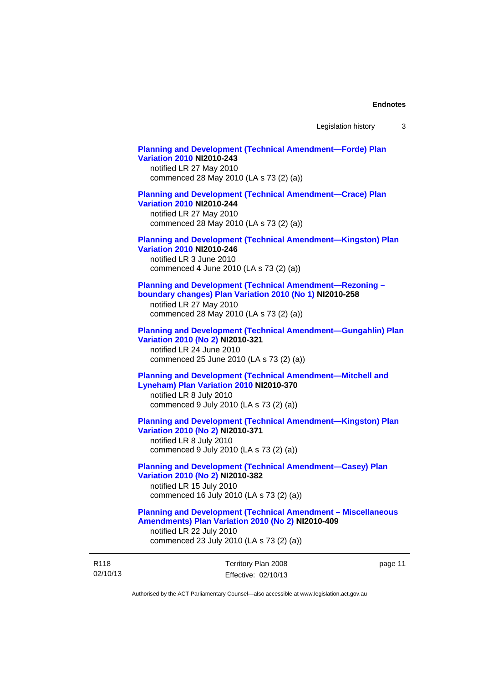page 11

# Territory Plan 2008 **[Planning and Development \(Technical Amendment—Forde\) Plan](http://www.legislation.act.gov.au/ni/2010-243/)  [Variation 2010](http://www.legislation.act.gov.au/ni/2010-243/) NI2010-243**  notified LR 27 May 2010 commenced 28 May 2010 (LA s 73 (2) (a)) **[Planning and Development \(Technical Amendment—Crace\) Plan](http://www.legislation.act.gov.au/ni/2010-244/)  [Variation 2010](http://www.legislation.act.gov.au/ni/2010-244/) NI2010-244**  notified LR 27 May 2010 commenced 28 May 2010 (LA s 73 (2) (a)) **[Planning and Development \(Technical Amendment—Kingston\) Plan](http://www.legislation.act.gov.au/ni/2010-246/)  [Variation 2010](http://www.legislation.act.gov.au/ni/2010-246/) NI2010-246**  notified LR 3 June 2010 commenced 4 June 2010 (LA s 73 (2) (a)) **[Planning and Development \(Technical Amendment—Rezoning –](http://www.legislation.act.gov.au/ni/2010-258/)  [boundary changes\) Plan Variation 2010 \(No 1\)](http://www.legislation.act.gov.au/ni/2010-258/) NI2010-258**  notified LR 27 May 2010 commenced 28 May 2010 (LA s 73 (2) (a)) **[Planning and Development \(Technical Amendment—Gungahlin\) Plan](http://www.legislation.act.gov.au/ni/2010-321/)  [Variation 2010 \(No 2\)](http://www.legislation.act.gov.au/ni/2010-321/) NI2010-321**  notified LR 24 June 2010 commenced 25 June 2010 (LA s 73 (2) (a)) **[Planning and Development \(Technical Amendment—Mitchell and](http://www.legislation.act.gov.au/ni/2010-370/)  [Lyneham\) Plan Variation 2010](http://www.legislation.act.gov.au/ni/2010-370/) NI2010-370**  notified LR 8 July 2010 commenced 9 July 2010 (LA s 73 (2) (a)) **[Planning and Development \(Technical Amendment—Kingston\) Plan](http://www.legislation.act.gov.au/ni/2010-371/)  [Variation 2010 \(No 2\)](http://www.legislation.act.gov.au/ni/2010-371/) NI2010-371**  notified LR 8 July 2010 commenced 9 July 2010 (LA s 73 (2) (a)) **[Planning and Development \(Technical Amendment—Casey\) Plan](http://www.legislation.act.gov.au/ni/2010-382/)  [Variation 2010 \(No 2\)](http://www.legislation.act.gov.au/ni/2010-382/) NI2010-382**  notified LR 15 July 2010 commenced 16 July 2010 (LA s 73 (2) (a)) **[Planning and Development \(Technical Amendment – Miscellaneous](http://www.legislation.act.gov.au/ni/2010-409/)  [Amendments\) Plan Variation 2010 \(No 2\)](http://www.legislation.act.gov.au/ni/2010-409/) NI2010-409**  notified LR 22 July 2010 commenced 23 July 2010 (LA s 73 (2) (a))

Authorised by the ACT Parliamentary Counsel—also accessible at www.legislation.act.gov.au

Effective: 02/10/13

R118 02/10/13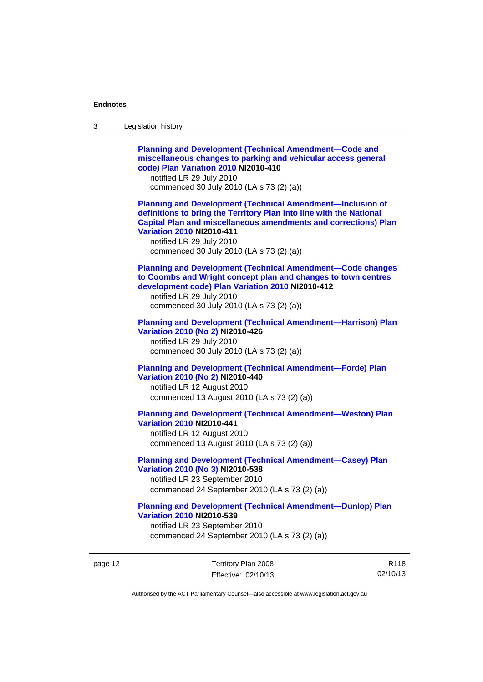| 3 | Legislation history                                                                                                                                                                                                                                                                                                            |
|---|--------------------------------------------------------------------------------------------------------------------------------------------------------------------------------------------------------------------------------------------------------------------------------------------------------------------------------|
|   | <b>Planning and Development (Technical Amendment-Code and</b><br>miscellaneous changes to parking and vehicular access general<br>code) Plan Variation 2010 NI2010-410<br>notified LR 29 July 2010<br>commenced 30 July 2010 (LA s 73 (2) (a))                                                                                 |
|   | <b>Planning and Development (Technical Amendment-Inclusion of</b><br>definitions to bring the Territory Plan into line with the National<br><b>Capital Plan and miscellaneous amendments and corrections) Plan</b><br><b>Variation 2010 NI2010-411</b><br>notified LR 29 July 2010<br>commenced 30 July 2010 (LA s 73 (2) (a)) |
|   | <b>Planning and Development (Technical Amendment-Code changes</b><br>to Coombs and Wright concept plan and changes to town centres<br>development code) Plan Variation 2010 NI2010-412<br>notified LR 29 July 2010<br>commenced 30 July 2010 (LA s 73 (2) (a))                                                                 |
|   | <b>Planning and Development (Technical Amendment-Harrison) Plan</b><br>Variation 2010 (No 2) NI2010-426<br>notified LR 29 July 2010<br>commenced 30 July 2010 (LA s 73 (2) (a))                                                                                                                                                |
|   | <b>Planning and Development (Technical Amendment-Forde) Plan</b><br>Variation 2010 (No 2) NI2010-440<br>notified LR 12 August 2010<br>commenced 13 August 2010 (LA s 73 (2) (a))                                                                                                                                               |
|   | <b>Planning and Development (Technical Amendment-Weston) Plan</b><br><b>Variation 2010 NI2010-441</b><br>notified LR 12 August 2010<br>commenced 13 August 2010 (LA s 73 (2) (a))                                                                                                                                              |
|   | <b>Planning and Development (Technical Amendment-Casey) Plan</b><br>Variation 2010 (No 3) NI2010-538<br>notified LR 23 September 2010<br>commenced 24 September 2010 (LA s 73 (2) (a))                                                                                                                                         |
|   | <b>Planning and Development (Technical Amendment-Dunlop) Plan</b><br><b>Variation 2010 NI2010-539</b><br>notified LR 23 September 2010<br>commenced 24 September 2010 (LA s 73 (2) (a))                                                                                                                                        |

page 12 Territory Plan 2008 Effective: 02/10/13

R118 02/10/13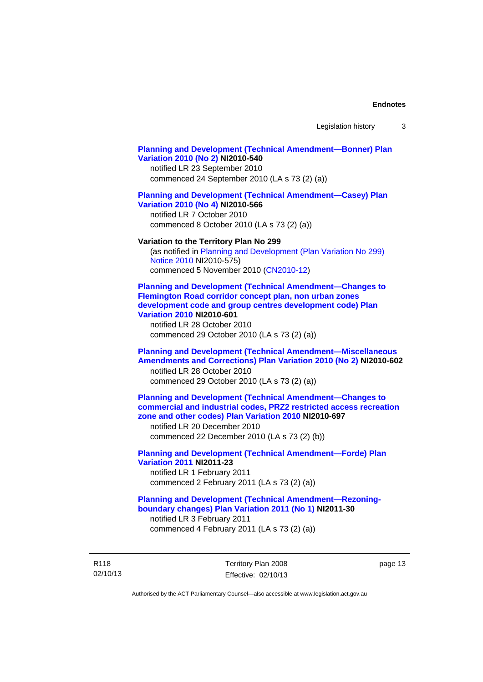#### **[Planning and Development \(Technical Amendment—Bonner\) Plan](http://www.legislation.act.gov.au/ni/2010-540/)  [Variation 2010 \(No 2\)](http://www.legislation.act.gov.au/ni/2010-540/) NI2010-540**

notified LR 23 September 2010 commenced 24 September 2010 (LA s 73 (2) (a))

#### **[Planning and Development \(Technical Amendment—Casey\) Plan](http://www.legislation.act.gov.au/ni/2010-566/)  [Variation 2010 \(No 4\)](http://www.legislation.act.gov.au/ni/2010-566/) NI2010-566**

notified LR 7 October 2010 commenced 8 October 2010 (LA s 73 (2) (a))

#### **Variation to the Territory Plan No 299**

(as notified in [Planning and Development \(Plan Variation No 299\)](http://www.legislation.act.gov.au/ni/2010-575/)  [Notice 2010](http://www.legislation.act.gov.au/ni/2010-575/) NI2010-575) commenced 5 November 2010 ([CN2010-12](http://www.legislation.act.gov.au/cn/2010-12/))

**[Planning and Development \(Technical Amendment—Changes to](http://www.legislation.act.gov.au/ni/2010-601/)  [Flemington Road corridor concept plan, non urban zones](http://www.legislation.act.gov.au/ni/2010-601/)  [development code and group centres development code\) Plan](http://www.legislation.act.gov.au/ni/2010-601/)  [Variation 2010](http://www.legislation.act.gov.au/ni/2010-601/) NI2010-601** 

notified LR 28 October 2010 commenced 29 October 2010 (LA s 73 (2) (a))

### **[Planning and Development \(Technical Amendment—Miscellaneous](http://www.legislation.act.gov.au/ni/2010-602/)  [Amendments and Corrections\) Plan Variation 2010 \(No 2\)](http://www.legislation.act.gov.au/ni/2010-602/) NI2010-602**

notified LR 28 October 2010 commenced 29 October 2010 (LA s 73 (2) (a))

### **[Planning and Development \(Technical Amendment—Changes to](http://www.legislation.act.gov.au/ni/2010-697/)  [commercial and industrial codes, PRZ2 restricted access recreation](http://www.legislation.act.gov.au/ni/2010-697/)  [zone and other codes\) Plan Variation 2010](http://www.legislation.act.gov.au/ni/2010-697/) NI2010-697**

notified LR 20 December 2010 commenced 22 December 2010 (LA s 73 (2) (b))

### **[Planning and Development \(Technical Amendment—Forde\) Plan](http://www.legislation.act.gov.au/ni/2011-23/)  [Variation 2011](http://www.legislation.act.gov.au/ni/2011-23/) NI2011-23**  notified LR 1 February 2011

commenced 2 February 2011 (LA s 73 (2) (a))

### **[Planning and Development \(Technical Amendment—Rezoning](http://www.legislation.act.gov.au/ni/2011-30/)[boundary changes\) Plan Variation 2011 \(No 1\)](http://www.legislation.act.gov.au/ni/2011-30/) NI2011-30**  notified LR 3 February 2011

commenced 4 February 2011 (LA s 73 (2) (a))

R118 02/10/13 Territory Plan 2008 Effective: 02/10/13 page 13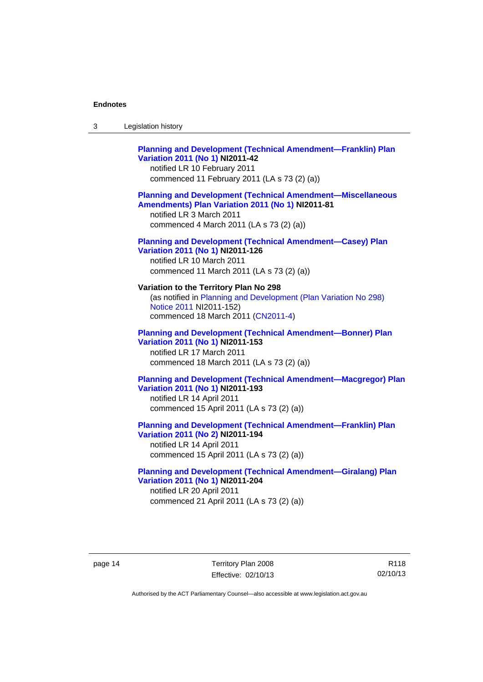| Legislation history<br>3 |
|--------------------------|
|--------------------------|

# **[Planning and Development \(Technical Amendment—Franklin\) Plan](http://www.legislation.act.gov.au/ni/2011-42/)  [Variation 2011 \(No 1\)](http://www.legislation.act.gov.au/ni/2011-42/) NI2011-42**  notified LR 10 February 2011 commenced 11 February 2011 (LA s 73 (2) (a)) **[Planning and Development \(Technical Amendment—Miscellaneous](http://www.legislation.act.gov.au/ni/2011-81/)  [Amendments\) Plan Variation 2011 \(No 1\)](http://www.legislation.act.gov.au/ni/2011-81/) NI2011-81**  notified LR 3 March 2011 commenced 4 March 2011 (LA s 73 (2) (a)) **[Planning and Development \(Technical Amendment—Casey\) Plan](http://www.legislation.act.gov.au/ni/2011-126/)  [Variation 2011 \(No 1\)](http://www.legislation.act.gov.au/ni/2011-126/) NI2011-126**  notified LR 10 March 2011 commenced 11 March 2011 (LA s 73 (2) (a)) **Variation to the Territory Plan No 298**  (as notified in [Planning and Development \(Plan Variation No 298\)](http://www.legislation.act.gov.au/ni/2011-152/)  [Notice 2011](http://www.legislation.act.gov.au/ni/2011-152/) NI2011-152) commenced 18 March 2011 [\(CN2011-4\)](http://www.legislation.act.gov.au/cn/2011-4/) **[Planning and Development \(Technical Amendment—Bonner\) Plan](http://www.legislation.act.gov.au/ni/2011-153/)**

**[Variation 2011 \(No 1\)](http://www.legislation.act.gov.au/ni/2011-153/) NI2011-153**  notified LR 17 March 2011 commenced 18 March 2011 (LA s 73 (2) (a))

### **[Planning and Development \(Technical Amendment—Macgregor\) Plan](http://www.legislation.act.gov.au/ni/2011-193/)  [Variation 2011 \(No 1\)](http://www.legislation.act.gov.au/ni/2011-193/) NI2011-193**

notified LR 14 April 2011 commenced 15 April 2011 (LA s 73 (2) (a))

#### **[Planning and Development \(Technical Amendment—Franklin\) Plan](http://www.legislation.act.gov.au/ni/2011-194/)  [Variation 2011 \(No 2\)](http://www.legislation.act.gov.au/ni/2011-194/) NI2011-194**

notified LR 14 April 2011 commenced 15 April 2011 (LA s 73 (2) (a))

#### **[Planning and Development \(Technical Amendment—Giralang\) Plan](http://www.legislation.act.gov.au/ni/2011-204/)  [Variation 2011 \(No 1\)](http://www.legislation.act.gov.au/ni/2011-204/) NI2011-204**  notified LR 20 April 2011

commenced 21 April 2011 (LA s 73 (2) (a))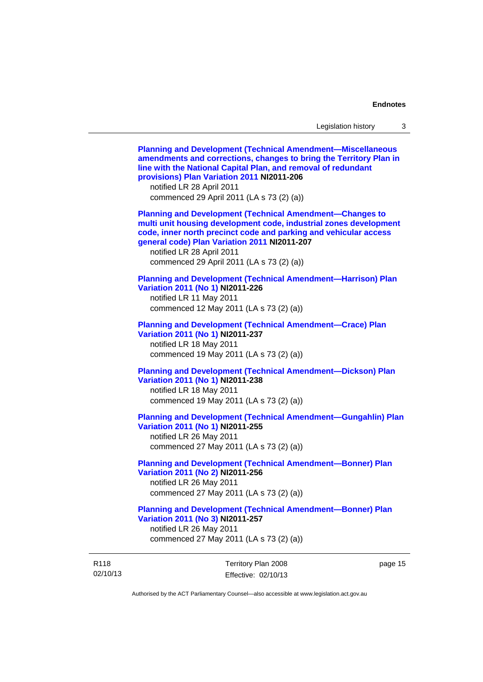02/10/13 Territory Plan 2008 Effective: 02/10/13 page 15 **[Planning and Development \(Technical Amendment—Miscellaneous](http://www.legislation.act.gov.au/ni/2011-206/)  [amendments and corrections, changes to bring the Territory Plan in](http://www.legislation.act.gov.au/ni/2011-206/)  [line with the National Capital Plan, and removal of redundant](http://www.legislation.act.gov.au/ni/2011-206/)  [provisions\) Plan Variation 2011](http://www.legislation.act.gov.au/ni/2011-206/) NI2011-206**  notified LR 28 April 2011 commenced 29 April 2011 (LA s 73 (2) (a)) **[Planning and Development \(Technical Amendment—Changes to](http://www.legislation.act.gov.au/ni/2011-207/)  [multi unit housing development code, industrial zones development](http://www.legislation.act.gov.au/ni/2011-207/)  [code, inner north precinct code and parking and vehicular access](http://www.legislation.act.gov.au/ni/2011-207/)  [general code\) Plan Variation 2011](http://www.legislation.act.gov.au/ni/2011-207/) NI2011-207**  notified LR 28 April 2011 commenced 29 April 2011 (LA s 73 (2) (a)) **[Planning and Development \(Technical Amendment—Harrison\) Plan](http://www.legislation.act.gov.au/ni/2011-226/)  [Variation 2011 \(No 1\)](http://www.legislation.act.gov.au/ni/2011-226/) NI2011-226**  notified LR 11 May 2011 commenced 12 May 2011 (LA s 73 (2) (a)) **[Planning and Development \(Technical Amendment—Crace\) Plan](http://www.legislation.act.gov.au/ni/2011-237/)  [Variation 2011 \(No 1\)](http://www.legislation.act.gov.au/ni/2011-237/) NI2011-237**  notified LR 18 May 2011 commenced 19 May 2011 (LA s 73 (2) (a)) **[Planning and Development \(Technical Amendment—Dickson\) Plan](http://www.legislation.act.gov.au/ni/2011-238/)  [Variation 2011 \(No 1\)](http://www.legislation.act.gov.au/ni/2011-238/) NI2011-238**  notified LR 18 May 2011 commenced 19 May 2011 (LA s 73 (2) (a)) **[Planning and Development \(Technical Amendment—Gungahlin\) Plan](http://www.legislation.act.gov.au/ni/2011-255/)  [Variation 2011 \(No 1\)](http://www.legislation.act.gov.au/ni/2011-255/) NI2011-255**  notified LR 26 May 2011 commenced 27 May 2011 (LA s 73 (2) (a)) **[Planning and Development \(Technical Amendment—Bonner\) Plan](http://www.legislation.act.gov.au/ni/2011-256/)  [Variation 2011 \(No 2\)](http://www.legislation.act.gov.au/ni/2011-256/) NI2011-256**  notified LR 26 May 2011 commenced 27 May 2011 (LA s 73 (2) (a)) **[Planning and Development \(Technical Amendment—Bonner\) Plan](http://www.legislation.act.gov.au/ni/2011-257/)  [Variation 2011 \(No 3\)](http://www.legislation.act.gov.au/ni/2011-257/) NI2011-257**  notified LR 26 May 2011 commenced 27 May 2011 (LA s 73 (2) (a))

Authorised by the ACT Parliamentary Counsel—also accessible at www.legislation.act.gov.au

R118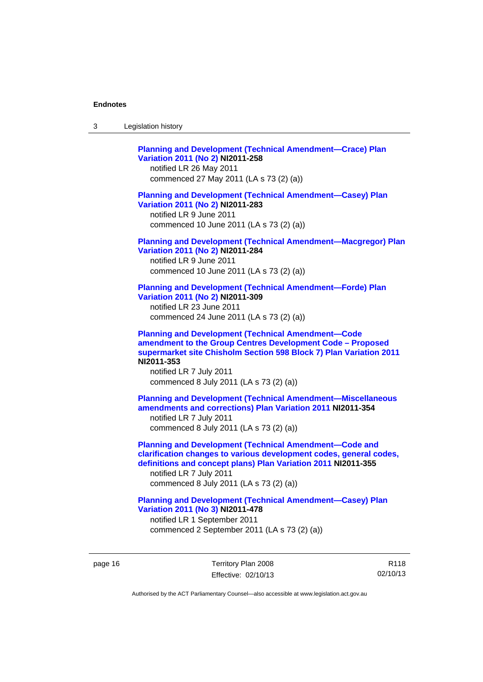| -3 | Legislation history |
|----|---------------------|
|----|---------------------|

**[Planning and Development \(Technical Amendment—Crace\) Plan](http://www.legislation.act.gov.au/ni/2011-258/)  [Variation 2011 \(No 2\)](http://www.legislation.act.gov.au/ni/2011-258/) NI2011-258**  notified LR 26 May 2011 commenced 27 May 2011 (LA s 73 (2) (a)) **[Planning and Development \(Technical Amendment—Casey\) Plan](http://www.legislation.act.gov.au/ni/2011-283/)  [Variation 2011 \(No 2\)](http://www.legislation.act.gov.au/ni/2011-283/) NI2011-283**  notified LR 9 June 2011 commenced 10 June 2011 (LA s 73 (2) (a)) **[Planning and Development \(Technical Amendment—Macgregor\) Plan](http://www.legislation.act.gov.au/ni/2011-284/)  [Variation 2011 \(No 2\)](http://www.legislation.act.gov.au/ni/2011-284/) NI2011-284**  notified LR 9 June 2011 commenced 10 June 2011 (LA s 73 (2) (a)) **[Planning and Development \(Technical Amendment—Forde\) Plan](http://www.legislation.act.gov.au/ni/2011-309/)  [Variation 2011 \(No 2\)](http://www.legislation.act.gov.au/ni/2011-309/) NI2011-309**  notified LR 23 June 2011 commenced 24 June 2011 (LA s 73 (2) (a)) **[Planning and Development \(Technical Amendment—Code](http://www.legislation.act.gov.au/ni/2011-353/)  [amendment to the Group Centres Development Code – Proposed](http://www.legislation.act.gov.au/ni/2011-353/)  [supermarket site Chisholm Section 598 Block 7\) Plan Variation 2011](http://www.legislation.act.gov.au/ni/2011-353/) NI2011-353**  notified LR 7 July 2011 commenced 8 July 2011 (LA s 73 (2) (a)) **[Planning and Development \(Technical Amendment—Miscellaneous](http://www.legislation.act.gov.au/ni/2011-354/)  [amendments and corrections\) Plan Variation 2011](http://www.legislation.act.gov.au/ni/2011-354/) NI2011-354**  notified LR 7 July 2011 commenced 8 July 2011 (LA s 73 (2) (a)) **[Planning and Development \(Technical Amendment—Code and](http://www.legislation.act.gov.au/ni/2011-355/)  [clarification changes to various development codes, general codes,](http://www.legislation.act.gov.au/ni/2011-355/)  [definitions and concept plans\) Plan Variation 2011](http://www.legislation.act.gov.au/ni/2011-355/) NI2011-355**  notified LR 7 July 2011 commenced 8 July 2011 (LA s 73 (2) (a)) **[Planning and Development \(Technical Amendment—Casey\) Plan](http://www.legislation.act.gov.au/ni/2011-478/)  [Variation 2011 \(No 3\)](http://www.legislation.act.gov.au/ni/2011-478/) NI2011-478** 

notified LR 1 September 2011 commenced 2 September 2011 (LA s 73 (2) (a))

page 16 Territory Plan 2008 Effective: 02/10/13

R118 02/10/13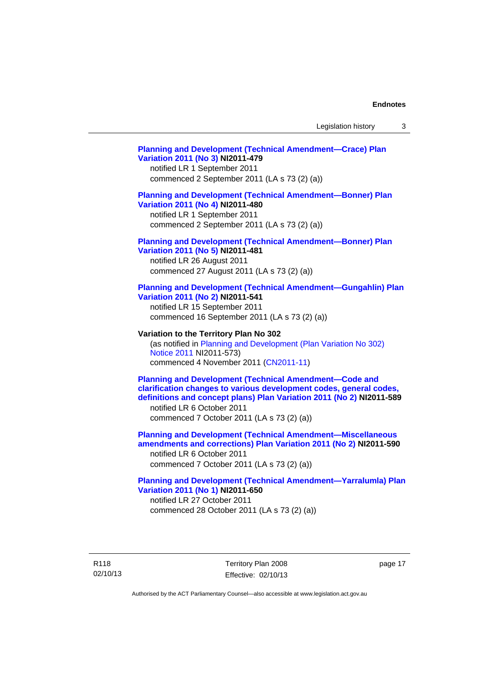# **[Planning and Development \(Technical Amendment—Crace\) Plan](http://www.legislation.act.gov.au/ni/2011-479/)  [Variation 2011 \(No 3\)](http://www.legislation.act.gov.au/ni/2011-479/) NI2011-479**  notified LR 1 September 2011 commenced 2 September 2011 (LA s 73 (2) (a)) **[Planning and Development \(Technical Amendment—Bonner\) Plan](http://www.legislation.act.gov.au/ni/2011-480/)  [Variation 2011 \(No 4\)](http://www.legislation.act.gov.au/ni/2011-480/) NI2011-480**  notified LR 1 September 2011 commenced 2 September 2011 (LA s 73 (2) (a)) **[Planning and Development \(Technical Amendment—Bonner\) Plan](http://www.legislation.act.gov.au/ni/2011-481/)  [Variation 2011 \(No 5\)](http://www.legislation.act.gov.au/ni/2011-481/) NI2011-481**  notified LR 26 August 2011 commenced 27 August 2011 (LA s 73 (2) (a)) **[Planning and Development \(Technical Amendment—Gungahlin\) Plan](http://www.legislation.act.gov.au/ni/2011-541/)  [Variation 2011 \(No 2\)](http://www.legislation.act.gov.au/ni/2011-541/) NI2011-541**  notified LR 15 September 2011 commenced 16 September 2011 (LA s 73 (2) (a)) **Variation to the Territory Plan No 302**  (as notified in [Planning and Development \(Plan Variation No 302\)](http://www.legislation.act.gov.au/ni/2011-573/)  [Notice 2011](http://www.legislation.act.gov.au/ni/2011-573/) NI2011-573) commenced 4 November 2011 ([CN2011-11](http://www.legislation.act.gov.au/cn/2011-11/)) **[Planning and Development \(Technical Amendment—Code and](http://www.legislation.act.gov.au/ni/2011-589/)  [clarification changes to various development codes, general codes,](http://www.legislation.act.gov.au/ni/2011-589/)  [definitions and concept plans\) Plan Variation 2011 \(No 2\)](http://www.legislation.act.gov.au/ni/2011-589/) NI2011-589**  notified LR 6 October 2011 commenced 7 October 2011 (LA s 73 (2) (a)) **[Planning and Development \(Technical Amendment—Miscellaneous](http://www.legislation.act.gov.au/ni/2011-590/)  [amendments and corrections\) Plan Variation 2011 \(No 2\)](http://www.legislation.act.gov.au/ni/2011-590/) NI2011-590**  notified LR 6 October 2011 commenced 7 October 2011 (LA s 73 (2) (a)) **[Planning and Development \(Technical Amendment—Yarralumla\) Plan](http://www.legislation.act.gov.au/ni/2011-650/)  [Variation 2011 \(No 1\)](http://www.legislation.act.gov.au/ni/2011-650/) NI2011-650**

notified LR 27 October 2011 commenced 28 October 2011 (LA s 73 (2) (a))

R118 02/10/13 Territory Plan 2008 Effective: 02/10/13 page 17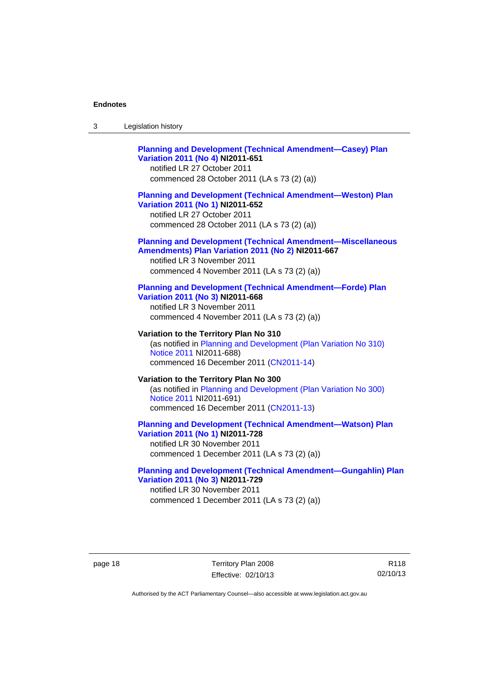| -3 | Legislation history |  |
|----|---------------------|--|
|----|---------------------|--|

# **[Planning and Development \(Technical Amendment—Casey\) Plan](http://www.legislation.act.gov.au/ni/2011-651/)  [Variation 2011 \(No 4\)](http://www.legislation.act.gov.au/ni/2011-651/) NI2011-651**

notified LR 27 October 2011 commenced 28 October 2011 (LA s 73 (2) (a))

#### **[Planning and Development \(Technical Amendment—Weston\) Plan](http://www.legislation.act.gov.au/ni/2011-652/)  [Variation 2011 \(No 1\)](http://www.legislation.act.gov.au/ni/2011-652/) NI2011-652**

notified LR 27 October 2011 commenced 28 October 2011 (LA s 73 (2) (a))

#### **[Planning and Development \(Technical Amendment—Miscellaneous](http://www.legislation.act.gov.au/ni/2011-667/)  [Amendments\) Plan Variation 2011 \(No 2\)](http://www.legislation.act.gov.au/ni/2011-667/) NI2011-667**

notified LR 3 November 2011 commenced 4 November 2011 (LA s 73 (2) (a))

#### **[Planning and Development \(Technical Amendment—Forde\) Plan](http://www.legislation.act.gov.au/ni/2011-668/)  [Variation 2011 \(No 3\)](http://www.legislation.act.gov.au/ni/2011-668/) NI2011-668**

notified LR 3 November 2011 commenced 4 November 2011 (LA s 73 (2) (a))

**Variation to the Territory Plan No 310**  (as notified in [Planning and Development \(Plan Variation No 310\)](http://www.legislation.act.gov.au/ni/2011-688/)  [Notice 2011](http://www.legislation.act.gov.au/ni/2011-688/) NI2011-688) commenced 16 December 2011 [\(CN2011-14\)](http://www.legislation.act.gov.au/cn/2011-14/)

#### **Variation to the Territory Plan No 300**  (as notified in [Planning and Development \(Plan Variation No 300\)](http://www.legislation.act.gov.au/ni/2011-691/)  [Notice 2011](http://www.legislation.act.gov.au/ni/2011-691/) NI2011-691) commenced 16 December 2011 [\(CN2011-13\)](http://www.legislation.act.gov.au/cn/2011-13/)

#### **[Planning and Development \(Technical Amendment—Watson\) Plan](http://www.legislation.act.gov.au/ni/2011-728/)  [Variation 2011 \(No 1\)](http://www.legislation.act.gov.au/ni/2011-728/) NI2011-728**

notified LR 30 November 2011 commenced 1 December 2011 (LA s 73 (2) (a))

### **[Planning and Development \(Technical Amendment—Gungahlin\) Plan](http://www.legislation.act.gov.au/ni/2011-729/)  [Variation 2011 \(No 3\)](http://www.legislation.act.gov.au/ni/2011-729/) NI2011-729**

notified LR 30 November 2011 commenced 1 December 2011 (LA s 73 (2) (a))

page 18 Territory Plan 2008 Effective: 02/10/13

R118 02/10/13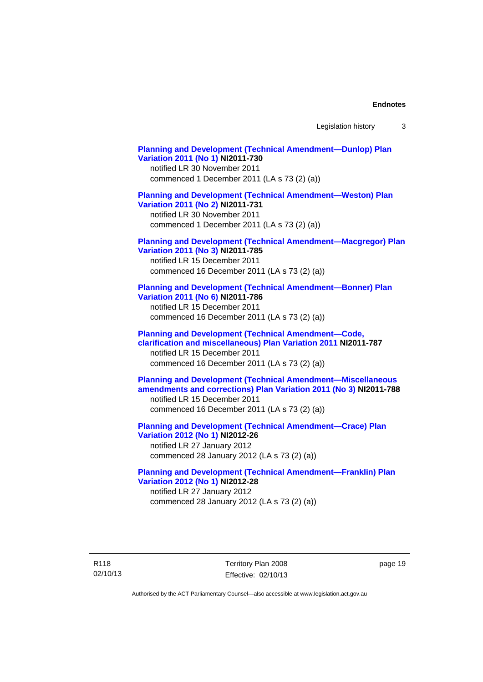Legislation history 3

**[Planning and Development \(Technical Amendment—Dunlop\) Plan](http://www.legislation.act.gov.au/ni/2011-730/)  [Variation 2011 \(No 1\)](http://www.legislation.act.gov.au/ni/2011-730/) NI2011-730**  notified LR 30 November 2011 commenced 1 December 2011 (LA s 73 (2) (a)) **[Planning and Development \(Technical Amendment—Weston\) Plan](http://www.legislation.act.gov.au/ni/2011-731/)  [Variation 2011 \(No 2\)](http://www.legislation.act.gov.au/ni/2011-731/) NI2011-731**  notified LR 30 November 2011 commenced 1 December 2011 (LA s 73 (2) (a)) **[Planning and Development \(Technical Amendment—Macgregor\) Plan](http://www.legislation.act.gov.au/ni/2011-785/)  [Variation 2011 \(No 3\)](http://www.legislation.act.gov.au/ni/2011-785/) NI2011-785**  notified LR 15 December 2011 commenced 16 December 2011 (LA s 73 (2) (a)) **[Planning and Development \(Technical Amendment—Bonner\) Plan](http://www.legislation.act.gov.au/ni/2011-786/)  [Variation 2011 \(No 6\)](http://www.legislation.act.gov.au/ni/2011-786/) NI2011-786**  notified LR 15 December 2011 commenced 16 December 2011 (LA s 73 (2) (a)) **[Planning and Development \(Technical Amendment—Code,](http://www.legislation.act.gov.au/ni/2011-787/)  [clarification and miscellaneous\) Plan Variation 2011](http://www.legislation.act.gov.au/ni/2011-787/) NI2011-787**  notified LR 15 December 2011 commenced 16 December 2011 (LA s 73 (2) (a)) **[Planning and Development \(Technical Amendment—Miscellaneous](http://www.legislation.act.gov.au/ni/2011-788/)  [amendments and corrections\) Plan Variation 2011 \(No 3\)](http://www.legislation.act.gov.au/ni/2011-788/) NI2011-788**  notified LR 15 December 2011 commenced 16 December 2011 (LA s 73 (2) (a)) **[Planning and Development \(Technical Amendment—Crace\) Plan](http://www.legislation.act.gov.au/ni/2012-26/)  [Variation 2012 \(No 1\)](http://www.legislation.act.gov.au/ni/2012-26/) NI2012-26**  notified LR 27 January 2012 commenced 28 January 2012 (LA s 73 (2) (a)) **[Planning and Development \(Technical Amendment—Franklin\) Plan](http://www.legislation.act.gov.au/ni/2012-28/)  [Variation 2012 \(No 1\)](http://www.legislation.act.gov.au/ni/2012-28/) NI2012-28** 

notified LR 27 January 2012 commenced 28 January 2012 (LA s 73 (2) (a))

R118 02/10/13 Territory Plan 2008 Effective: 02/10/13 page 19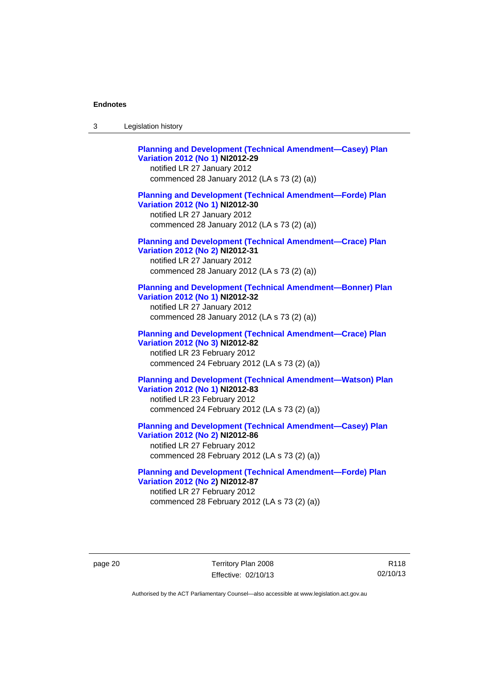| -3 | Legislation history |  |
|----|---------------------|--|
|----|---------------------|--|

**[Planning and Development \(Technical Amendment—Casey\) Plan](http://www.legislation.act.gov.au/ni/2012-29/)  [Variation 2012 \(No 1\)](http://www.legislation.act.gov.au/ni/2012-29/) NI2012-29**  notified LR 27 January 2012 commenced 28 January 2012 (LA s 73 (2) (a)) **[Planning and Development \(Technical Amendment—Forde\) Plan](http://www.legislation.act.gov.au/ni/2012-30/)  [Variation 2012 \(No 1\)](http://www.legislation.act.gov.au/ni/2012-30/) NI2012-30**  notified LR 27 January 2012 commenced 28 January 2012 (LA s 73 (2) (a)) **[Planning and Development \(Technical Amendment—Crace\) Plan](http://www.legislation.act.gov.au/ni/2012-31/)  [Variation 2012 \(No 2\)](http://www.legislation.act.gov.au/ni/2012-31/) NI2012-31**  notified LR 27 January 2012 commenced 28 January 2012 (LA s 73 (2) (a)) **[Planning and Development \(Technical Amendment—Bonner\) Plan](http://www.legislation.act.gov.au/ni/2012-32/)  [Variation 2012 \(No 1\)](http://www.legislation.act.gov.au/ni/2012-32/) NI2012-32**  notified LR 27 January 2012 commenced 28 January 2012 (LA s 73 (2) (a)) **[Planning and Development \(Technical Amendment—Crace\) Plan](http://www.legislation.act.gov.au/ni/2012-82/)  [Variation 2012 \(No 3\)](http://www.legislation.act.gov.au/ni/2012-82/) NI2012-82**  notified LR 23 February 2012 commenced 24 February 2012 (LA s 73 (2) (a)) **[Planning and Development \(Technical Amendment—Watson\) Plan](http://www.legislation.act.gov.au/ni/2012-83/)  [Variation 2012 \(No 1\)](http://www.legislation.act.gov.au/ni/2012-83/) NI2012-83**  notified LR 23 February 2012 commenced 24 February 2012 (LA s 73 (2) (a)) **[Planning and Development \(Technical Amendment—Casey\) Plan](http://www.legislation.act.gov.au/ni/2012-86/)  [Variation 2012 \(No 2\)](http://www.legislation.act.gov.au/ni/2012-86/) NI2012-86** 

notified LR 27 February 2012 commenced 28 February 2012 (LA s 73 (2) (a))

**[Planning and Development \(Technical Amendment—Forde\) Plan](http://www.legislation.act.gov.au/ni/2012-87/)  [Variation 2012 \(No 2\)](http://www.legislation.act.gov.au/ni/2012-87/) NI2012-87**  notified LR 27 February 2012 commenced 28 February 2012 (LA s 73 (2) (a))

page 20 Territory Plan 2008 Effective: 02/10/13

R118 02/10/13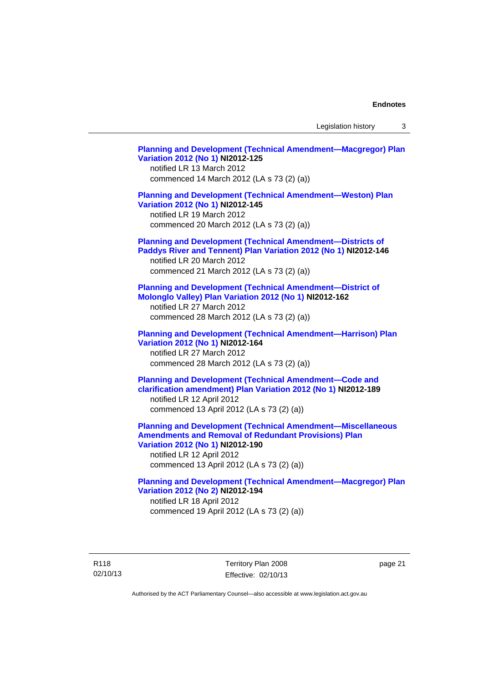Legislation history 3

**[Planning and Development \(Technical Amendment—Macgregor\) Plan](http://www.legislation.act.gov.au/ni/2012-125/)  [Variation 2012 \(No 1\)](http://www.legislation.act.gov.au/ni/2012-125/) NI2012-125**  notified LR 13 March 2012 commenced 14 March 2012 (LA s 73 (2) (a)) **[Planning and Development \(Technical Amendment—Weston\) Plan](http://www.legislation.act.gov.au/ni/2012-145/)  [Variation 2012 \(No 1\)](http://www.legislation.act.gov.au/ni/2012-145/) NI2012-145**  notified LR 19 March 2012 commenced 20 March 2012 (LA s 73 (2) (a)) **[Planning and Development \(Technical Amendment—Districts of](http://www.legislation.act.gov.au/ni/2012-146/)  [Paddys River and Tennent\) Plan Variation 2012 \(No 1\)](http://www.legislation.act.gov.au/ni/2012-146/) NI2012-146**  notified LR 20 March 2012 commenced 21 March 2012 (LA s 73 (2) (a)) **[Planning and Development \(Technical Amendment—District of](http://www.legislation.act.gov.au/ni/2012-162/)  [Molonglo Valley\) Plan Variation 2012 \(No 1\)](http://www.legislation.act.gov.au/ni/2012-162/) NI2012-162**  notified LR 27 March 2012 commenced 28 March 2012 (LA s 73 (2) (a)) **[Planning and Development \(Technical Amendment—Harrison\) Plan](http://www.legislation.act.gov.au/ni/2012-164/)  [Variation 2012 \(No 1\)](http://www.legislation.act.gov.au/ni/2012-164/) NI2012-164**  notified LR 27 March 2012 commenced 28 March 2012 (LA s 73 (2) (a)) **[Planning and Development \(Technical Amendment—Code and](http://www.legislation.act.gov.au/ni/2012-189/)  [clarification amendment\) Plan Variation 2012 \(No 1\)](http://www.legislation.act.gov.au/ni/2012-189/) NI2012-189**  notified LR 12 April 2012 commenced 13 April 2012 (LA s 73 (2) (a)) **[Planning and Development \(Technical Amendment—Miscellaneous](http://www.legislation.act.gov.au/ni/2012-190/)  [Amendments and Removal of Redundant Provisions\) Plan](http://www.legislation.act.gov.au/ni/2012-190/)  [Variation 2012 \(No 1\)](http://www.legislation.act.gov.au/ni/2012-190/) NI2012-190**  notified LR 12 April 2012 commenced 13 April 2012 (LA s 73 (2) (a)) **[Planning and Development \(Technical Amendment—Macgregor\) Plan](http://www.legislation.act.gov.au/ni/2012-194/)  [Variation 2012 \(No 2\)](http://www.legislation.act.gov.au/ni/2012-194/) NI2012-194**  notified LR 18 April 2012 commenced 19 April 2012 (LA s 73 (2) (a))

R118 02/10/13 Territory Plan 2008 Effective: 02/10/13 page 21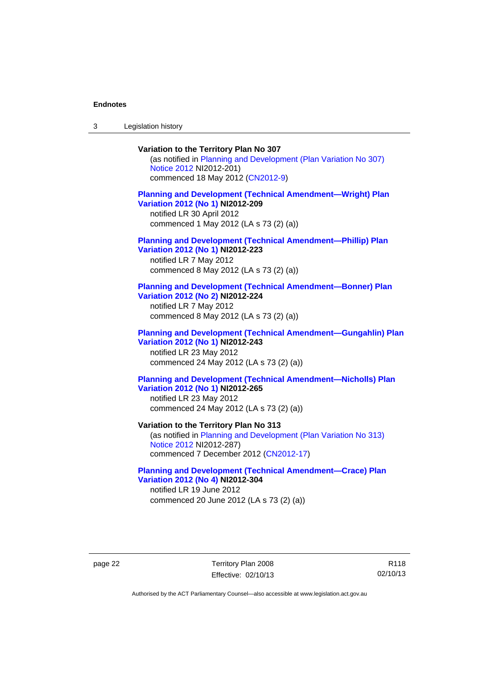3 Legislation history

# **Variation to the Territory Plan No 307**

(as notified in [Planning and Development \(Plan Variation No 307\)](http://www.legislation.act.gov.au/ni/2012-201/)  [Notice 2012](http://www.legislation.act.gov.au/ni/2012-201/) NI2012-201) commenced 18 May 2012 [\(CN2012-9\)](http://www.legislation.act.gov.au/cn/2012-9/)

### **[Planning and Development \(Technical Amendment—Wright\) Plan](http://www.legislation.act.gov.au/ni/2012-209/)  [Variation 2012 \(No 1\)](http://www.legislation.act.gov.au/ni/2012-209/) NI2012-209**

notified LR 30 April 2012 commenced 1 May 2012 (LA s 73 (2) (a))

#### **[Planning and Development \(Technical Amendment—Phillip\) Plan](http://www.legislation.act.gov.au/ni/2012-223/)  [Variation 2012 \(No 1\)](http://www.legislation.act.gov.au/ni/2012-223/) NI2012-223**

notified LR 7 May 2012 commenced 8 May 2012 (LA s 73 (2) (a))

#### **[Planning and Development \(Technical Amendment—Bonner\) Plan](http://www.legislation.act.gov.au/ni/2012-224/)  [Variation 2012 \(No 2\)](http://www.legislation.act.gov.au/ni/2012-224/) NI2012-224**

notified LR 7 May 2012 commenced 8 May 2012 (LA s 73 (2) (a))

### **[Planning and Development \(Technical Amendment—Gungahlin\) Plan](http://www.legislation.act.gov.au/ni/2012-243/)  [Variation 2012 \(No 1\)](http://www.legislation.act.gov.au/ni/2012-243/) NI2012-243**  notified LR 23 May 2012

commenced 24 May 2012 (LA s 73 (2) (a))

### **[Planning and Development \(Technical Amendment—Nicholls\) Plan](http://www.legislation.act.gov.au/ni/2012-265/)  [Variation 2012 \(No 1\)](http://www.legislation.act.gov.au/ni/2012-265/) NI2012-265**

notified LR 23 May 2012 commenced 24 May 2012 (LA s 73 (2) (a))

#### **Variation to the Territory Plan No 313**

(as notified in [Planning and Development \(Plan Variation No 313\)](http://www.legislation.act.gov.au/ni/2012-287/default.asp)  [Notice 2012](http://www.legislation.act.gov.au/ni/2012-287/default.asp) NI2012-287) commenced 7 December 2012 ([CN2012-17](http://www.legislation.act.gov.au/cn/2012-17/default.asp))

#### **[Planning and Development \(Technical Amendment—Crace\) Plan](http://www.legislation.act.gov.au/ni/2012-304/)  [Variation 2012 \(No 4\)](http://www.legislation.act.gov.au/ni/2012-304/) NI2012-304**

notified LR 19 June 2012 commenced 20 June 2012 (LA s 73 (2) (a))

page 22 Territory Plan 2008 Effective: 02/10/13

R118 02/10/13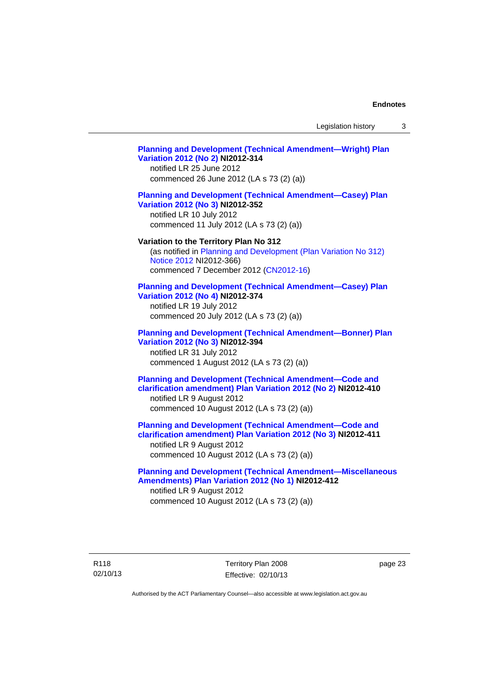Legislation history 3

# **[Planning and Development \(Technical Amendment—Wright\) Plan](http://www.legislation.act.gov.au/ni/2012-314/)  [Variation 2012 \(No 2\)](http://www.legislation.act.gov.au/ni/2012-314/) NI2012-314**  notified LR 25 June 2012 commenced 26 June 2012 (LA s 73 (2) (a)) **[Planning and Development \(Technical Amendment—Casey\) Plan](http://www.legislation.act.gov.au/ni/2012-352/)  [Variation 2012 \(No 3\)](http://www.legislation.act.gov.au/ni/2012-352/) NI2012-352**  notified LR 10 July 2012 commenced 11 July 2012 (LA s 73 (2) (a)) **Variation to the Territory Plan No 312**  (as notified in [Planning and Development \(Plan Variation No 312\)](http://www.legislation.act.gov.au/ni/2012-366/default.asp)  [Notice 2012](http://www.legislation.act.gov.au/ni/2012-366/default.asp) NI2012-366) commenced 7 December 2012 ([CN2012-16](http://www.legislation.act.gov.au/cn/2012-16/default.asp)) **[Planning and Development \(Technical Amendment—Casey\) Plan](http://www.legislation.act.gov.au/ni/2012-374/)  [Variation 2012 \(No 4\)](http://www.legislation.act.gov.au/ni/2012-374/) NI2012-374**  notified LR 19 July 2012 commenced 20 July 2012 (LA s 73 (2) (a)) **[Planning and Development \(Technical Amendment—Bonner\) Plan](http://www.legislation.act.gov.au/ni/2012-394/)  [Variation 2012 \(No 3\)](http://www.legislation.act.gov.au/ni/2012-394/) NI2012-394**  notified LR 31 July 2012 commenced 1 August 2012 (LA s 73 (2) (a)) **[Planning and Development \(Technical Amendment—Code and](http://www.legislation.act.gov.au/ni/2012-410/)  [clarification amendment\) Plan Variation 2012 \(No 2\)](http://www.legislation.act.gov.au/ni/2012-410/) NI2012-410**  notified LR 9 August 2012 commenced 10 August 2012 (LA s 73 (2) (a)) **[Planning and Development \(Technical Amendment—Code and](http://www.legislation.act.gov.au/ni/2012-411/)  [clarification amendment\) Plan Variation 2012 \(No 3\)](http://www.legislation.act.gov.au/ni/2012-411/) NI2012-411**  notified LR 9 August 2012 commenced 10 August 2012 (LA s 73 (2) (a)) **[Planning and Development \(Technical Amendment—Miscellaneous](http://www.legislation.act.gov.au/ni/2012-412/)  [Amendments\) Plan Variation 2012 \(No 1\)](http://www.legislation.act.gov.au/ni/2012-412/) NI2012-412**  notified LR 9 August 2012 commenced 10 August 2012 (LA s 73 (2) (a))

page 23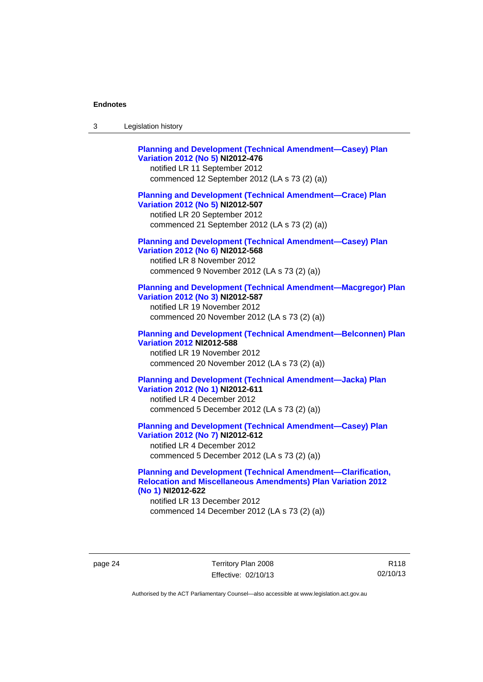| Legislation history<br>-3 |  |
|---------------------------|--|
|---------------------------|--|

| <b>Planning and Development (Technical Amendment-Casey) Plan</b><br>Variation 2012 (No 5) NI2012-476<br>notified LR 11 September 2012<br>commenced 12 September 2012 (LA s 73 (2) (a))   |
|------------------------------------------------------------------------------------------------------------------------------------------------------------------------------------------|
| <b>Planning and Development (Technical Amendment-Crace) Plan</b><br>Variation 2012 (No 5) NI2012-507<br>notified LR 20 September 2012<br>commenced 21 September 2012 (LA s 73 (2) (a))   |
| <b>Planning and Development (Technical Amendment-Casey) Plan</b><br>Variation 2012 (No 6) NI2012-568<br>notified LR 8 November 2012<br>commenced 9 November 2012 (LA s 73 (2) (a))       |
| <b>Planning and Development (Technical Amendment-Macgregor) Plan</b><br>Variation 2012 (No 3) NI2012-587<br>notified LR 19 November 2012<br>commenced 20 November 2012 (LA s 73 (2) (a)) |
| <b>Planning and Development (Technical Amendment-Belconnen) Plan</b><br><b>Variation 2012 NI2012-588</b><br>notified LR 19 November 2012<br>commenced 20 November 2012 (LA s 73 (2) (a)) |
| <b>Planning and Development (Technical Amendment-Jacka) Plan</b><br>Variation 2012 (No 1) NI2012-611<br>notified LR 4 December 2012<br>commenced 5 December 2012 (LA s 73 (2) (a))       |
| <b>Planning and Development (Technical Amendment-Casey) Plan</b><br>Variation 2012 (No 7) NI2012-612<br>notified LR 4 December 2012<br>commenced 5 December 2012 (LA s 73 (2) (a))       |

### **[Planning and Development \(Technical Amendment—Clarification,](http://www.legislation.act.gov.au/ni/2012-622/default.asp)  [Relocation and Miscellaneous Amendments\) Plan Variation 2012](http://www.legislation.act.gov.au/ni/2012-622/default.asp)  [\(No 1\)](http://www.legislation.act.gov.au/ni/2012-622/default.asp) NI2012-622**

notified LR 13 December 2012 commenced 14 December 2012 (LA s 73 (2) (a))

page 24 Territory Plan 2008 Effective: 02/10/13

R118 02/10/13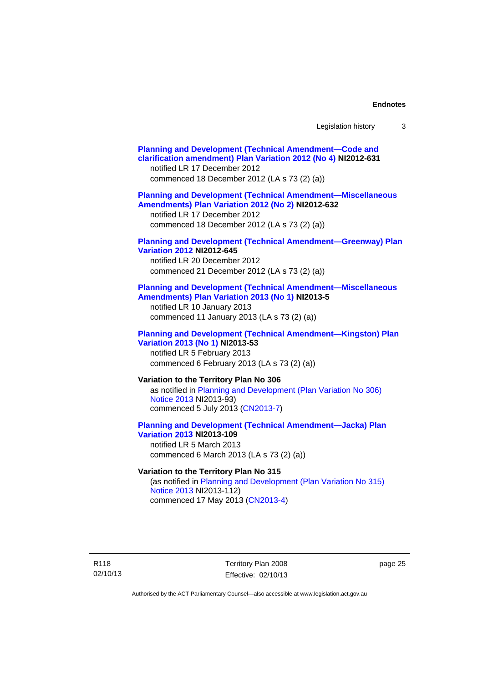| Legislation history |  |
|---------------------|--|
|---------------------|--|

| <b>Planning and Development (Technical Amendment-Code and</b><br>clarification amendment) Plan Variation 2012 (No 4) NI2012-631<br>notified LR 17 December 2012<br>commenced 18 December 2012 (LA s 73 (2) (a)) |
|-----------------------------------------------------------------------------------------------------------------------------------------------------------------------------------------------------------------|
| <b>Planning and Development (Technical Amendment-Miscellaneous</b><br>Amendments) Plan Variation 2012 (No 2) NI2012-632<br>notified LR 17 December 2012<br>commenced 18 December 2012 (LA s 73 (2) (a))         |
| <b>Planning and Development (Technical Amendment-Greenway) Plan</b><br><b>Variation 2012 NI2012-645</b><br>notified LR 20 December 2012<br>commenced 21 December 2012 (LA s 73 (2) (a))                         |
| <b>Planning and Development (Technical Amendment-Miscellaneous</b><br>Amendments) Plan Variation 2013 (No 1) NI2013-5<br>notified LR 10 January 2013<br>commenced 11 January 2013 (LA s 73 (2) (a))             |
| <b>Planning and Development (Technical Amendment-Kingston) Plan</b><br>Variation 2013 (No 1) NI2013-53<br>notified LR 5 February 2013<br>commenced 6 February 2013 (LA s 73 (2) (a))                            |
| Variation to the Territory Plan No 306<br>as notified in Planning and Development (Plan Variation No 306)<br>Notice 2013 NI2013-93)<br>commenced 5 July 2013 (CN2013-7)                                         |
| <b>Planning and Development (Technical Amendment-Jacka) Plan</b><br><b>Variation 2013 NI2013-109</b><br>notified LR 5 March 2013<br>commenced 6 March 2013 (LA s 73 (2) (a))                                    |
| Variation to the Territory Plan No 315<br>(as notified in Planning and Development (Plan Variation No 315)<br>Notice 2013 NI2013-112)                                                                           |

commenced 17 May 2013 [\(CN2013-4\)](http://www.legislation.act.gov.au/cn/2013-4/default.asp)

R118 02/10/13

Territory Plan 2008 Effective: 02/10/13 page 25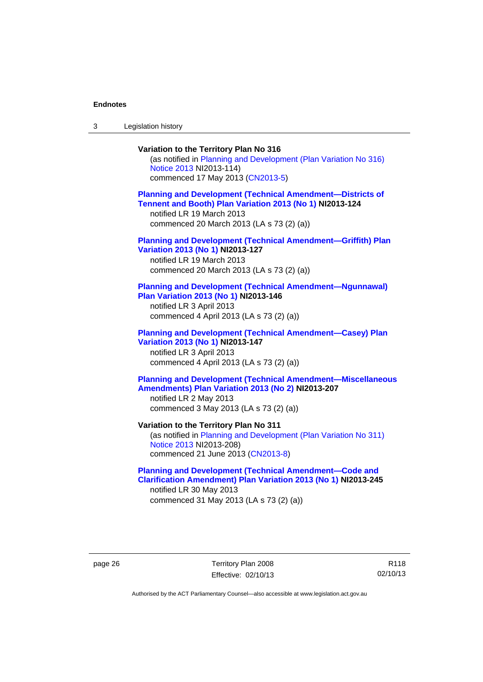3 Legislation history

# **Variation to the Territory Plan No 316**  (as notified in [Planning and Development \(Plan Variation No 316\)](http://www.legislation.act.gov.au/ni/2013-114/default.asp)  [Notice 2013](http://www.legislation.act.gov.au/ni/2013-114/default.asp) NI2013-114) commenced 17 May 2013 [\(CN2013-5\)](http://www.legislation.act.gov.au/cn/2013-5/default.asp) **[Planning and Development \(Technical Amendment—Districts of](http://www.legislation.act.gov.au/ni/2013-124/default.asp)  [Tennent and Booth\) Plan Variation 2013 \(No 1\)](http://www.legislation.act.gov.au/ni/2013-124/default.asp) NI2013-124**  notified LR 19 March 2013 commenced 20 March 2013 (LA s 73 (2) (a)) **[Planning and Development \(Technical Amendment—Griffith\) Plan](http://www.legislation.act.gov.au/ni/2013-127/default.asp)  [Variation 2013 \(No 1\)](http://www.legislation.act.gov.au/ni/2013-127/default.asp) NI2013-127**  notified LR 19 March 2013 commenced 20 March 2013 (LA s 73 (2) (a)) **[Planning and Development \(Technical Amendment—Ngunnawal\)](http://www.legislation.act.gov.au/ni/2013-146/default.asp)  [Plan Variation 2013 \(No 1\)](http://www.legislation.act.gov.au/ni/2013-146/default.asp) NI2013-146**  notified LR 3 April 2013 commenced 4 April 2013 (LA s 73 (2) (a)) **[Planning and Development \(Technical Amendment—Casey\) Plan](http://www.legislation.act.gov.au/ni/2013-147/default.asp)  [Variation 2013 \(No 1\)](http://www.legislation.act.gov.au/ni/2013-147/default.asp) NI2013-147**  notified LR 3 April 2013 commenced 4 April 2013 (LA s 73 (2) (a)) **[Planning and Development \(Technical Amendment—Miscellaneous](http://www.legislation.act.gov.au/ni/2013-207/default.asp)  [Amendments\) Plan Variation 2013 \(No 2\)](http://www.legislation.act.gov.au/ni/2013-207/default.asp) NI2013-207**  notified LR 2 May 2013 commenced 3 May 2013 (LA s 73 (2) (a)) **Variation to the Territory Plan No 311**  (as notified in [Planning and Development \(Plan Variation No 311\)](http://www.legislation.act.gov.au/ni/2013-208/default.asp)  [Notice 2013](http://www.legislation.act.gov.au/ni/2013-208/default.asp) NI2013-208) commenced 21 June 2013 ([CN2013-8\)](http://www.legislation.act.gov.au/cn/2013-8/default.asp) **[Planning and Development \(Technical Amendment—Code and](http://www.legislation.act.gov.au/ni/2013-245/default.asp)  [Clarification Amendment\) Plan Variation 2013 \(No 1\)](http://www.legislation.act.gov.au/ni/2013-245/default.asp) NI2013-245**

notified LR 30 May 2013 commenced 31 May 2013 (LA s 73 (2) (a))

page 26 Territory Plan 2008 Effective: 02/10/13

R118 02/10/13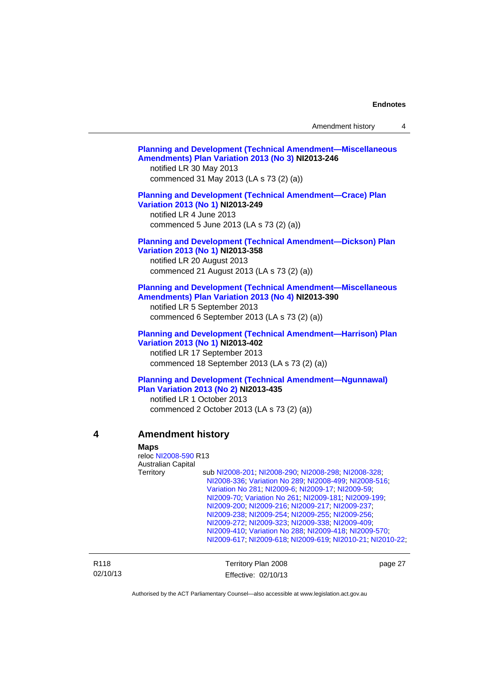|                              | <b>Planning and Development (Technical Amendment-Miscellaneous</b><br>Amendments) Plan Variation 2013 (No 3) NI2013-246<br>notified LR 30 May 2013<br>commenced 31 May 2013 (LA s 73 (2) (a))<br><b>Planning and Development (Technical Amendment-Crace) Plan</b><br>Variation 2013 (No 1) NI2013-249<br>notified LR 4 June 2013<br>commenced 5 June 2013 (LA s 73 (2) (a))<br><b>Planning and Development (Technical Amendment-Dickson) Plan</b><br>Variation 2013 (No 1) NI2013-358<br>notified LR 20 August 2013                                                                                            |
|------------------------------|----------------------------------------------------------------------------------------------------------------------------------------------------------------------------------------------------------------------------------------------------------------------------------------------------------------------------------------------------------------------------------------------------------------------------------------------------------------------------------------------------------------------------------------------------------------------------------------------------------------|
|                              | commenced 21 August 2013 (LA s 73 (2) (a))<br><b>Planning and Development (Technical Amendment-Miscellaneous</b><br>Amendments) Plan Variation 2013 (No 4) NI2013-390<br>notified LR 5 September 2013<br>commenced 6 September 2013 (LA s 73 (2) (a))                                                                                                                                                                                                                                                                                                                                                          |
|                              | <b>Planning and Development (Technical Amendment-Harrison) Plan</b><br>Variation 2013 (No 1) NI2013-402<br>notified LR 17 September 2013<br>commenced 18 September 2013 (LA s 73 (2) (a))                                                                                                                                                                                                                                                                                                                                                                                                                      |
|                              | <b>Planning and Development (Technical Amendment-Ngunnawal)</b><br>Plan Variation 2013 (No 2) NI2013-435<br>notified LR 1 October 2013<br>commenced 2 October 2013 (LA s 73 (2) (a))                                                                                                                                                                                                                                                                                                                                                                                                                           |
| 4                            | <b>Amendment history</b><br><b>Maps</b><br>reloc NI2008-590 R13<br>Australian Capital<br>Territory<br>sub NI2008-201; NI2008-290; NI2008-298; NI2008-328;<br>NI2008-336; Variation No 289; NI2008-499; NI2008-516;<br>Variation No 281; NI2009-6; NI2009-17; NI2009-59;<br>NI2009-70; Variation No 261; NI2009-181; NI2009-199;<br>NI2009-200; NI2009-216; NI2009-217; NI2009-237;<br>NI2009-238; NI2009-254; NI2009-255; NI2009-256;<br>NI2009-272; NI2009-323; NI2009-338; NI2009-409;<br>NI2009-410; Variation No 288; NI2009-418; NI2009-570;<br>NI2009-617, NI2009-618, NI2009-619, NI2010-21, NI2010-22, |
| R <sub>118</sub><br>02/10/13 | Territory Plan 2008<br>page 27<br>Effective: 02/10/13                                                                                                                                                                                                                                                                                                                                                                                                                                                                                                                                                          |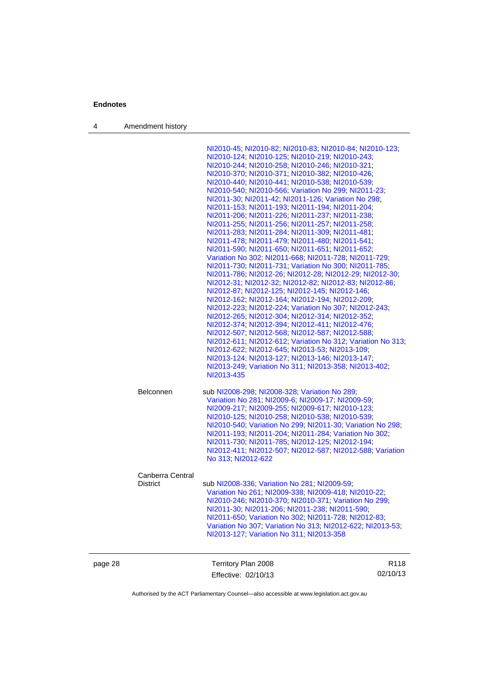4 Amendment history

Authorised by the ACT Parliamentary Counsel—also accessible at www.legislation.act.gov.au

02/10/13

Effective: 02/10/13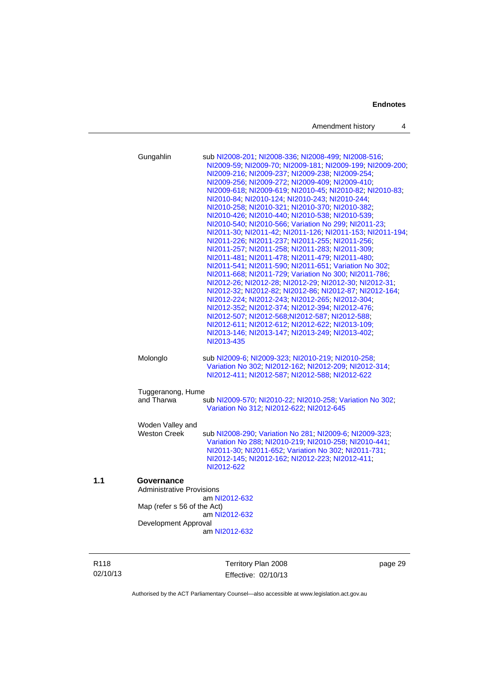| Amendment history |  |
|-------------------|--|
|-------------------|--|

|     | Gungahlin                                                                                             | sub NI2008-201, NI2008-336, NI2008-499, NI2008-516;<br>NI2009-59; NI2009-70; NI2009-181; NI2009-199; NI2009-200;<br>NI2009-216, NI2009-237, NI2009-238, NI2009-254,<br>NI2009-256, NI2009-272, NI2009-409, NI2009-410;<br>NI2009-618, NI2009-619, NI2010-45, NI2010-82, NI2010-83,<br>NI2010-84, NI2010-124, NI2010-243, NI2010-244,<br>NI2010-258; NI2010-321; NI2010-370; NI2010-382;<br>NI2010-426; NI2010-440; NI2010-538; NI2010-539;<br>NI2010-540; NI2010-566; Variation No 299; NI2011-23;<br>NI2011-30, NI2011-42, NI2011-126, NI2011-153, NI2011-194,<br>NI2011-226, NI2011-237, NI2011-255, NI2011-256,<br>NI2011-257; NI2011-258; NI2011-283; NI2011-309;<br>NI2011-481, NI2011-478, NI2011-479, NI2011-480,<br>NI2011-541, NI2011-590, NI2011-651, Variation No 302,<br>NI2011-668, NI2011-729, Variation No 300, NI2011-786,<br>NI2012-26; NI2012-28; NI2012-29; NI2012-30; NI2012-31;<br>NI2012-32; NI2012-82; NI2012-86; NI2012-87; NI2012-164;<br>NI2012-224, NI2012-243, NI2012-265, NI2012-304,<br>NI2012-352; NI2012-374; NI2012-394; NI2012-476;<br>NI2012-507, NI2012-568, NI2012-587, NI2012-588,<br>NI2012-611, NI2012-612, NI2012-622, NI2013-109;<br>NI2013-146; NI2013-147, NI2013-249, NI2013-402,<br>NI2013-435 |
|-----|-------------------------------------------------------------------------------------------------------|----------------------------------------------------------------------------------------------------------------------------------------------------------------------------------------------------------------------------------------------------------------------------------------------------------------------------------------------------------------------------------------------------------------------------------------------------------------------------------------------------------------------------------------------------------------------------------------------------------------------------------------------------------------------------------------------------------------------------------------------------------------------------------------------------------------------------------------------------------------------------------------------------------------------------------------------------------------------------------------------------------------------------------------------------------------------------------------------------------------------------------------------------------------------------------------------------------------------------------------------|
|     | Molonglo                                                                                              | sub NI2009-6; NI2009-323; NI2010-219; NI2010-258;<br>Variation No 302; NI2012-162; NI2012-209; NI2012-314;<br>NI2012-411, NI2012-587, NI2012-588, NI2012-622                                                                                                                                                                                                                                                                                                                                                                                                                                                                                                                                                                                                                                                                                                                                                                                                                                                                                                                                                                                                                                                                                 |
|     | Tuggeranong, Hume                                                                                     |                                                                                                                                                                                                                                                                                                                                                                                                                                                                                                                                                                                                                                                                                                                                                                                                                                                                                                                                                                                                                                                                                                                                                                                                                                              |
|     | and Tharwa                                                                                            | sub NI2009-570; NI2010-22; NI2010-258; Variation No 302;<br>Variation No 312, NI2012-622, NI2012-645                                                                                                                                                                                                                                                                                                                                                                                                                                                                                                                                                                                                                                                                                                                                                                                                                                                                                                                                                                                                                                                                                                                                         |
|     | Woden Valley and<br><b>Weston Creek</b>                                                               | sub NI2008-290; Variation No 281; NI2009-6; NI2009-323;<br>Variation No 288, NI2010-219, NI2010-258, NI2010-441,<br>NI2011-30, NI2011-652, Variation No 302, NI2011-731,<br>NI2012-145; NI2012-162; NI2012-223; NI2012-411;<br>NI2012-622                                                                                                                                                                                                                                                                                                                                                                                                                                                                                                                                                                                                                                                                                                                                                                                                                                                                                                                                                                                                    |
| 1.1 | Governance<br><b>Administrative Provisions</b><br>Map (refer s 56 of the Act)<br>Development Approval | am NI2012-632<br>am NI2012-632<br>am NI2012-632                                                                                                                                                                                                                                                                                                                                                                                                                                                                                                                                                                                                                                                                                                                                                                                                                                                                                                                                                                                                                                                                                                                                                                                              |

R118 02/10/13 Territory Plan 2008 Effective: 02/10/13

page 29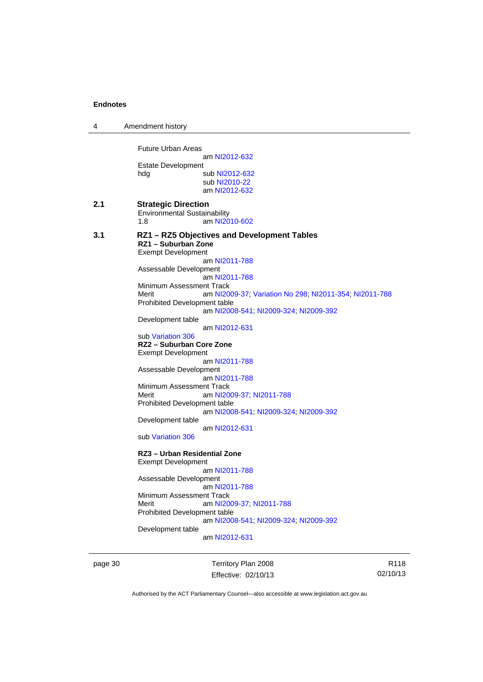| 4   | Amendment history                                                                                                                                                                                                                                                                                                                                                                                                                                                                                                                                                                                                                                                                                                               |
|-----|---------------------------------------------------------------------------------------------------------------------------------------------------------------------------------------------------------------------------------------------------------------------------------------------------------------------------------------------------------------------------------------------------------------------------------------------------------------------------------------------------------------------------------------------------------------------------------------------------------------------------------------------------------------------------------------------------------------------------------|
|     | <b>Future Urban Areas</b><br>am NI2012-632<br>Estate Development<br>hdg<br>sub NI2012-632<br>sub NI2010-22<br>am NI2012-632                                                                                                                                                                                                                                                                                                                                                                                                                                                                                                                                                                                                     |
| 2.1 | <b>Strategic Direction</b><br><b>Environmental Sustainability</b><br>1.8<br>am NI2010-602                                                                                                                                                                                                                                                                                                                                                                                                                                                                                                                                                                                                                                       |
| 3.1 | RZ1 - RZ5 Objectives and Development Tables<br>RZ1 - Suburban Zone<br><b>Exempt Development</b><br>am NI2011-788<br>Assessable Development<br>am NI2011-788<br>Minimum Assessment Track<br>Merit<br>am NI2009-37; Variation No 298; NI2011-354; NI2011-788<br><b>Prohibited Development table</b><br>am NI2008-541; NI2009-324; NI2009-392<br>Development table<br>am NI2012-631<br>sub Variation 306<br>RZ2 - Suburban Core Zone<br><b>Exempt Development</b><br>am NI2011-788<br>Assessable Development<br>am NI2011-788<br>Minimum Assessment Track<br>Merit<br>am NI2009-37, NI2011-788<br>Prohibited Development table<br>am NI2008-541; NI2009-324; NI2009-392<br>Development table<br>am NI2012-631<br>sub Variation 306 |
|     | RZ3 - Urban Residential Zone<br><b>Exempt Development</b><br>am NI2011-788<br>Assessable Development<br>am NI2011-788<br>Minimum Assessment Track<br>am NI2009-37; NI2011-788<br>Merit<br>Prohibited Development table<br>am NI2008-541; NI2009-324; NI2009-392<br>Development table<br>am NI2012-631                                                                                                                                                                                                                                                                                                                                                                                                                           |

page 30 Territory Plan 2008 Effective: 02/10/13

R118 02/10/13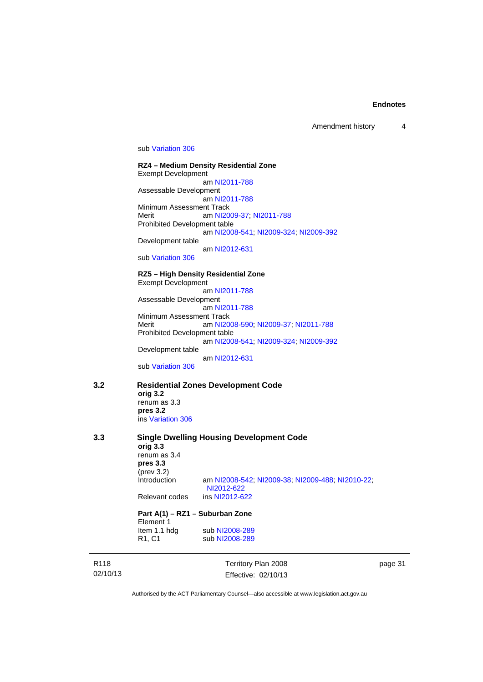Amendment history 4

#### sub [Variation 306](http://www.legislation.act.gov.au/ni/2013-93/default.asp)

**RZ4 – Medium Density Residential Zone**  Exempt Development am [NI2011-788](http://www.legislation.act.gov.au/ni/2011-788/) Assessable Development am [NI2011-788](http://www.legislation.act.gov.au/ni/2011-788/) Minimum Assessment Track Merit **am [NI2009-37](http://www.legislation.act.gov.au/ni/2009-37/); [NI2011-788](http://www.legislation.act.gov.au/ni/2011-788/)** Prohibited Development table am [NI2008-541](http://www.legislation.act.gov.au/ni/2008-541/); [NI2009-324](http://www.legislation.act.gov.au/ni/2009-324/); [NI2009-392](http://www.legislation.act.gov.au/ni/2009-392/) Development table

am [NI2012-631](http://www.legislation.act.gov.au/ni/2012-631/default.asp)

sub [Variation 306](http://www.legislation.act.gov.au/ni/2013-93/default.asp)

### **RZ5 – High Density Residential Zone**

Exempt Development am [NI2011-788](http://www.legislation.act.gov.au/ni/2011-788/) Assessable Development am [NI2011-788](http://www.legislation.act.gov.au/ni/2011-788/) Minimum Assessment Track Merit am [NI2008-590](http://www.legislation.act.gov.au/ni/2008-590/default.asp); [NI2009-37](http://www.legislation.act.gov.au/ni/2009-37/); [NI2011-788](http://www.legislation.act.gov.au/ni/2011-788/) Prohibited Development table am [NI2008-541](http://www.legislation.act.gov.au/ni/2008-541/); [NI2009-324](http://www.legislation.act.gov.au/ni/2009-324/); [NI2009-392](http://www.legislation.act.gov.au/ni/2009-392/) Development table

am [NI2012-631](http://www.legislation.act.gov.au/ni/2012-631/default.asp)

sub [Variation 306](http://www.legislation.act.gov.au/ni/2013-93/default.asp)

### **3.2 Residential Zones Development Code**

**orig 3.2**  renum as 3.3 **pres 3.2**  ins [Variation 306](http://www.legislation.act.gov.au/ni/2013-93/default.asp)

| 3.3              | <b>Single Dwelling Housing Development Code</b><br>orig 3.3<br>renum as $3.4$<br>pres 3.3<br>$(\text{prev } 3.2)$<br>Introduction<br>am NI2008-542; NI2009-38; NI2009-488; NI2010-22;<br>NI2012-622 |                     |      |  |
|------------------|-----------------------------------------------------------------------------------------------------------------------------------------------------------------------------------------------------|---------------------|------|--|
|                  | Relevant codes                                                                                                                                                                                      | ins NI2012-622      |      |  |
|                  | Part A(1) – RZ1 – Suburban Zone<br>Element 1                                                                                                                                                        |                     |      |  |
|                  | Item 1.1 hdg                                                                                                                                                                                        | sub NI2008-289      |      |  |
|                  | R <sub>1</sub> , C <sub>1</sub>                                                                                                                                                                     | sub NI2008-289      |      |  |
| R <sub>118</sub> |                                                                                                                                                                                                     | Territory Plan 2008 | page |  |

02/10/13

Territory Plan 2008 Effective: 02/10/13 page 31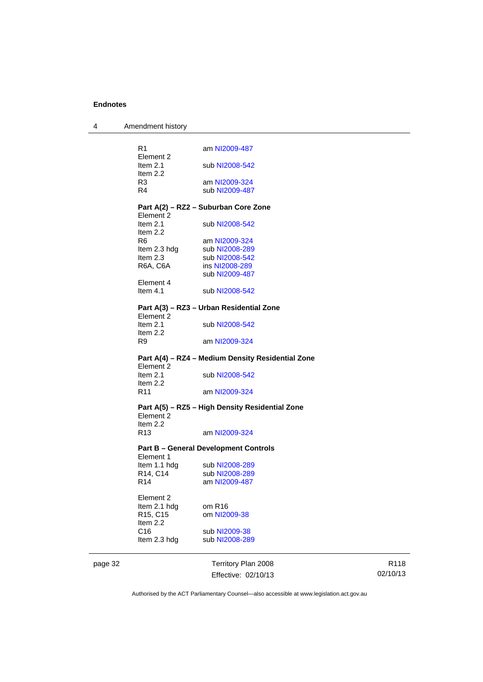| 4       | Amendment history                 |                                                   |
|---------|-----------------------------------|---------------------------------------------------|
|         | R <sub>1</sub>                    | am NI2009-487                                     |
|         | Element 2                         |                                                   |
|         | Item $2.1$                        | sub NI2008-542                                    |
|         | Item 2.2                          |                                                   |
|         | R <sub>3</sub>                    | am NI2009-324                                     |
|         | R <sub>4</sub>                    | sub NI2009-487                                    |
|         |                                   |                                                   |
|         |                                   | Part A(2) – RZ2 – Suburban Core Zone              |
|         | Element 2                         |                                                   |
|         | Item $2.1$                        | sub NI2008-542                                    |
|         | Item 2.2                          |                                                   |
|         | R <sub>6</sub>                    | am NI2009-324                                     |
|         | Item 2.3 hdg                      | sub NI2008-289                                    |
|         | Item $2.3$                        | sub NI2008-542                                    |
|         | R6A, C6A                          | ins NI2008-289                                    |
|         |                                   | sub NI2009-487                                    |
|         | Element 4                         |                                                   |
|         | Item $4.1$                        | sub NI2008-542                                    |
|         |                                   |                                                   |
|         | Element 2                         | Part A(3) - RZ3 - Urban Residential Zone          |
|         | Item $2.1$                        | sub NI2008-542                                    |
|         | Item 2.2                          |                                                   |
|         | R9                                | am NI2009-324                                     |
|         |                                   |                                                   |
|         |                                   | Part A(4) - RZ4 - Medium Density Residential Zone |
|         | Element 2                         |                                                   |
|         | Item $2.1$                        | sub NI2008-542                                    |
|         | Item 2.2                          |                                                   |
|         | R11                               | am NI2009-324                                     |
|         |                                   | Part A(5) – RZ5 – High Density Residential Zone   |
|         | Element 2                         |                                                   |
|         | Item $2.2$                        |                                                   |
|         | R <sub>13</sub>                   | am NI2009-324                                     |
|         |                                   |                                                   |
|         | Element 1                         | <b>Part B - General Development Controls</b>      |
|         |                                   |                                                   |
|         | Item 1.1 hdg                      | sub NI2008-289                                    |
|         | R14, C14<br>R <sub>14</sub>       | sub NI2008-289<br>am NI2009-487                   |
|         |                                   |                                                   |
|         | Element 2                         |                                                   |
|         | Item 2.1 hdg                      | om R <sub>16</sub>                                |
|         | R <sub>15</sub> , C <sub>15</sub> | om NI2009-38                                      |
|         | Item 2.2                          |                                                   |
|         | C <sub>16</sub>                   | sub NI2009-38                                     |
|         | Item 2.3 hdg                      | sub NI2008-289                                    |
|         |                                   |                                                   |
| page 32 |                                   | Territory Plan 2008                               |
|         |                                   |                                                   |

Effective: 02/10/13

R118 02/10/13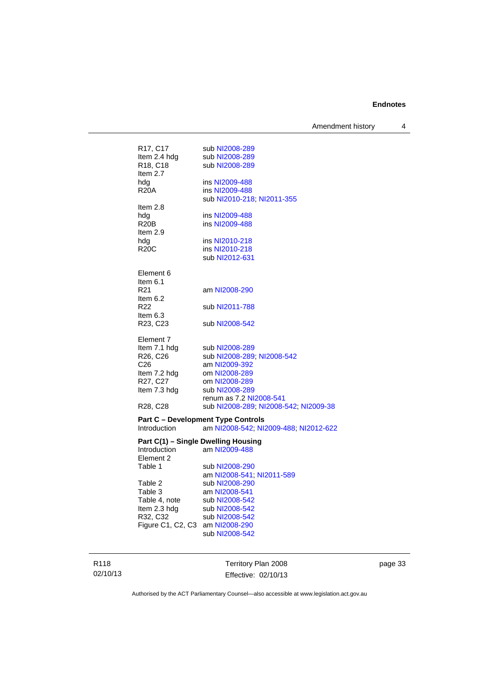Amendment history 4

| R17, C17                            | sub NI2008-289                               |
|-------------------------------------|----------------------------------------------|
| Item 2.4 hdg                        | sub NI2008-289                               |
| R18, C18                            | sub NI2008-289                               |
| Item 2.7                            |                                              |
| hdg                                 | ins NI2009-488                               |
| <b>R20A</b>                         | ins NI2009-488<br>sub NI2010-218; NI2011-355 |
| Item 2.8                            |                                              |
| hdg                                 | ins NI2009-488                               |
| R <sub>20</sub> B                   | ins NI2009-488                               |
| Item 2.9                            |                                              |
| hdg                                 | ins NI2010-218                               |
| <b>R20C</b>                         | ins NI2010-218                               |
|                                     | sub NI2012-631                               |
|                                     |                                              |
| Element 6                           |                                              |
| Item 6.1                            |                                              |
| R <sub>21</sub>                     | am NI2008-290                                |
| Item $6.2$<br>R <sub>22</sub>       | sub NI2011-788                               |
| Item $6.3$                          |                                              |
| R23, C23                            | sub NI2008-542                               |
|                                     |                                              |
| Element 7                           |                                              |
| Item 7.1 hdg                        | sub NI2008-289                               |
| R26, C26                            | sub NI2008-289; NI2008-542                   |
| C <sub>26</sub>                     | am NI2009-392                                |
| Item 7.2 hdg                        | om NI2008-289                                |
| R27, C27                            | om NI2008-289                                |
| Item 7.3 hdg                        | sub NI2008-289                               |
|                                     | renum as 7.2 NI2008-541                      |
| R <sub>28</sub> , C <sub>28</sub>   | sub NI2008-289; NI2008-542; NI2009-38        |
|                                     | <b>Part C - Development Type Controls</b>    |
| Introduction                        | am NI2008-542; NI2009-488; NI2012-622        |
| Part C(1) - Single Dwelling Housing |                                              |
| <b>Introduction</b>                 | am NI2009-488                                |
| Element 2                           |                                              |
| Table 1                             | sub NI2008-290                               |
|                                     | am NI2008-541; NI2011-589                    |
| Table 2                             | sub NI2008-290                               |
| Table 3                             | am NI2008-541                                |
| Table 4, note                       | sub NI2008-542                               |
| Item 2.3 hdg                        | sub NI2008-542                               |
| R32, C32                            | sub NI2008-542                               |
| Figure C1, C2, C3 am NI2008-290     |                                              |
|                                     | sub NI2008-542                               |
|                                     |                                              |
|                                     |                                              |

R118 02/10/13

Territory Plan 2008 Effective: 02/10/13 page 33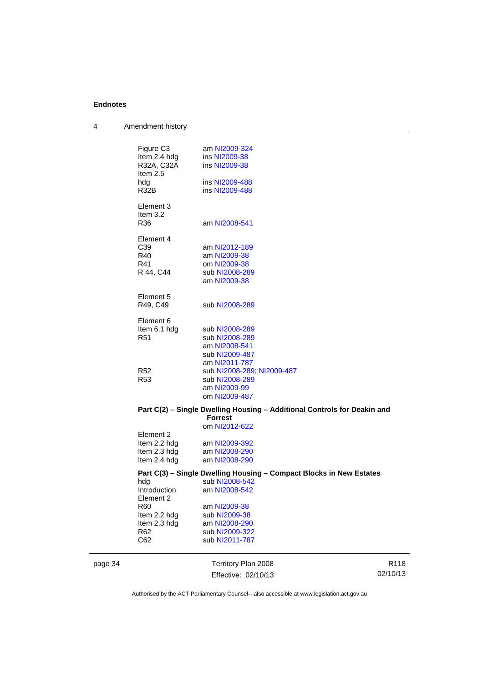| 4       | Amendment history                                                                      |                                                                                                             |                  |
|---------|----------------------------------------------------------------------------------------|-------------------------------------------------------------------------------------------------------------|------------------|
|         | Figure C <sub>3</sub><br>Item 2.4 hdg<br>R32A, C32A<br>Item $2.5$<br>hdg<br>R32B       | am NI2009-324<br>ins NI2009-38<br>ins NI2009-38<br>ins NI2009-488<br>ins NI2009-488                         |                  |
|         | Element 3<br>Item 3.2<br>R36                                                           | am NI2008-541                                                                                               |                  |
|         | Element 4<br>C39<br>R40<br>R41<br>R 44, C44                                            | am NI2012-189<br>am NI2009-38<br>om NI2009-38<br>sub NI2008-289<br>am NI2009-38                             |                  |
|         | Element 5<br>R49, C49                                                                  | sub NI2008-289                                                                                              |                  |
|         | Element 6<br>Item 6.1 hdg<br>R <sub>51</sub>                                           | sub NI2008-289<br>sub NI2008-289<br>am NI2008-541<br>sub NI2009-487<br>am NI2011-787                        |                  |
|         | R52<br>R <sub>53</sub>                                                                 | sub NI2008-289, NI2009-487<br>sub NI2008-289<br>am NI2009-99<br>om NI2009-487                               |                  |
|         |                                                                                        | Part C(2) - Single Dwelling Housing - Additional Controls for Deakin and<br><b>Forrest</b><br>om NI2012-622 |                  |
|         | Element 2<br>Item 2.2 hdg<br>Item 2.3 hdg<br>Item 2.4 hdg                              | am NI2009-392<br>am NI2008-290<br>am NI2008-290                                                             |                  |
|         | hdg<br>Introduction                                                                    | Part C(3) - Single Dwelling Housing - Compact Blocks in New Estates<br>sub NI2008-542<br>am NI2008-542      |                  |
|         | Element 2<br>R <sub>60</sub><br>Item 2.2 hdg<br>Item 2.3 hdg<br>R <sub>62</sub><br>C62 | am NI2009-38<br>sub NI2009-38<br>am NI2008-290<br>sub NI2009-322<br>sub NI2011-787                          |                  |
| page 34 |                                                                                        | Territory Plan 2008<br>Effective: 02/10/13                                                                  | R118<br>02/10/13 |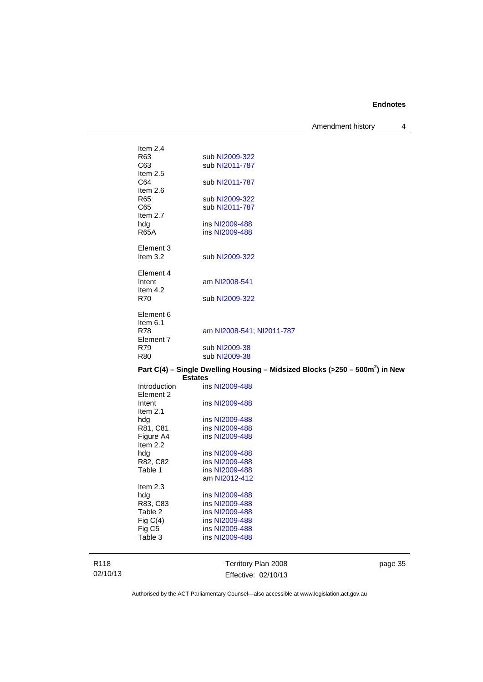Amendment history 4

| Item $2.4$              |                                                                                 |
|-------------------------|---------------------------------------------------------------------------------|
| R63                     | sub NI2009-322                                                                  |
| C63                     | sub NI2011-787                                                                  |
| Item $2.5$              |                                                                                 |
| C64                     | sub NI2011-787                                                                  |
| Item $2.6$              |                                                                                 |
| R <sub>65</sub>         | sub NI2009-322                                                                  |
| C65                     | sub NI2011-787                                                                  |
| Item $2.7$              | ins NI2009-488                                                                  |
| hdg<br><b>R65A</b>      | ins NI2009-488                                                                  |
|                         |                                                                                 |
| Element 3               |                                                                                 |
| Item $3.2$              | sub NI2009-322                                                                  |
|                         |                                                                                 |
| Element 4               |                                                                                 |
| Intent                  | am NI2008-541                                                                   |
| Item $4.2$              |                                                                                 |
| <b>R70</b>              | sub NI2009-322                                                                  |
|                         |                                                                                 |
| Element 6               |                                                                                 |
| Item $6.1$              |                                                                                 |
| <b>R78</b><br>Element 7 | am NI2008-541; NI2011-787                                                       |
| R79                     | sub NI2009-38                                                                   |
| <b>R80</b>              | sub NI2009-38                                                                   |
|                         |                                                                                 |
|                         | Part C(4) – Single Dwelling Housing – Midsized Blocks (>250 – 500 $m2$ ) in New |
| <b>Estates</b>          |                                                                                 |
| Introduction            | ins NI2009-488                                                                  |
| Element 2               |                                                                                 |
| Intent                  | ins NI2009-488                                                                  |
| Item $2.1$              |                                                                                 |
| hdg                     | ins NI2009-488                                                                  |
| R81, C81                | ins NI2009-488                                                                  |
| Figure A4               | ins NI2009-488                                                                  |

R118 02/10/13 Item 2.2<br>hdg<br>R82, C82

Item 2.3<br>hdg<br>R83, C83

Territory Plan 2008 Effective: 02/10/13 page 35

Authorised by the ACT Parliamentary Counsel—also accessible at www.legislation.act.gov.au

ins [NI2009-488](http://www.legislation.act.gov.au/ni/2009-488/)

ins [NI2009-488](http://www.legislation.act.gov.au/ni/2009-488/) am [NI2012-412](http://www.legislation.act.gov.au/ni/2012-412/)

ins [NI2009-488](http://www.legislation.act.gov.au/ni/2009-488/)

ins [NI2009-488](http://www.legislation.act.gov.au/ni/2009-488/)

R82, C82 ins [NI2009-488](http://www.legislation.act.gov.au/ni/2009-488/)<br>Table 1 ins NI2009-488

R83, C83 ins [NI2009-488](http://www.legislation.act.gov.au/ni/2009-488/)<br>Table 2 ins NI2009-488 Table 2 ins [NI2009-488](http://www.legislation.act.gov.au/ni/2009-488/)<br>Fig C(4) ins NI2009-488 Fig C(4) ins [NI2009-488](http://www.legislation.act.gov.au/ni/2009-488/)<br>Fig C5 ins NI2009-488 Fig C5 ins [NI2009-488](http://www.legislation.act.gov.au/ni/2009-488/)<br>Table 3 ins NI2009-488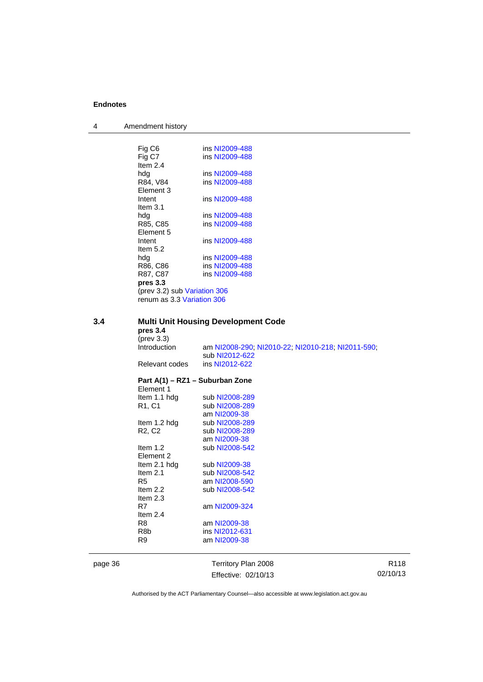| $\overline{4}$ | Amendment history |  |
|----------------|-------------------|--|
|----------------|-------------------|--|

|     | Fig C6                                     | ins NI2009-488                                    |  |
|-----|--------------------------------------------|---------------------------------------------------|--|
|     | Fig C7                                     | ins NI2009-488                                    |  |
|     | Item $2.4$                                 |                                                   |  |
|     | hdg                                        | ins NI2009-488                                    |  |
|     | R84, V84                                   | ins NI2009-488                                    |  |
|     | Element 3                                  |                                                   |  |
|     | Intent<br>Item $3.1$                       | ins NI2009-488                                    |  |
|     | hdg                                        | ins NI2009-488                                    |  |
|     | R85, C85                                   | ins NI2009-488                                    |  |
|     | Element 5                                  |                                                   |  |
|     | Intent                                     | ins NI2009-488                                    |  |
|     | Item $5.2$                                 |                                                   |  |
|     | hdg                                        | ins NI2009-488                                    |  |
|     | R86, C86                                   | ins NI2009-488                                    |  |
|     | R87, C87                                   | ins NI2009-488                                    |  |
|     | pres 3.3                                   |                                                   |  |
|     | (prev 3.2) sub Variation 306               |                                                   |  |
|     | renum as 3.3 Variation 306                 |                                                   |  |
|     |                                            |                                                   |  |
| 3.4 | <b>Multi Unit Housing Development Code</b> |                                                   |  |
|     | pres 3.4                                   |                                                   |  |
|     | $(\text{prev } 3.3)$                       |                                                   |  |
|     |                                            |                                                   |  |
|     | Introduction                               | am NI2008-290; NI2010-22; NI2010-218; NI2011-590; |  |
|     |                                            | sub NI2012-622                                    |  |
|     | Relevant codes                             | ins NI2012-622                                    |  |
|     |                                            |                                                   |  |
|     |                                            | Part A(1) – RZ1 – Suburban Zone                   |  |
|     | Element 1<br>Item 1.1 hdg                  | sub NI2008-289                                    |  |
|     |                                            | sub NI2008-289                                    |  |
|     | R <sub>1</sub> , C <sub>1</sub>            | am NI2009-38                                      |  |
|     | Item 1.2 hdg                               | sub NI2008-289                                    |  |
|     | R <sub>2</sub> , C <sub>2</sub>            | sub NI2008-289                                    |  |
|     |                                            | am NI2009-38                                      |  |
|     | Item $1.2$                                 | sub NI2008-542                                    |  |
|     | Element 2                                  |                                                   |  |
|     | Item 2.1 hdg                               | sub NI2009-38                                     |  |
|     | Item $2.1$                                 | sub NI2008-542                                    |  |
|     | R5<br>Item $2.2$                           | am NI2008-590<br>sub NI2008-542                   |  |

Item 2.3<br>R7

Item 2.4<br>R8

page 36 Territory Plan 2008 Effective: 02/10/13

am [NI2009-324](http://www.legislation.act.gov.au/ni/2009-324/)

am [NI2009-38](http://www.legislation.act.gov.au/ni/2009-38/)

R8b ins [NI2012-631](http://www.legislation.act.gov.au/ni/2012-631/default.asp) R9 am [NI2009-38](http://www.legislation.act.gov.au/ni/2009-38/)

> R118 02/10/13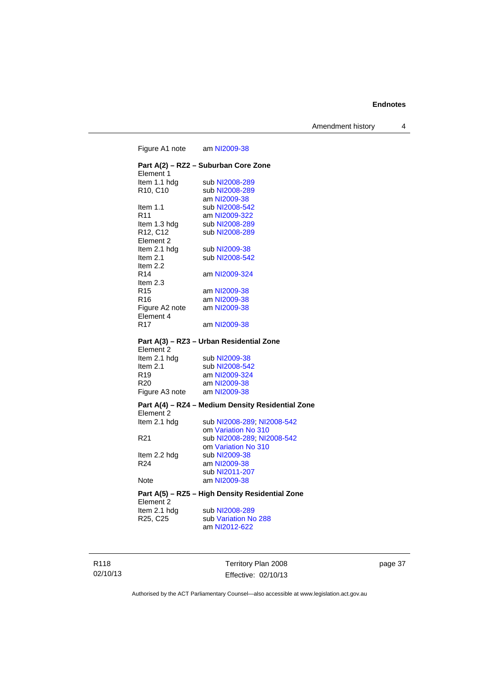Amendment history 4

Figure A1 note am [NI2009-38](http://www.legislation.act.gov.au/ni/2009-38/) **Part A(2) – RZ2 – Suburban Core Zone**  Element 1<br>Item 1.1 hdg Item 1.1 hdg sub [NI2008-289](http://www.legislation.act.gov.au/ni/2008-289/)<br>R10, C10 sub NI2008-289 sub [NI2008-289](http://www.legislation.act.gov.au/ni/2008-289/) am [NI2009-38](http://www.legislation.act.gov.au/ni/2009-38/) Item 1.1 sub [NI2008-542](http://www.legislation.act.gov.au/ni/2008-542/) R11 am [NI2009-322](http://www.legislation.act.gov.au/ni/2009-322/) Item 1.3 hdg sub [NI2008-289](http://www.legislation.act.gov.au/ni/2008-289/) R12, C12 sub [NI2008-289](http://www.legislation.act.gov.au/ni/2008-289/) Element 2<br>Item 2.1 hdg Item 2.1 hdg sub [NI2009-38](http://www.legislation.act.gov.au/ni/2009-38/)<br>Item 2.1 sub NI2008-54 sub [NI2008-542](http://www.legislation.act.gov.au/ni/2008-542/) Item 2.2 R14 am [NI2009-324](http://www.legislation.act.gov.au/ni/2009-324/) Item  $2.3$ <br>R<sub>15</sub> am [NI2009-38](http://www.legislation.act.gov.au/ni/2009-38/) R16 am [NI2009-38](http://www.legislation.act.gov.au/ni/2009-38/)<br>Figure A2 note am NI2009-38 Figure A2 note Element 4 R17 am [NI2009-38](http://www.legislation.act.gov.au/ni/2009-38/) **Part A(3) – RZ3 – Urban Residential Zone**  Element 2<br>Item 2.1 hdg Item 2.1 hdg sub [NI2009-38](http://www.legislation.act.gov.au/ni/2009-38/)<br>Item 2.1 sub NI2008-54 sub [NI2008-542](http://www.legislation.act.gov.au/ni/2008-542/) R19 am [NI2009-324](http://www.legislation.act.gov.au/ni/2009-324/) R20 am [NI2009-38](http://www.legislation.act.gov.au/ni/2009-38/)<br>Figure A3 note am NI2009-38 Figure A3 note **Part A(4) – RZ4 – Medium Density Residential Zone**  Element 2<br>Item 2.1 hdg sub [NI2008-289](http://www.legislation.act.gov.au/ni/2008-289/); [NI2008-542](http://www.legislation.act.gov.au/ni/2008-542/) om [Variation No 310](http://www.legislation.act.gov.au/ni/2011-688/) R21 sub [NI2008-289](http://www.legislation.act.gov.au/ni/2008-289/); [NI2008-542](http://www.legislation.act.gov.au/ni/2008-542/) om [Variation No 310](http://www.legislation.act.gov.au/ni/2011-688/)<br>Item 2.2 hdg sub NI2009-38 sub [NI2009-38](http://www.legislation.act.gov.au/ni/2009-38/) R24 am [NI2009-38](http://www.legislation.act.gov.au/ni/2009-38/) sub [NI2011-207](http://www.legislation.act.gov.au/ni/2011-207/) Note am [NI2009-38](http://www.legislation.act.gov.au/ni/2009-38/) **Part A(5) – RZ5 – High Density Residential Zone**  Element 2 Item 2.1 hdg sub [NI2008-289](http://www.legislation.act.gov.au/ni/2008-289/)<br>R25, C25 sub Variation No sub [Variation No 288](http://www.legislation.act.gov.au/ni/2009-391/) am [NI2012-622](http://www.legislation.act.gov.au/ni/2012-622/default.asp)

R118 02/10/13 Territory Plan 2008 Effective: 02/10/13 page 37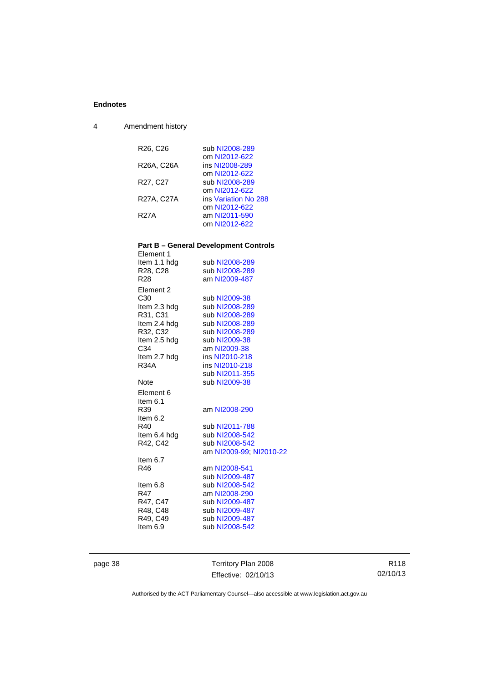4 Amendment history

| R <sub>26</sub> , C <sub>26</sub> | sub NI2008-289                               |
|-----------------------------------|----------------------------------------------|
|                                   | om NI2012-622                                |
| R26A, C26A                        | ins NI2008-289                               |
|                                   | om NI2012-622                                |
| R <sub>27</sub> , C <sub>27</sub> | sub NI2008-289                               |
|                                   | om NI2012-622                                |
| R27A, C27A                        | ins Variation No 288                         |
|                                   | om NI2012-622                                |
| <b>R27A</b>                       | am NI2011-590                                |
|                                   | om NI2012-622                                |
|                                   | <b>Part B - General Development Controls</b> |
| Element 1                         |                                              |
| Item 1.1 hdg                      | sub NI2008-289                               |
| R28, C28                          | sub NI2008-289                               |
| R <sub>28</sub>                   | am NI2009-487                                |
| Element 2                         |                                              |
| C30                               | sub NI2009-38                                |
| Item 2.3 hdg                      | sub NI2008-289                               |
| R31, C31                          | sub NI2008-289                               |
| Item 2.4 hdg                      | sub NI2008-289                               |
| R32, C32                          | sub NI2008-289                               |
| Item 2.5 hdg                      | sub NI2009-38                                |
| C34                               | am NI2009-38                                 |
| Item 2.7 hdg<br>R34A              | ins NI2010-218<br>ins NI2010-218             |
|                                   | sub NI2011-355                               |
| Note                              | sub NI2009-38                                |
| Element 6                         |                                              |
| Item $6.1$                        |                                              |
| R39                               | am NI2008-290                                |
| Item $6.2$                        |                                              |
| R40                               | sub NI2011-788                               |
| Item 6.4 hdg                      | sub NI2008-542                               |
| R42, C42                          | sub NI2008-542                               |
|                                   | am NI2009-99, NI2010-22                      |
| Item $6.7$                        |                                              |
| R46                               | am NI2008-541                                |
|                                   | sub NI2009-487                               |
| Item $6.8$                        | sub NI2008-542                               |
| R47                               | am NI2008-290                                |
| R47, C47                          | sub NI2009-487                               |
| R48, C48                          | sub NI2009-487                               |
| R49, C49                          | sub NI2009-487                               |
| Item $6.9$                        | sub NI2008-542                               |
|                                   |                                              |

page 38 Territory Plan 2008 Effective: 02/10/13

R118 02/10/13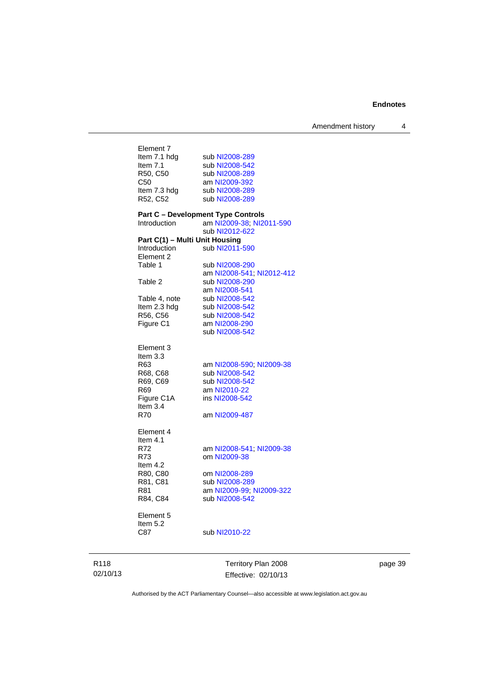|                                                | Territory Plan 2008                       |
|------------------------------------------------|-------------------------------------------|
| Element 5<br>Item 5.2<br>C87                   | sub NI2010-22                             |
| R84, C84                                       | sub NI2008-542                            |
| R81                                            | am NI2009-99; NI2009-322                  |
| R81, C81                                       | sub NI2008-289                            |
| R80, C80                                       | om NI2008-289                             |
| Item $4.2$                                     |                                           |
| R73                                            | om NI2009-38                              |
| R72                                            | am NI2008-541, NI2009-38                  |
| Element 4<br>Item $4.1$                        |                                           |
|                                                |                                           |
| <b>R70</b>                                     | am NI2009-487                             |
| Item $3.4$                                     |                                           |
| Figure C1A                                     | ins NI2008-542                            |
| R69, C69<br>R69                                | sub NI2008-542<br>am NI2010-22            |
| R68, C68                                       | sub NI2008-542                            |
| R <sub>63</sub>                                | am NI2008-590; NI2009-38                  |
| Item 3.3                                       |                                           |
| Element 3                                      |                                           |
|                                                |                                           |
|                                                | sub NI2008-542                            |
| R56, C56<br>Figure C1                          | sub NI2008-542<br>am NI2008-290           |
| Item 2.3 hdg                                   | sub NI2008-542                            |
| Table 4, note                                  | sub NI2008-542                            |
|                                                | am NI2008-541                             |
| Table 2                                        | sub NI2008-290                            |
|                                                | am NI2008-541; NI2012-412                 |
| Table 1                                        | sub NI2008-290                            |
| Element 2                                      |                                           |
| Part C(1) - Multi Unit Housing<br>Introduction | sub NI2011-590                            |
|                                                | sub NI2012-622                            |
| Introduction                                   | am NI2009-38; NI2011-590                  |
|                                                | <b>Part C - Development Type Controls</b> |
|                                                |                                           |
| R52, C52                                       | sub NI2008-289                            |
| Item 7.3 hdg                                   | sub NI2008-289                            |
| R50, C50<br>C50                                | sub NI2008-289<br>am NI2009-392           |
| Item $7.1$                                     | sub NI2008-542                            |
|                                                |                                           |

page 39

Authorised by the ACT Parliamentary Counsel—also accessible at www.legislation.act.gov.au

Effective: 02/10/13

R118 02/10/13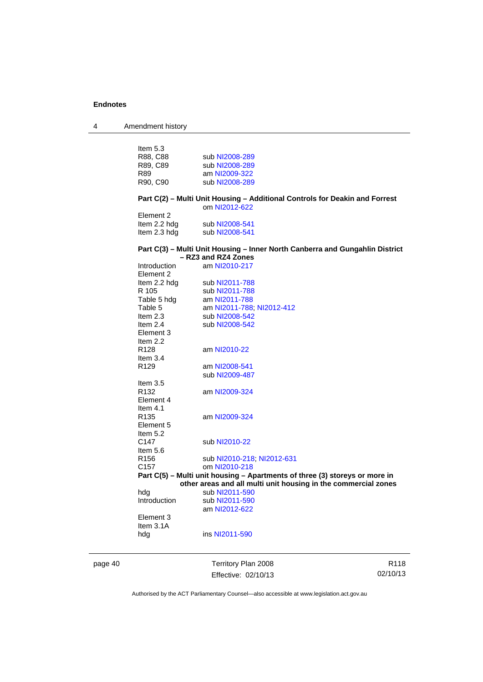4 Amendment history

page 40 Territory Plan 2008 R118 Item 5.3<br>R88, C88 sub [NI2008-289](http://www.legislation.act.gov.au/ni/2008-289/) R89, C89 sub [NI2008-289](http://www.legislation.act.gov.au/ni/2008-289/)<br>R89 am NI2009-322 R89 am [NI2009-322](http://www.legislation.act.gov.au/ni/2009-322/)<br>R90, C90 sub NI2008-289 sub [NI2008-289](http://www.legislation.act.gov.au/ni/2008-289/) **Part C(2) – Multi Unit Housing – Additional Controls for Deakin and Forrest**  om [NI2012-622](http://www.legislation.act.gov.au/ni/2012-622/default.asp) Element 2 Item 2.2 hdg sub [NI2008-541](http://www.legislation.act.gov.au/ni/2008-541/) Item 2.3 hdg sub [NI2008-541](http://www.legislation.act.gov.au/ni/2008-541/) **Part C(3) – Multi Unit Housing – Inner North Canberra and Gungahlin District – RZ3 and RZ4 Zones**  Introduction am [NI2010-217](http://www.legislation.act.gov.au/ni/2010-217/) Element 2<br>Item 2.2 hdg Item 2.2 hdg sub [NI2011-788](http://www.legislation.act.gov.au/ni/2011-788/)<br>R 105 sub NI2011-788 sub [NI2011-788](http://www.legislation.act.gov.au/ni/2011-788/) Table 5 hdg am [NI2011-788](http://www.legislation.act.gov.au/ni/2011-788/)<br>Table 5 am NI2011-788 Table 5 am [NI2011-788](http://www.legislation.act.gov.au/ni/2011-788/); [NI2012-412](http://www.legislation.act.gov.au/ni/2012-412/)<br>Item 2.3 sub NI2008-542 sub [NI2008-542](http://www.legislation.act.gov.au/ni/2008-542/) Item 2.4 sub [NI2008-542](http://www.legislation.act.gov.au/ni/2008-542/) Element 3 Item 2.2<br>R128 am [NI2010-22](http://www.legislation.act.gov.au/ni/2010-22/) Item 3.4<br>R129 am [NI2008-541](http://www.legislation.act.gov.au/ni/2008-541/) sub [NI2009-487](http://www.legislation.act.gov.au/ni/2009-487/) Item 3.5<br>R132 am [NI2009-324](http://www.legislation.act.gov.au/ni/2009-324/) Element 4 Item 4.1<br>R135 am [NI2009-324](http://www.legislation.act.gov.au/ni/2009-324/) Element 5 Item  $5.2$ <br>C<sub>147</sub> sub [NI2010-22](http://www.legislation.act.gov.au/ni/2010-22/) Item 5.6 R156 sub [NI2010-218](http://www.legislation.act.gov.au/ni/2010-218/); [NI2012-631](http://www.legislation.act.gov.au/ni/2012-631/default.asp)<br>C157 om NI2010-218 om [NI2010-218](http://www.legislation.act.gov.au/ni/2010-218/) **Part C(5) – Multi unit housing – Apartments of three (3) storeys or more in other areas and all multi unit housing in the commercial zones**  hdg sub [NI2011-590](http://www.legislation.act.gov.au/ni/2011-590/)<br>Introduction sub NI2011-590 sub [NI2011-590](http://www.legislation.act.gov.au/ni/2011-590/) am [NI2012-622](http://www.legislation.act.gov.au/ni/2012-622/default.asp) Element 3 Item 3.1A hdg ins [NI2011-590](http://www.legislation.act.gov.au/ni/2011-590/)

Effective: 02/10/13

02/10/13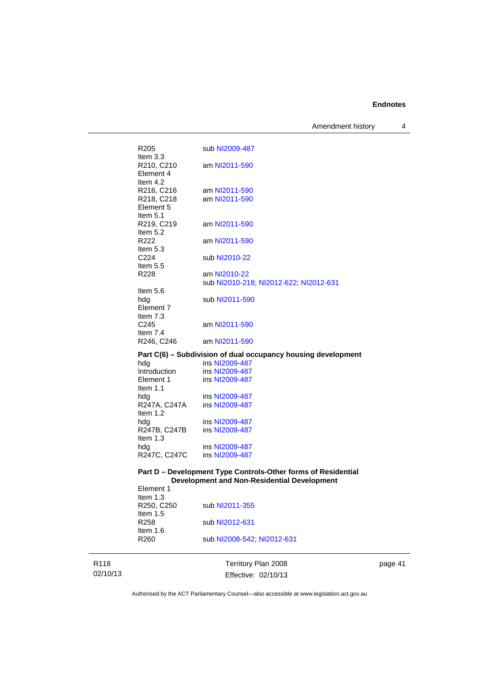Amendment history 4

| R <sub>205</sub><br>Item $3.3$        | sub NI2009-487                                                |
|---------------------------------------|---------------------------------------------------------------|
| R210, C210<br>Element 4<br>Item $4.2$ | am NI2011-590                                                 |
| R216, C216                            | am NI2011-590                                                 |
| R218, C218                            | am NI2011-590                                                 |
| Element 5<br>Item $5.1$               |                                                               |
| R219, C219                            | am NI2011-590                                                 |
| Item $5.2$                            |                                                               |
| R <sub>222</sub>                      | am NI2011-590                                                 |
| Item $5.3$                            |                                                               |
| C <sub>224</sub>                      | sub NI2010-22                                                 |
| Item $5.5$                            |                                                               |
| R <sub>228</sub>                      | am NI2010-22                                                  |
|                                       | sub NI2010-218, NI2012-622, NI2012-631                        |
| Item $5.6$                            |                                                               |
|                                       | sub NI2011-590                                                |
| hdg<br>Element 7                      |                                                               |
|                                       |                                                               |
| Item $7.3$                            |                                                               |
| C <sub>245</sub>                      | am NI2011-590                                                 |
| Item $7.4$                            |                                                               |
| R <sub>246</sub> , C <sub>246</sub>   | am NI2011-590                                                 |
|                                       | Part C(6) - Subdivision of dual occupancy housing development |
| hdg                                   | ins NI2009-487                                                |
| Introduction                          | ins NI2009-487                                                |
| Flamant 1                             | ine $N12000.487$                                              |

| Element 1    | ins NI2009-487 |
|--------------|----------------|
| Item $1.1$   |                |
| hdg          | ins NI2009-487 |
| R247A, C247A | ins NI2009-487 |
| Item $1.2$   |                |
| hdg          | ins NI2009-487 |
| R247B, C247B | ins NI2009-487 |
| Item $1.3$   |                |
| hdg          | ins NI2009-487 |
| R247C, C247C | ins NI2009-487 |

#### **Part D – Development Type Controls-Other forms of Residential Development and Non-Residential Development**  Element 1

| _________        |                            |
|------------------|----------------------------|
| Item $1.3$       |                            |
| R250, C250       | sub NI2011-355             |
| Item $1.5$       |                            |
| R <sub>258</sub> | sub NI2012-631             |
| Item $1.6$       |                            |
| R <sub>260</sub> | sub NI2008-542, NI2012-631 |
|                  |                            |

R118 02/10/13

Territory Plan 2008 Effective: 02/10/13 page 41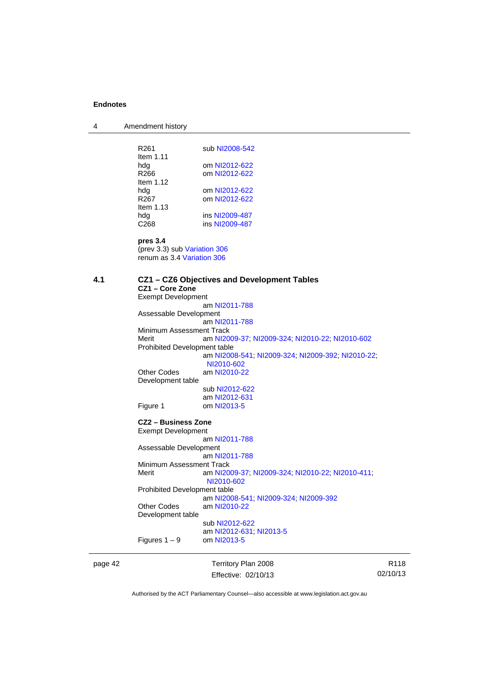4 Amendment history page 42 Territory Plan 2008 R261 sub [NI2008-542](http://www.legislation.act.gov.au/ni/2008-542/) Item 1.11 hdg om [NI2012-622](http://www.legislation.act.gov.au/ni/2012-622/default.asp)<br>R266 om NI2012-622 om [NI2012-622](http://www.legislation.act.gov.au/ni/2012-622/default.asp) Item 1.12 hdg om [NI2012-622](http://www.legislation.act.gov.au/ni/2012-622/default.asp)<br>R267 om NI2012-622 om [NI2012-622](http://www.legislation.act.gov.au/ni/2012-622/default.asp) Item 1.13 hdg ins [NI2009-487](http://www.legislation.act.gov.au/ni/2009-487/) C268 ins [NI2009-487](http://www.legislation.act.gov.au/ni/2009-487/) **pres 3.4** (prev 3.3) sub [Variation 306](http://www.legislation.act.gov.au/ni/2013-93/default.asp) renum as 3.4 [Variation 306](http://www.legislation.act.gov.au/ni/2013-93/default.asp) **4.1 CZ1 – CZ6 Objectives and Development Tables CZ1 – Core Zone**  Exempt Development am [NI2011-788](http://www.legislation.act.gov.au/ni/2011-788/) Assessable Development am [NI2011-788](http://www.legislation.act.gov.au/ni/2011-788/) Minimum Assessment Track Merit am [NI2009-37](http://www.legislation.act.gov.au/ni/2009-37/); [NI2009-324](http://www.legislation.act.gov.au/ni/2009-324/); [NI2010-22](http://www.legislation.act.gov.au/ni/2010-22/); [NI2010-602](http://www.legislation.act.gov.au/ni/2010-602/) Prohibited Development table am [NI2008-541](http://www.legislation.act.gov.au/ni/2008-541/); [NI2009-324](http://www.legislation.act.gov.au/ni/2009-324/); [NI2009-392](http://www.legislation.act.gov.au/ni/2009-392/); [NI2010-22](http://www.legislation.act.gov.au/ni/2010-22/); [NI2010-602](http://www.legislation.act.gov.au/ni/2010-602/) Other Codes am [NI2010-22](http://www.legislation.act.gov.au/ni/2010-22/) Development table sub [NI2012-622](http://www.legislation.act.gov.au/ni/2012-622/default.asp) am [NI2012-631](http://www.legislation.act.gov.au/ni/2012-631/default.asp)<br>Figure 1 com NI2013-5 om [NI2013-5](http://www.legislation.act.gov.au/ni/2013-5/default.asp) **CZ2 – Business Zone**  Exempt Development am [NI2011-788](http://www.legislation.act.gov.au/ni/2011-788/) Assessable Development am [NI2011-788](http://www.legislation.act.gov.au/ni/2011-788/) Minimum Assessment Track<br>Merit am NI20 am [NI2009-37](http://www.legislation.act.gov.au/ni/2009-37/); [NI2009-324](http://www.legislation.act.gov.au/ni/2009-324/); [NI2010-22](http://www.legislation.act.gov.au/ni/2010-22/); [NI2010-411](http://www.legislation.act.gov.au/ni/2010-411/); [NI2010-602](http://www.legislation.act.gov.au/ni/2010-602/) Prohibited Development table am [NI2008-541](http://www.legislation.act.gov.au/ni/2008-541/); [NI2009-324](http://www.legislation.act.gov.au/ni/2009-324/); [NI2009-392](http://www.legislation.act.gov.au/ni/2009-392/) Other Codes am [NI2010-22](http://www.legislation.act.gov.au/ni/2010-22/) Development table sub [NI2012-622](http://www.legislation.act.gov.au/ni/2012-622/default.asp) am [NI2012-631](http://www.legislation.act.gov.au/ni/2012-631/default.asp); [NI2013-5](http://www.legislation.act.gov.au/ni/2013-5/default.asp) Figures  $1 - 9$  om [NI2013-5](http://www.legislation.act.gov.au/ni/2013-5/default.asp)

Effective: 02/10/13

R118 02/10/13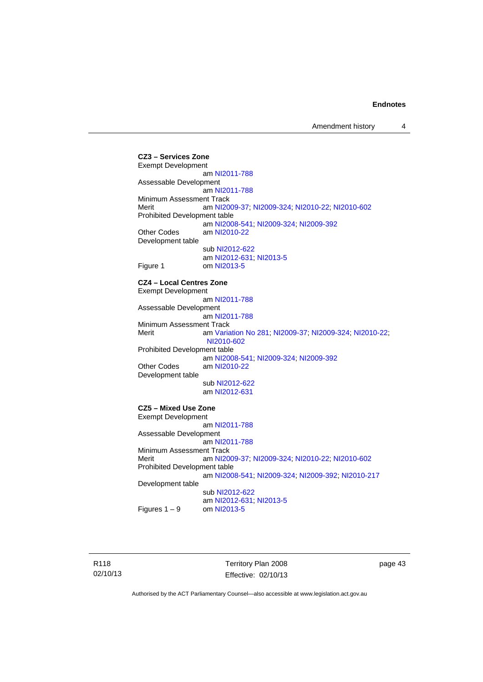**CZ3 – Services Zone**  Exempt Development am [NI2011-788](http://www.legislation.act.gov.au/ni/2011-788/) Assessable Development am [NI2011-788](http://www.legislation.act.gov.au/ni/2011-788/) Minimum Assessment Track Merit am [NI2009-37](http://www.legislation.act.gov.au/ni/2009-37/); [NI2009-324](http://www.legislation.act.gov.au/ni/2009-324/); [NI2010-22](http://www.legislation.act.gov.au/ni/2010-22/); [NI2010-602](http://www.legislation.act.gov.au/ni/2010-602/) Prohibited Development table am [NI2008-541](http://www.legislation.act.gov.au/ni/2008-541/); [NI2009-324](http://www.legislation.act.gov.au/ni/2009-324/); [NI2009-392](http://www.legislation.act.gov.au/ni/2009-392/) Other Codes am [NI2010-22](http://www.legislation.act.gov.au/ni/2010-22/) Development table sub [NI2012-622](http://www.legislation.act.gov.au/ni/2012-622/default.asp) am [NI2012-631](http://www.legislation.act.gov.au/ni/2012-631/default.asp); [NI2013-5](http://www.legislation.act.gov.au/ni/2013-5/default.asp) Figure 1 om [NI2013-5](http://www.legislation.act.gov.au/ni/2013-5/default.asp) **CZ4 – Local Centres Zone**  Exempt Development am [NI2011-788](http://www.legislation.act.gov.au/ni/2011-788/) Assessable Development am [NI2011-788](http://www.legislation.act.gov.au/ni/2011-788/) Minimum Assessment Track<br>Merit am Varia am [Variation No 281](http://www.legislation.act.gov.au/ni/2008-352/); [NI2009-37](http://www.legislation.act.gov.au/ni/2009-37/); [NI2009-324](http://www.legislation.act.gov.au/ni/2009-324/); [NI2010-22](http://www.legislation.act.gov.au/ni/2010-22/); [NI2010-602](http://www.legislation.act.gov.au/ni/2010-602/) Prohibited Development table am [NI2008-541](http://www.legislation.act.gov.au/ni/2008-541/); [NI2009-324](http://www.legislation.act.gov.au/ni/2009-324/); [NI2009-392](http://www.legislation.act.gov.au/ni/2009-392/)<br>Other Codes am NI2010-22 am [NI2010-22](http://www.legislation.act.gov.au/ni/2010-22/) Development table sub [NI2012-622](http://www.legislation.act.gov.au/ni/2012-622/default.asp) am [NI2012-631](http://www.legislation.act.gov.au/ni/2012-631/default.asp) **CZ5 – Mixed Use Zone**  Exempt Development am [NI2011-788](http://www.legislation.act.gov.au/ni/2011-788/) Assessable Development am [NI2011-788](http://www.legislation.act.gov.au/ni/2011-788/) Minimum Assessment Track Merit am [NI2009-37](http://www.legislation.act.gov.au/ni/2009-37/); [NI2009-324](http://www.legislation.act.gov.au/ni/2009-324/); [NI2010-22](http://www.legislation.act.gov.au/ni/2010-22/); [NI2010-602](http://www.legislation.act.gov.au/ni/2010-602/) Prohibited Development table am [NI2008-541](http://www.legislation.act.gov.au/ni/2008-541/); [NI2009-324](http://www.legislation.act.gov.au/ni/2009-324/); [NI2009-392](http://www.legislation.act.gov.au/ni/2009-392/); [NI2010-217](http://www.legislation.act.gov.au/ni/2010-217/) Development table sub [NI2012-622](http://www.legislation.act.gov.au/ni/2012-622/default.asp)  $am$  [NI2012-631](http://www.legislation.act.gov.au/ni/2012-631/default.asp); [NI2013-5](http://www.legislation.act.gov.au/ni/2013-5/default.asp)<br>Figures 1 – 9  $am$  NI2013-5 om [NI2013-5](http://www.legislation.act.gov.au/ni/2013-5/default.asp)

R118 02/10/13 Territory Plan 2008 Effective: 02/10/13 page 43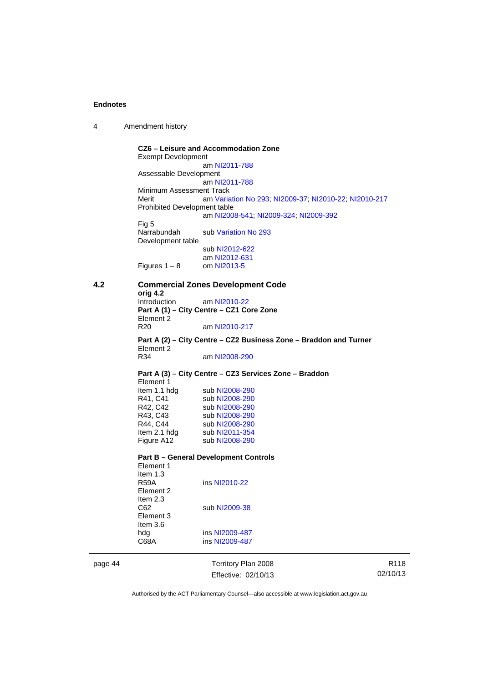| 4 | Amendment history |  |
|---|-------------------|--|
|---|-------------------|--|

**CZ6 – Leisure and Accommodation Zone** Exempt Development am [NI2011-788](http://www.legislation.act.gov.au/ni/2011-788/) Assessable Development am [NI2011-788](http://www.legislation.act.gov.au/ni/2011-788/) Minimum Assessment Track Merit am [Variation No 293](http://www.legislation.act.gov.au/ni/2008-219/); [NI2009-37](http://www.legislation.act.gov.au/ni/2009-37/); [NI2010-22](http://www.legislation.act.gov.au/ni/2010-22/); [NI2010-217](http://www.legislation.act.gov.au/ni/2010-217/) Prohibited Development table am [NI2008-541](http://www.legislation.act.gov.au/ni/2008-541/); [NI2009-324](http://www.legislation.act.gov.au/ni/2009-324/); [NI2009-392](http://www.legislation.act.gov.au/ni/2009-392/) Fig 5 Narrabundah sub [Variation No 293](http://www.legislation.act.gov.au/ni/2008-219/) Development table sub [NI2012-622](http://www.legislation.act.gov.au/ni/2012-622/default.asp) am [NI2012-631](http://www.legislation.act.gov.au/ni/2012-631/default.asp) Figures  $1 - 8$  om [NI2013-5](http://www.legislation.act.gov.au/ni/2013-5/default.asp) **4.2 Commercial Zones Development Code orig 4.2**  Introduction am [NI2010-22](http://www.legislation.act.gov.au/ni/2010-22/) **Part A (1) – City Centre – CZ1 Core Zone**  Element 2 R20 am [NI2010-217](http://www.legislation.act.gov.au/ni/2010-217/) **Part A (2) – City Centre – CZ2 Business Zone – Braddon and Turner**  Element 2 R34 am [NI2008-290](http://www.legislation.act.gov.au/ni/2008-290/) **Part A (3) – City Centre – CZ3 Services Zone – Braddon**  Element 1 Item 1.1 hdg sub [NI2008-290](http://www.legislation.act.gov.au/ni/2008-290/)<br>R41, C41 sub NI2008-290 R41, C41 sub [NI2008-290](http://www.legislation.act.gov.au/ni/2008-290/)<br>R42, C42 sub NI2008-290 sub [NI2008-290](http://www.legislation.act.gov.au/ni/2008-290/) R43, C43 sub [NI2008-290](http://www.legislation.act.gov.au/ni/2008-290/)<br>R44, C44 sub NI2008-290 R44, C44 sub [NI2008-290](http://www.legislation.act.gov.au/ni/2008-290/)<br>Item 2.1 hdg sub NI2011-354 sub [NI2011-354](http://www.legislation.act.gov.au/ni/2011-354/) Figure A12 sub [NI2008-290](http://www.legislation.act.gov.au/ni/2008-290/) **Part B – General Development Controls**  Element 1 Item 1.3<br>R59A ins [NI2010-22](http://www.legislation.act.gov.au/ni/2010-22/) Element 2 Item 2.3 C62 sub [NI2009-38](http://www.legislation.act.gov.au/ni/2009-38/) Element 3 Item 3.6<br>hdg ins [NI2009-487](http://www.legislation.act.gov.au/ni/2009-487/) C68A ins [NI2009-487](http://www.legislation.act.gov.au/ni/2009-487/)

page 44 Territory Plan 2008 Effective: 02/10/13

R118 02/10/13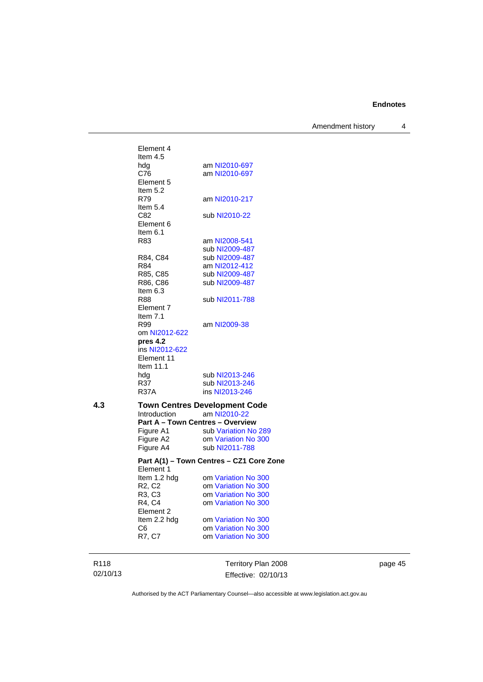Amendment history 4

|     | Element 4                               |                                          |
|-----|-----------------------------------------|------------------------------------------|
|     | Item 4.5                                |                                          |
|     | hdg                                     | am NI2010-697                            |
|     | C76                                     | am NI2010-697                            |
|     | Element 5                               |                                          |
|     | Item $5.2$                              |                                          |
|     | R79                                     | am NI2010-217                            |
|     | Item $5.4$                              |                                          |
|     | C82                                     | sub NI2010-22                            |
|     | Element 6                               |                                          |
|     | Item 6.1                                |                                          |
|     | R83                                     | am NI2008-541                            |
|     |                                         | sub NI2009-487                           |
|     | R84, C84                                | sub NI2009-487                           |
|     | R84                                     | am NI2012-412                            |
|     | R85, C85                                | sub NI2009-487                           |
|     | R86, C86                                | sub NI2009-487                           |
|     | Item $6.3$                              |                                          |
|     | R88                                     | sub NI2011-788                           |
|     | Element 7                               |                                          |
|     | Item $7.1$                              |                                          |
|     | R99                                     | am NI2009-38                             |
|     | om NI2012-622                           |                                          |
|     | pres 4.2<br>ins NI2012-622              |                                          |
|     | Element 11                              |                                          |
|     | Item 11.1                               |                                          |
|     | hdg                                     | sub NI2013-246                           |
|     | R37                                     | sub NI2013-246                           |
|     | <b>R37A</b>                             | ins NI2013-246                           |
|     |                                         |                                          |
| 4.3 |                                         | <b>Town Centres Development Code</b>     |
|     | <b>Introduction</b>                     | am NI2010-22                             |
|     | <b>Part A - Town Centres - Overview</b> |                                          |
|     | Figure A1                               | sub Variation No 289                     |
|     | Figure A2                               | om Variation No 300                      |
|     | Figure A4                               | sub NI2011-788                           |
|     |                                         | Part A(1) - Town Centres - CZ1 Core Zone |
|     | Element 1                               |                                          |
|     | Item 1.2 hdg                            | om Variation No 300                      |
|     | R2, C2                                  | om Variation No 300                      |
|     | R3, C3                                  | om Variation No 300                      |
|     | R4, C4                                  | om Variation No 300                      |
|     | Element 2                               |                                          |
|     | Item 2.2 hdg                            | om Variation No 300                      |
|     | C6                                      | om Variation No 300                      |
|     | R7, C7                                  | om Variation No 300                      |
|     |                                         |                                          |
|     |                                         |                                          |

R118 02/10/13

Territory Plan 2008 Effective: 02/10/13 page 45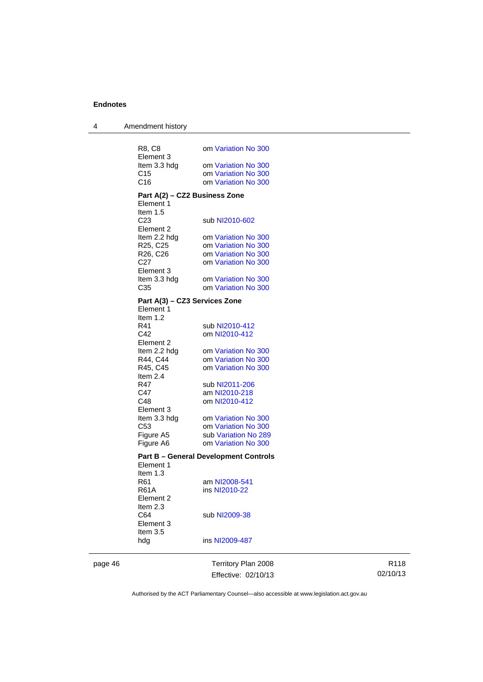| 4 | Amendment history                 |                                              |
|---|-----------------------------------|----------------------------------------------|
|   |                                   |                                              |
|   | R8, C8<br>Element 3               | om Variation No 300                          |
|   | Item 3.3 hdg                      | om Variation No 300                          |
|   | C <sub>15</sub>                   | om Variation No 300                          |
|   | C16                               | om Variation No 300                          |
|   |                                   |                                              |
|   | Part A(2) – CZ2 Business Zone     |                                              |
|   | Element 1<br>Item $1.5$           |                                              |
|   | C <sub>23</sub>                   | sub NI2010-602                               |
|   | Element 2                         |                                              |
|   | Item 2.2 hdg                      | om Variation No 300                          |
|   | R <sub>25</sub> , C <sub>25</sub> | om Variation No 300                          |
|   | R26, C26                          | om Variation No 300                          |
|   | C27                               | om Variation No 300                          |
|   | Element 3                         |                                              |
|   | Item 3.3 hdg                      | om Variation No 300                          |
|   | C35                               | om Variation No 300                          |
|   | Part A(3) – CZ3 Services Zone     |                                              |
|   | Element 1                         |                                              |
|   | Item $1.2$                        |                                              |
|   | R41                               | sub NI2010-412                               |
|   | C42                               | om NI2010-412                                |
|   | Element 2                         | om Variation No 300                          |
|   | Item 2.2 hdg<br>R44, C44          | om Variation No 300                          |
|   | R45, C45                          | om Variation No 300                          |
|   | Item 2.4                          |                                              |
|   | R47                               | sub NI2011-206                               |
|   | C47                               | am NI2010-218                                |
|   | C48                               | om NI2010-412                                |
|   | Element 3                         |                                              |
|   | Item 3.3 hdg                      | om Variation No 300                          |
|   | C53                               | om Variation No 300                          |
|   | Figure A5<br>Figure A6            | sub Variation No 289<br>om Variation No 300  |
|   |                                   |                                              |
|   |                                   | <b>Part B - General Development Controls</b> |
|   | Element 1                         |                                              |
|   | ltem 1.3<br>R61                   |                                              |
|   | <b>R61A</b>                       | am NI2008-541<br>ins NI2010-22               |
|   | Element 2                         |                                              |
|   | Item $2.3$                        |                                              |
|   | C64                               | sub NI2009-38                                |
|   | Element 3                         |                                              |
|   | Item 3.5                          |                                              |
|   | hdg                               | ins NI2009-487                               |
|   |                                   |                                              |

page 46 Territory Plan 2008 Effective: 02/10/13

R118 02/10/13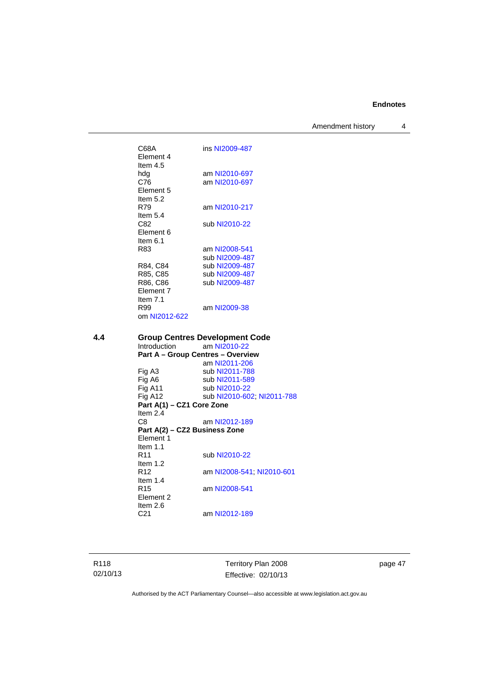Amendment history 4

C68A ins [NI2009-487](http://www.legislation.act.gov.au/ni/2009-487/) Element 4 Item 4.5<br>hdq hdg am [NI2010-697](http://www.legislation.act.gov.au/ni/2010-697/)<br>C76 am NI2010-697 am [NI2010-697](http://www.legislation.act.gov.au/ni/2010-697/) Element 5 Item 5.2 R79 am [NI2010-217](http://www.legislation.act.gov.au/ni/2010-217/) Item 5.4<br>C82 sub [NI2010-22](http://www.legislation.act.gov.au/ni/2010-22/) Element 6 Item 6.1 R83 am [NI2008-541](http://www.legislation.act.gov.au/ni/2008-541/) sub [NI2009-487](http://www.legislation.act.gov.au/ni/2009-487/) R84, C84 sub [NI2009-487](http://www.legislation.act.gov.au/ni/2009-487/)<br>R85, C85 sub NI2009-487 R85, C85 sub [NI2009-487](http://www.legislation.act.gov.au/ni/2009-487/)<br>R86, C86 sub NI2009-487 sub [NI2009-487](http://www.legislation.act.gov.au/ni/2009-487/) Element 7 Item 7.1<br>R99 am [NI2009-38](http://www.legislation.act.gov.au/ni/2009-38/) om [NI2012-622](http://www.legislation.act.gov.au/ni/2012-622/default.asp) **4.4 Group Centres Development Code**  am [NI2010-22](http://www.legislation.act.gov.au/ni/2010-22/) **Part A – Group Centres – Overview**  am [NI2011-206](http://www.legislation.act.gov.au/ni/2011-206/)<br>Fig A3 sub NI2011-788 sub [NI2011-788](http://www.legislation.act.gov.au/ni/2011-788/) Fig A6 sub [NI2011-589](http://www.legislation.act.gov.au/ni/2011-589/) Fig A11 sub [NI2010-22](http://www.legislation.act.gov.au/ni/2010-22/)<br>Fig A12 sub NI2010-60 sub [NI2010-602](http://www.legislation.act.gov.au/ni/2010-602/); [NI2011-788](http://www.legislation.act.gov.au/ni/2011-788/) **Part A(1) – CZ1 Core Zone**  Item 2.4<br>C8 am [NI2012-189](http://www.legislation.act.gov.au/ni/2012-189/) **Part A(2) – CZ2 Business Zone**  Element 1 Item 1.1<br>R11 sub [NI2010-22](http://www.legislation.act.gov.au/ni/2010-22/) Item 1.2 R12 am [NI2008-541](http://www.legislation.act.gov.au/ni/2008-541/); [NI2010-601](http://www.legislation.act.gov.au/ni/2010-601/) Item 1.4 R15 am [NI2008-541](http://www.legislation.act.gov.au/ni/2008-541/) Element 2 Item 2.6 C21 am [NI2012-189](http://www.legislation.act.gov.au/ni/2012-189/)

R118 02/10/13 Territory Plan 2008 Effective: 02/10/13 page 47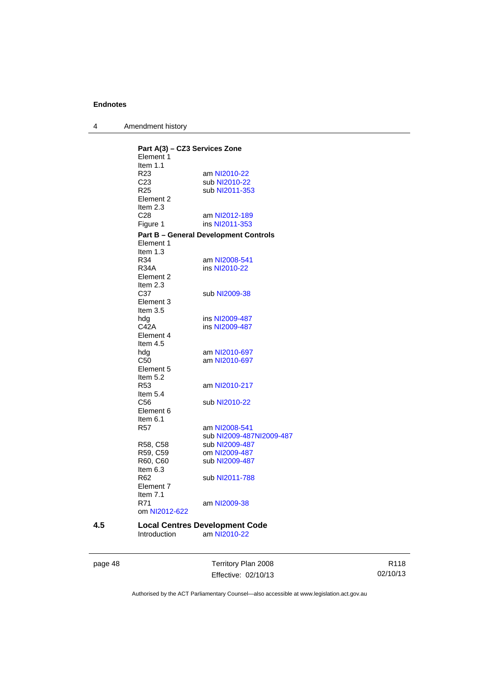4 Amendment history

|     | Part A(3) - CZ3 Services Zone |                                              |
|-----|-------------------------------|----------------------------------------------|
|     | Element 1                     |                                              |
|     | Item $1.1$                    |                                              |
|     | R <sub>23</sub>               | am NI2010-22                                 |
|     | C <sub>23</sub>               | sub NI2010-22                                |
|     | R <sub>25</sub>               | sub NI2011-353                               |
|     | Element 2                     |                                              |
|     | Item $2.3$                    |                                              |
|     | C <sub>28</sub>               | am NI2012-189                                |
|     |                               | ins NI2011-353                               |
|     | Figure 1                      |                                              |
|     |                               | <b>Part B – General Development Controls</b> |
|     | Element 1                     |                                              |
|     | Item $1.3$                    |                                              |
|     | R34                           | am NI2008-541                                |
|     | <b>R34A</b>                   | ins NI2010-22                                |
|     | Element 2                     |                                              |
|     | Item $2.3$                    |                                              |
|     | C37                           | sub NI2009-38                                |
|     | Element 3                     |                                              |
|     | Item 3.5                      |                                              |
|     | hdg                           | ins NI2009-487                               |
|     | C42A                          | ins NI2009-487                               |
|     | Element 4                     |                                              |
|     | Item $4.5$                    |                                              |
|     | hdg                           | am NI2010-697                                |
|     | C <sub>50</sub>               | am NI2010-697                                |
|     | Element 5                     |                                              |
|     |                               |                                              |
|     | Item 5.2                      |                                              |
|     | R53                           | am NI2010-217                                |
|     | Item $5.4$                    |                                              |
|     | C <sub>56</sub>               | sub NI2010-22                                |
|     | Element 6                     |                                              |
|     | Item $6.1$                    |                                              |
|     | <b>R57</b>                    | am NI2008-541                                |
|     |                               | sub NI2009-487NI2009-487                     |
|     | R58, C58                      | sub NI2009-487                               |
|     | R59, C59                      | om NI2009-487                                |
|     | R60, C60                      | sub NI2009-487                               |
|     | Item $6.3$                    |                                              |
|     | R62                           | sub NI2011-788                               |
|     | Element 7                     |                                              |
|     | Item 7.1                      |                                              |
|     | R71                           | am NI2009-38                                 |
|     | om NI2012-622                 |                                              |
|     |                               |                                              |
| 4.5 |                               | <b>Local Centres Development Code</b>        |
|     | Introduction                  | am NI2010-22                                 |
|     |                               |                                              |

page 48 Territory Plan 2008 Effective: 02/10/13

R118 02/10/13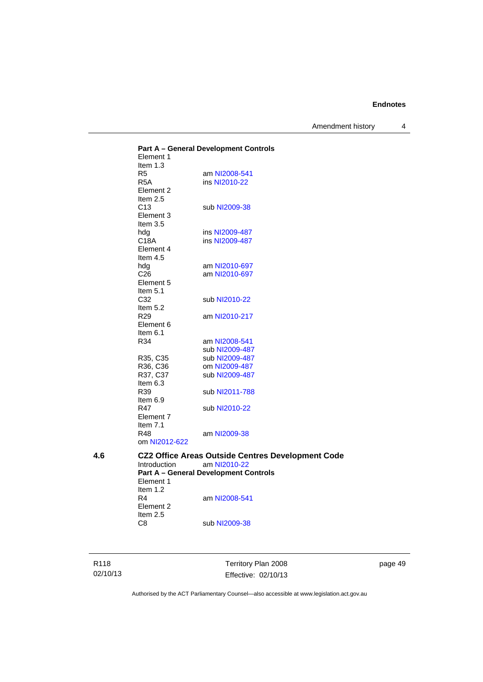Amendment history 4

**Part A – General Development Controls**  Element 1 Item 1.3<br>R5 R5 am [NI2008-541](http://www.legislation.act.gov.au/ni/2008-541/)<br>R5A ins NI2010-22 ins [NI2010-22](http://www.legislation.act.gov.au/ni/2010-22/) Element 2 Item 2.5 C13 sub [NI2009-38](http://www.legislation.act.gov.au/ni/2009-38/) Element 3 Item 3.5<br>hdg ins [NI2009-487](http://www.legislation.act.gov.au/ni/2009-487/) C18A ins [NI2009-487](http://www.legislation.act.gov.au/ni/2009-487/) Element 4 Item 4.5 hdg am [NI2010-697](http://www.legislation.act.gov.au/ni/2010-697/)<br>C26 am NI2010-697 am [NI2010-697](http://www.legislation.act.gov.au/ni/2010-697/) Element 5 Item 5.1<br>C32 sub [NI2010-22](http://www.legislation.act.gov.au/ni/2010-22/) Item  $5.2$ <br>R<sub>29</sub> am [NI2010-217](http://www.legislation.act.gov.au/ni/2010-217/) Element 6 Item  $6.1$ <br>R34 am [NI2008-541](http://www.legislation.act.gov.au/ni/2008-541/) sub [NI2009-487](http://www.legislation.act.gov.au/ni/2009-487/)<br>R35, C35 sub NI2009-487 R35, C35 sub [NI2009-487](http://www.legislation.act.gov.au/ni/2009-487/)<br>R36, C36 om NI2009-487 om [NI2009-487](http://www.legislation.act.gov.au/ni/2009-487/) R37, C37 sub [NI2009-487](http://www.legislation.act.gov.au/ni/2009-487/) Item 6.3<br>R39 sub [NI2011-788](http://www.legislation.act.gov.au/ni/2011-788/) Item 6.9 R47 sub [NI2010-22](http://www.legislation.act.gov.au/ni/2010-22/) Element 7 Item 7.1 R48 am [NI2009-38](http://www.legislation.act.gov.au/ni/2009-38/) om [NI2012-622](http://www.legislation.act.gov.au/ni/2012-622/default.asp) **4.6 CZ2 Office Areas Outside Centres Development Code**  am [NI2010-22](http://www.legislation.act.gov.au/ni/2010-22/) **Part A – General Development Controls**  Element 1 Item 1.2 R4 am [NI2008-541](http://www.legislation.act.gov.au/ni/2008-541/) Element 2 Item 2.5<br>C8 sub [NI2009-38](http://www.legislation.act.gov.au/ni/2009-38/)

R118 02/10/13 Territory Plan 2008 Effective: 02/10/13 page 49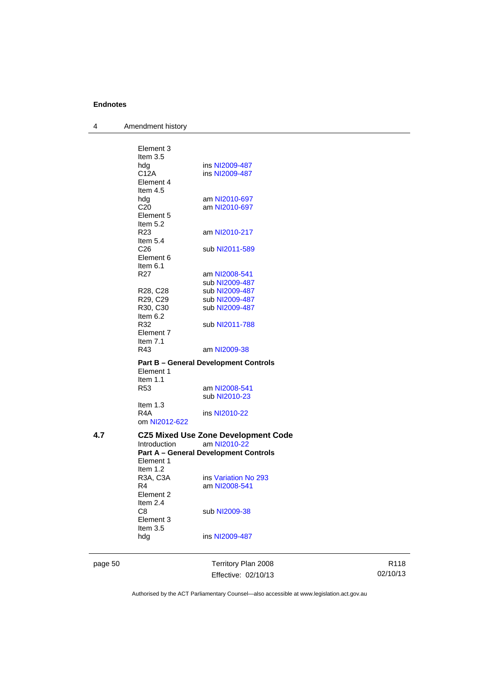4 Amendment history

|     | hdg                                | ins NI2009-487                                             |
|-----|------------------------------------|------------------------------------------------------------|
|     | Item 3.5                           |                                                            |
|     | Item 2.4<br>C8<br>Element 3        | sub NI2009-38                                              |
|     | R4<br>Element 2                    | am NI2008-541                                              |
|     | R3A, C3A                           | ins Variation No 293                                       |
|     | Element 1<br>Item $1.2$            |                                                            |
|     |                                    | <b>Part A - General Development Controls</b>               |
| 4.7 | Introduction                       | <b>CZ5 Mixed Use Zone Development Code</b><br>am NI2010-22 |
|     | Item $1.3$<br>R4A<br>om NI2012-622 | ins NI2010-22                                              |
|     |                                    | sub NI2010-23                                              |
|     | Item $1.1$<br>R53                  | am NI2008-541                                              |
|     | Element 1                          | <b>Part B - General Development Controls</b>               |
|     | R43                                | am NI2009-38                                               |
|     | Element 7<br>Item $7.1$            |                                                            |
|     | Item $6.2$<br>R32                  | sub NI2011-788                                             |
|     | R29, C29<br>R30, C30               | sub NI2009-487<br>sub NI2009-487                           |
|     | R28, C28                           | sub NI2009-487                                             |
|     |                                    | sub NI2009-487                                             |
|     | Element 6<br>Item $6.1$<br>R27     | am NI2008-541                                              |
|     | C <sub>26</sub>                    | sub NI2011-589                                             |
|     | R <sub>23</sub><br>Item $5.4$      | am NI2010-217                                              |
|     | Element 5<br>Item 5.2              |                                                            |
|     | C <sub>20</sub>                    | am NI2010-697                                              |
|     | Element 4<br>Item $4.5$<br>hdg     | am NI2010-697                                              |
|     | hdg<br>C12A                        | ins NI2009-487<br>ins NI2009-487                           |
|     |                                    |                                                            |
|     | Element 3<br>Item $3.5$            |                                                            |

Effective: 02/10/13

R118 02/10/13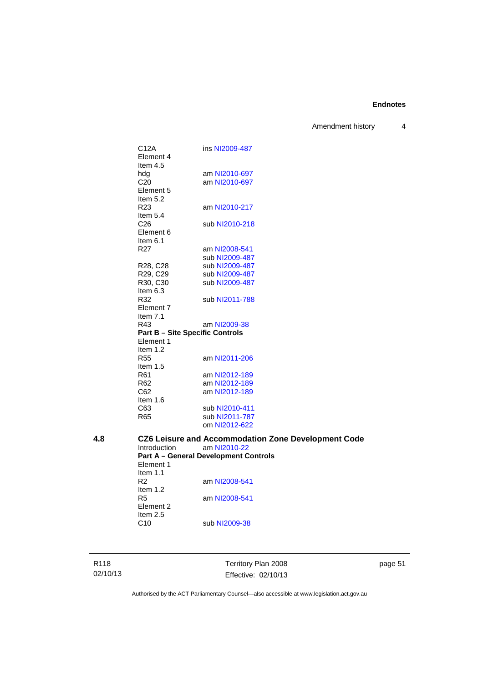Amendment history 4

C12A ins [NI2009-487](http://www.legislation.act.gov.au/ni/2009-487/) Element 4 Item 4.5<br>hdg hdg am [NI2010-697](http://www.legislation.act.gov.au/ni/2010-697/)<br>C20 am NI2010-697 am [NI2010-697](http://www.legislation.act.gov.au/ni/2010-697/) Element 5 Item 5.2 R23 am [NI2010-217](http://www.legislation.act.gov.au/ni/2010-217/) Item 5.4<br>C<sub>26</sub> sub [NI2010-218](http://www.legislation.act.gov.au/ni/2010-218/) Element 6 Item 6.1 R27 am [NI2008-541](http://www.legislation.act.gov.au/ni/2008-541/) sub [NI2009-487](http://www.legislation.act.gov.au/ni/2009-487/) R28, C28 sub [NI2009-487](http://www.legislation.act.gov.au/ni/2009-487/) R29, C29 sub [NI2009-487](http://www.legislation.act.gov.au/ni/2009-487/)<br>R30, C30 sub NI2009-487 sub [NI2009-487](http://www.legislation.act.gov.au/ni/2009-487/) Item 6.3 R32 sub [NI2011-788](http://www.legislation.act.gov.au/ni/2011-788/) Element 7 Item 7.1 R43 am [NI2009-38](http://www.legislation.act.gov.au/ni/2009-38/) **Part B – Site Specific Controls**  Element 1 Item 1.2<br>R55 am [NI2011-206](http://www.legislation.act.gov.au/ni/2011-206/) Item 1.5 R61 am [NI2012-189](http://www.legislation.act.gov.au/ni/2012-189/) R62 am [NI2012-189](http://www.legislation.act.gov.au/ni/2012-189/)<br>C62 am NI2012-189 am [NI2012-189](http://www.legislation.act.gov.au/ni/2012-189/) Item 1.6 C63 sub [NI2010-411](http://www.legislation.act.gov.au/ni/2010-411/) R65 sub [NI2011-787](http://www.legislation.act.gov.au/ni/2011-787/) om [NI2012-622](http://www.legislation.act.gov.au/ni/2012-622/default.asp) **4.8 CZ6 Leisure and Accommodation Zone Development Code**  Introduction am [NI2010-22](http://www.legislation.act.gov.au/ni/2010-22/) **Part A – General Development Controls**  Element 1 Item 1.1 R2 am [NI2008-541](http://www.legislation.act.gov.au/ni/2008-541/) Item 1.2 R5 am [NI2008-541](http://www.legislation.act.gov.au/ni/2008-541/) Element 2 Item  $2.5$ <br>C<sub>10</sub> sub [NI2009-38](http://www.legislation.act.gov.au/ni/2009-38/)

R118 02/10/13 Territory Plan 2008 Effective: 02/10/13 page 51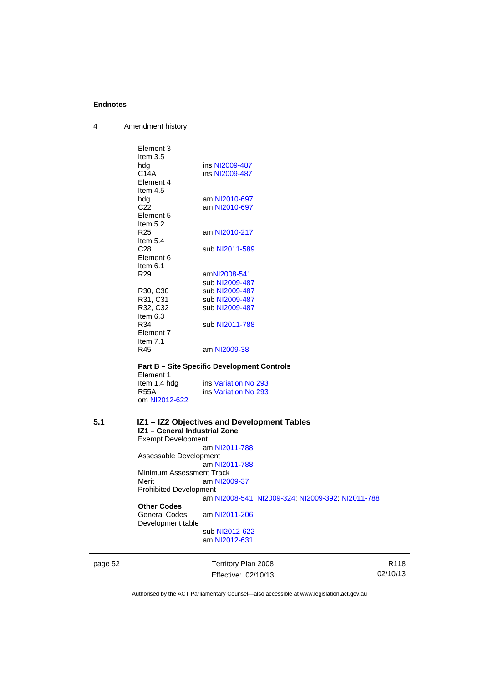4 Amendment history

| Element 3       |                |
|-----------------|----------------|
| Item $3.5$      |                |
| hdg             | ins NI2009-487 |
| C14A            | ins NI2009-487 |
| Flement 4       |                |
| Item $4.5$      |                |
| hdg             | am NI2010-697  |
| C <sub>22</sub> | am NI2010-697  |
| Element 5       |                |
| Item $5.2$      |                |
| R25             | am NI2010-217  |
| Item $5.4$      |                |
| C <sub>28</sub> | sub NI2011-589 |
| Element 6       |                |
| Item 6.1        |                |
| R <sub>29</sub> | amNI2008-541   |
|                 | sub NI2009-487 |
| R30, C30        | sub NI2009-487 |
| R31, C31        | sub NI2009-487 |
| R32, C32        | sub NI2009-487 |
| Item $6.3$      |                |
| R34             | sub NI2011-788 |
| Element 7       |                |
| Item $7.1$      |                |
| R45             | am NI2009-38   |

**Part B – Site Specific Development Controls**  Element 1<br>Item 1.4 hdg Item 1.4 hdg ins [Variation No 293](http://www.legislation.act.gov.au/ni/2008-219/)<br>R55A ins Variation No 293 ins [Variation No 293](http://www.legislation.act.gov.au/ni/2008-219/) om [NI2012-622](http://www.legislation.act.gov.au/ni/2012-622/default.asp)

# **5.1 IZ1 – IZ2 Objectives and Development Tables IZ1 – General Industrial Zone**

Exempt Development am [NI2011-788](http://www.legislation.act.gov.au/ni/2011-788/) Assessable Development

 am [NI2011-788](http://www.legislation.act.gov.au/ni/2011-788/) Minimum Assessment Track

Merit am [NI2009-37](http://www.legislation.act.gov.au/ni/2009-37/) Prohibited Development

am [NI2008-541](http://www.legislation.act.gov.au/ni/2008-541/); [NI2009-324](http://www.legislation.act.gov.au/ni/2009-324/); [NI2009-392](http://www.legislation.act.gov.au/ni/2009-392/); [NI2011-788](http://www.legislation.act.gov.au/ni/2011-788/)

# **Other Codes**

am [NI2011-206](http://www.legislation.act.gov.au/ni/2011-206/) Development table

 sub [NI2012-622](http://www.legislation.act.gov.au/ni/2012-622/default.asp) am [NI2012-631](http://www.legislation.act.gov.au/ni/2012-631/default.asp)

page 52 Territory Plan 2008 Effective: 02/10/13

R118 02/10/13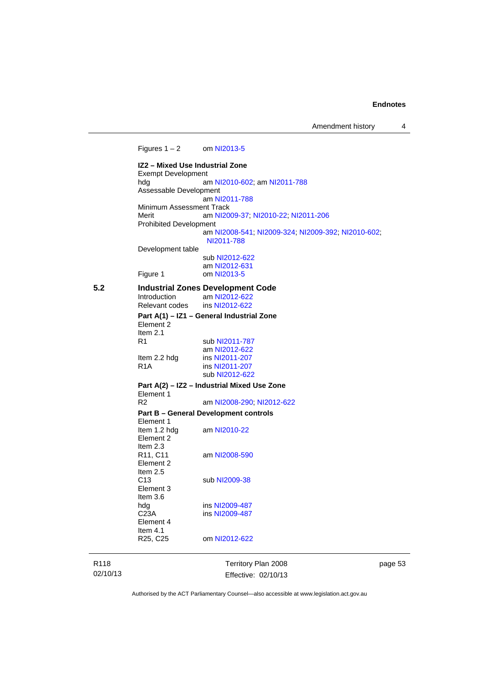Amendment history 4

| Figures $1 - 2$ om NI2013-5<br>IZ2 - Mixed Use Industrial Zone<br><b>Exempt Development</b><br>hda<br>am NI2010-602; am NI2011-788<br>Assessable Development<br>am NI2011-788<br>Minimum Assessment Track<br>Merit<br>am NI2009-37, NI2010-22, NI2011-206<br><b>Prohibited Development</b><br>am NI2008-541; NI2009-324; NI2009-392; NI2010-602;<br>NI2011-788<br>Development table<br>sub NI2012-622<br>am NI2012-631<br>Figure 1<br>om NI2013-5<br>5.2<br><b>Industrial Zones Development Code</b><br>Introduction<br>am NI2012-622<br>Relevant codes<br>ins NI2012-622<br>Part A(1) - IZ1 - General Industrial Zone<br>Element 2<br>Item $2.1$<br>R <sub>1</sub><br>sub NI2011-787<br>am NI2012-622<br>ins NI2011-207<br>Item 2.2 hdg<br>R <sub>1</sub> A<br>ins NI2011-207<br>sub NI2012-622<br>Part A(2) – IZ2 – Industrial Mixed Use Zone<br>Element 1<br>R <sub>2</sub><br>am NI2008-290; NI2012-622<br><b>Part B - General Development controls</b><br>Element 1<br>Item 1.2 hdg<br>am NI2010-22<br>Element 2<br>Item 2.3<br>R <sub>11</sub> , C <sub>11</sub><br>am NI2008-590<br>Element 2<br>Item $2.5$<br>C <sub>13</sub><br>sub NI2009-38<br>Element 3<br>Item $3.6$<br>ins NI2009-487<br>hdg<br>C <sub>23A</sub><br>ins NI2009-487<br>Element 4<br>Item $4.1$<br>R <sub>25</sub> , C <sub>25</sub><br>om NI2012-622 |  |  |
|-----------------------------------------------------------------------------------------------------------------------------------------------------------------------------------------------------------------------------------------------------------------------------------------------------------------------------------------------------------------------------------------------------------------------------------------------------------------------------------------------------------------------------------------------------------------------------------------------------------------------------------------------------------------------------------------------------------------------------------------------------------------------------------------------------------------------------------------------------------------------------------------------------------------------------------------------------------------------------------------------------------------------------------------------------------------------------------------------------------------------------------------------------------------------------------------------------------------------------------------------------------------------------------------------------------------------------------|--|--|
|                                                                                                                                                                                                                                                                                                                                                                                                                                                                                                                                                                                                                                                                                                                                                                                                                                                                                                                                                                                                                                                                                                                                                                                                                                                                                                                                   |  |  |
|                                                                                                                                                                                                                                                                                                                                                                                                                                                                                                                                                                                                                                                                                                                                                                                                                                                                                                                                                                                                                                                                                                                                                                                                                                                                                                                                   |  |  |
|                                                                                                                                                                                                                                                                                                                                                                                                                                                                                                                                                                                                                                                                                                                                                                                                                                                                                                                                                                                                                                                                                                                                                                                                                                                                                                                                   |  |  |
|                                                                                                                                                                                                                                                                                                                                                                                                                                                                                                                                                                                                                                                                                                                                                                                                                                                                                                                                                                                                                                                                                                                                                                                                                                                                                                                                   |  |  |
|                                                                                                                                                                                                                                                                                                                                                                                                                                                                                                                                                                                                                                                                                                                                                                                                                                                                                                                                                                                                                                                                                                                                                                                                                                                                                                                                   |  |  |
|                                                                                                                                                                                                                                                                                                                                                                                                                                                                                                                                                                                                                                                                                                                                                                                                                                                                                                                                                                                                                                                                                                                                                                                                                                                                                                                                   |  |  |
|                                                                                                                                                                                                                                                                                                                                                                                                                                                                                                                                                                                                                                                                                                                                                                                                                                                                                                                                                                                                                                                                                                                                                                                                                                                                                                                                   |  |  |
|                                                                                                                                                                                                                                                                                                                                                                                                                                                                                                                                                                                                                                                                                                                                                                                                                                                                                                                                                                                                                                                                                                                                                                                                                                                                                                                                   |  |  |
|                                                                                                                                                                                                                                                                                                                                                                                                                                                                                                                                                                                                                                                                                                                                                                                                                                                                                                                                                                                                                                                                                                                                                                                                                                                                                                                                   |  |  |
|                                                                                                                                                                                                                                                                                                                                                                                                                                                                                                                                                                                                                                                                                                                                                                                                                                                                                                                                                                                                                                                                                                                                                                                                                                                                                                                                   |  |  |
|                                                                                                                                                                                                                                                                                                                                                                                                                                                                                                                                                                                                                                                                                                                                                                                                                                                                                                                                                                                                                                                                                                                                                                                                                                                                                                                                   |  |  |
|                                                                                                                                                                                                                                                                                                                                                                                                                                                                                                                                                                                                                                                                                                                                                                                                                                                                                                                                                                                                                                                                                                                                                                                                                                                                                                                                   |  |  |
|                                                                                                                                                                                                                                                                                                                                                                                                                                                                                                                                                                                                                                                                                                                                                                                                                                                                                                                                                                                                                                                                                                                                                                                                                                                                                                                                   |  |  |
|                                                                                                                                                                                                                                                                                                                                                                                                                                                                                                                                                                                                                                                                                                                                                                                                                                                                                                                                                                                                                                                                                                                                                                                                                                                                                                                                   |  |  |
|                                                                                                                                                                                                                                                                                                                                                                                                                                                                                                                                                                                                                                                                                                                                                                                                                                                                                                                                                                                                                                                                                                                                                                                                                                                                                                                                   |  |  |
|                                                                                                                                                                                                                                                                                                                                                                                                                                                                                                                                                                                                                                                                                                                                                                                                                                                                                                                                                                                                                                                                                                                                                                                                                                                                                                                                   |  |  |
|                                                                                                                                                                                                                                                                                                                                                                                                                                                                                                                                                                                                                                                                                                                                                                                                                                                                                                                                                                                                                                                                                                                                                                                                                                                                                                                                   |  |  |
|                                                                                                                                                                                                                                                                                                                                                                                                                                                                                                                                                                                                                                                                                                                                                                                                                                                                                                                                                                                                                                                                                                                                                                                                                                                                                                                                   |  |  |
|                                                                                                                                                                                                                                                                                                                                                                                                                                                                                                                                                                                                                                                                                                                                                                                                                                                                                                                                                                                                                                                                                                                                                                                                                                                                                                                                   |  |  |
|                                                                                                                                                                                                                                                                                                                                                                                                                                                                                                                                                                                                                                                                                                                                                                                                                                                                                                                                                                                                                                                                                                                                                                                                                                                                                                                                   |  |  |
|                                                                                                                                                                                                                                                                                                                                                                                                                                                                                                                                                                                                                                                                                                                                                                                                                                                                                                                                                                                                                                                                                                                                                                                                                                                                                                                                   |  |  |
|                                                                                                                                                                                                                                                                                                                                                                                                                                                                                                                                                                                                                                                                                                                                                                                                                                                                                                                                                                                                                                                                                                                                                                                                                                                                                                                                   |  |  |
|                                                                                                                                                                                                                                                                                                                                                                                                                                                                                                                                                                                                                                                                                                                                                                                                                                                                                                                                                                                                                                                                                                                                                                                                                                                                                                                                   |  |  |
|                                                                                                                                                                                                                                                                                                                                                                                                                                                                                                                                                                                                                                                                                                                                                                                                                                                                                                                                                                                                                                                                                                                                                                                                                                                                                                                                   |  |  |
|                                                                                                                                                                                                                                                                                                                                                                                                                                                                                                                                                                                                                                                                                                                                                                                                                                                                                                                                                                                                                                                                                                                                                                                                                                                                                                                                   |  |  |
|                                                                                                                                                                                                                                                                                                                                                                                                                                                                                                                                                                                                                                                                                                                                                                                                                                                                                                                                                                                                                                                                                                                                                                                                                                                                                                                                   |  |  |
|                                                                                                                                                                                                                                                                                                                                                                                                                                                                                                                                                                                                                                                                                                                                                                                                                                                                                                                                                                                                                                                                                                                                                                                                                                                                                                                                   |  |  |
|                                                                                                                                                                                                                                                                                                                                                                                                                                                                                                                                                                                                                                                                                                                                                                                                                                                                                                                                                                                                                                                                                                                                                                                                                                                                                                                                   |  |  |
|                                                                                                                                                                                                                                                                                                                                                                                                                                                                                                                                                                                                                                                                                                                                                                                                                                                                                                                                                                                                                                                                                                                                                                                                                                                                                                                                   |  |  |

R118 02/10/13

Territory Plan 2008 Effective: 02/10/13 page 53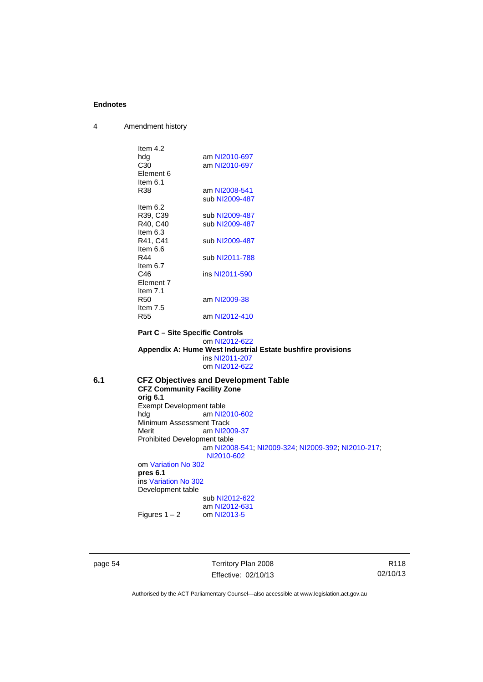4 Amendment history

|     | Item $4.2$                                  |                                                             |  |  |
|-----|---------------------------------------------|-------------------------------------------------------------|--|--|
|     | hdg                                         | am NI2010-697                                               |  |  |
|     | C <sub>30</sub>                             | am NI2010-697                                               |  |  |
|     | Element 6                                   |                                                             |  |  |
|     | Item $6.1$                                  |                                                             |  |  |
|     | R38                                         | am NI2008-541                                               |  |  |
|     |                                             | sub NI2009-487                                              |  |  |
|     | Item $6.2$                                  |                                                             |  |  |
|     | R39, C39                                    | sub NI2009-487                                              |  |  |
|     | R40, C40                                    | sub NI2009-487                                              |  |  |
|     | Item $6.3$                                  |                                                             |  |  |
|     | R41, C41                                    | sub NI2009-487                                              |  |  |
|     | Item $6.6$                                  |                                                             |  |  |
|     | R44                                         | sub NI2011-788                                              |  |  |
|     | Item $6.7$                                  |                                                             |  |  |
|     | C46                                         | ins NI2011-590                                              |  |  |
|     | Element 7                                   |                                                             |  |  |
|     | Item $7.1$                                  |                                                             |  |  |
|     | <b>R50</b>                                  | am NI2009-38                                                |  |  |
|     | Item $7.5$                                  |                                                             |  |  |
|     | <b>R55</b>                                  | am NI2012-410                                               |  |  |
|     |                                             |                                                             |  |  |
|     |                                             | <b>Part C - Site Specific Controls</b>                      |  |  |
|     |                                             | om NI2012-622                                               |  |  |
|     |                                             | Appendix A: Hume West Industrial Estate bushfire provisions |  |  |
|     |                                             | ins NI2011-207                                              |  |  |
|     |                                             | om NI2012-622                                               |  |  |
| 6.1 | <b>CFZ Objectives and Development Table</b> |                                                             |  |  |
|     |                                             | <b>CFZ Community Facility Zone</b>                          |  |  |
|     | orig 6.1                                    |                                                             |  |  |
|     | <b>Exempt Development table</b>             |                                                             |  |  |
|     | hda                                         | am NI2010-602                                               |  |  |
|     | Minimum Assessment Track                    |                                                             |  |  |
|     | Merit                                       | am NI2009-37                                                |  |  |
|     | Prohibited Development table                |                                                             |  |  |
|     |                                             | am NI2008-541, NI2009-324, NI2009-392, NI2010-217,          |  |  |
|     |                                             | NI2010-602                                                  |  |  |
|     | om Variation No 302                         |                                                             |  |  |
|     | pres 6.1                                    |                                                             |  |  |
|     | ins Variation No 302                        |                                                             |  |  |
|     | Development table                           |                                                             |  |  |
|     |                                             | sub NI2012-622                                              |  |  |
|     |                                             | am NI2012-631                                               |  |  |
|     | Figures $1 - 2$                             | om NI2013-5                                                 |  |  |
|     |                                             |                                                             |  |  |
|     |                                             |                                                             |  |  |
|     |                                             |                                                             |  |  |

page 54 Territory Plan 2008 Effective: 02/10/13

R118 02/10/13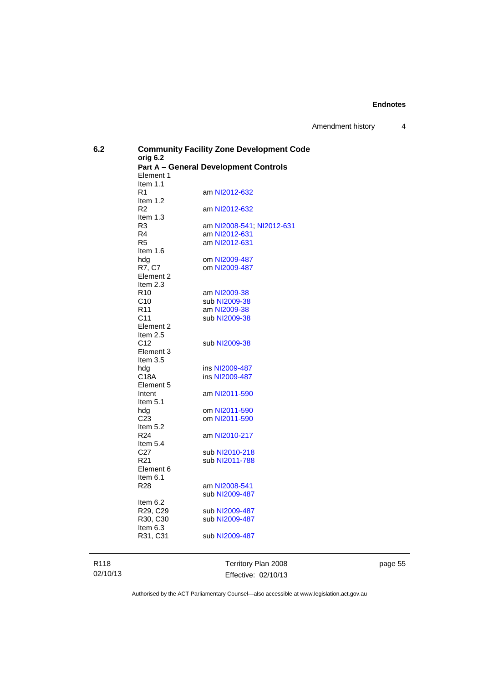Amendment history 4

| 6.2 | <b>Community Facility Zone Development Code</b><br>orig 6.2<br><b>Part A - General Development Controls</b><br>Element 1 |                                  |  |
|-----|--------------------------------------------------------------------------------------------------------------------------|----------------------------------|--|
|     | Item $1.1$<br>R <sub>1</sub><br>Item 1.2                                                                                 | am NI2012-632                    |  |
|     | R <sub>2</sub><br>Item $1.3$                                                                                             | am NI2012-632                    |  |
|     | R3                                                                                                                       | am NI2008-541, NI2012-631        |  |
|     | R4<br>R <sub>5</sub>                                                                                                     | am NI2012-631<br>am NI2012-631   |  |
|     | Item $1.6$<br>hdg                                                                                                        | om NI2009-487                    |  |
|     | R7. C7<br>Element 2                                                                                                      | om NI2009-487                    |  |
|     | Item $2.3$<br>R <sub>10</sub>                                                                                            | am NI2009-38                     |  |
|     | C <sub>10</sub><br>R <sub>11</sub>                                                                                       | sub NI2009-38<br>am NI2009-38    |  |
|     | C11<br>Element 2                                                                                                         | sub NI2009-38                    |  |
|     | Item $2.5$<br>C <sub>12</sub><br>Element 3                                                                               | sub NI2009-38                    |  |
|     | Item $3.5$<br>hda<br>C18A                                                                                                | ins NI2009-487<br>ins NI2009-487 |  |
|     | Element 5                                                                                                                |                                  |  |
|     | Intent<br>Item $5.1$                                                                                                     | am NI2011-590                    |  |
|     | hda<br>C <sub>23</sub>                                                                                                   | om NI2011-590<br>om NI2011-590   |  |
|     | Item $5.2$<br>R <sub>24</sub>                                                                                            | am NI2010-217                    |  |
|     | Item $5.4$<br>C <sub>27</sub>                                                                                            | sub NI2010-218                   |  |
|     | R <sub>21</sub><br>Element 6                                                                                             | sub NI2011-788                   |  |
|     | Item $6.1$<br>R <sub>28</sub>                                                                                            | am NI2008-541<br>sub NI2009-487  |  |
|     | Item $6.2$                                                                                                               |                                  |  |
|     | R29, C29<br>R30, C30                                                                                                     | sub NI2009-487<br>sub NI2009-487 |  |
|     | Item $6.3$<br>R31, C31                                                                                                   | sub NI2009-487                   |  |
|     |                                                                                                                          |                                  |  |

R118 02/10/13

Territory Plan 2008 Effective: 02/10/13 page 55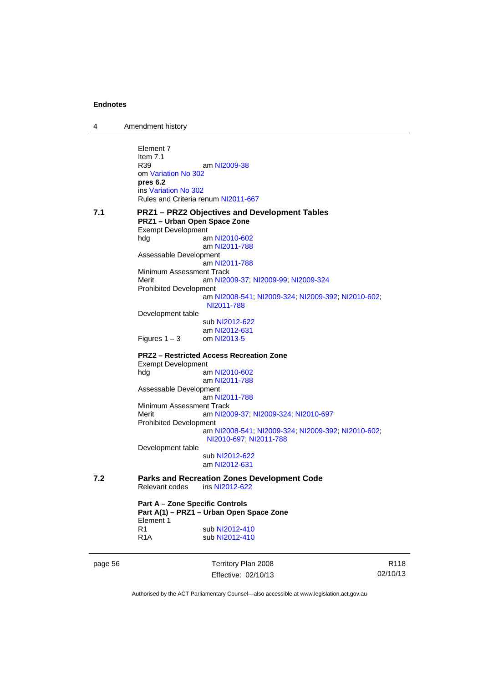| 4       | Amendment history                                                                                                                                                |                                                                                                                                                                                                                                                               |                  |
|---------|------------------------------------------------------------------------------------------------------------------------------------------------------------------|---------------------------------------------------------------------------------------------------------------------------------------------------------------------------------------------------------------------------------------------------------------|------------------|
|         | Element 7<br>Item $7.1$<br>R39<br>om Variation No 302<br>pres $6.2$<br>ins Variation No 302<br>Rules and Criteria renum NI2011-667                               | am NI2009-38                                                                                                                                                                                                                                                  |                  |
| 7.1     | PRZ1 - Urban Open Space Zone<br><b>Exempt Development</b><br>hdg<br>Assessable Development<br>Minimum Assessment Track<br>Merit<br><b>Prohibited Development</b> | <b>PRZ1-PRZ2 Objectives and Development Tables</b><br>am NI2010-602<br>am NI2011-788<br>am NI2011-788<br>am NI2009-37, NI2009-99, NI2009-324                                                                                                                  |                  |
|         | Development table<br>Figures $1 - 3$                                                                                                                             | am NI2008-541; NI2009-324; NI2009-392; NI2010-602;<br>NI2011-788<br>sub NI2012-622<br>am NI2012-631<br>om NI2013-5                                                                                                                                            |                  |
|         | <b>Exempt Development</b><br>hdg<br>Assessable Development<br>Minimum Assessment Track<br>Merit<br><b>Prohibited Development</b><br>Development table            | <b>PRZ2 - Restricted Access Recreation Zone</b><br>am NI2010-602<br>am NI2011-788<br>am NI2011-788<br>am NI2009-37, NI2009-324, NI2010-697<br>am NI2008-541; NI2009-324; NI2009-392; NI2010-602;<br>NI2010-697; NI2011-788<br>sub NI2012-622<br>am NI2012-631 |                  |
| 7.2     | Relevant codes<br><b>Part A - Zone Specific Controls</b><br>Element 1<br>R1<br>R <sub>1</sub> A                                                                  | <b>Parks and Recreation Zones Development Code</b><br>ins NI2012-622<br>Part A(1) - PRZ1 - Urban Open Space Zone<br>sub NI2012-410<br>sub NI2012-410                                                                                                          |                  |
| page 56 |                                                                                                                                                                  | Territory Plan 2008                                                                                                                                                                                                                                           | R <sub>118</sub> |

Authorised by the ACT Parliamentary Counsel—also accessible at www.legislation.act.gov.au

02/10/13

Effective: 02/10/13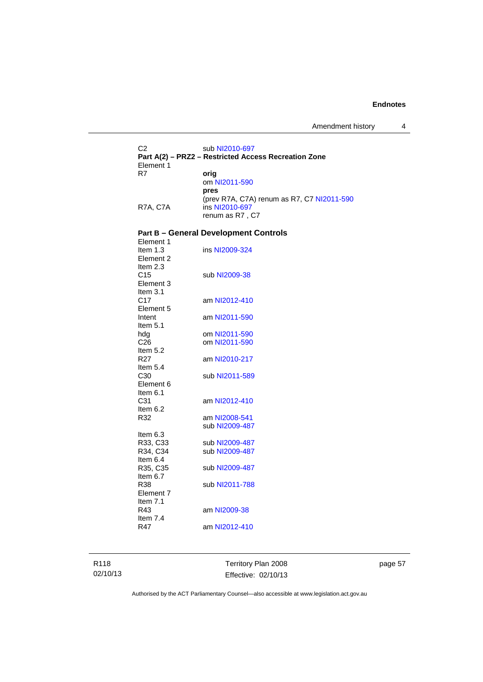Amendment history 4

C2 sub [NI2010-697](http://www.legislation.act.gov.au/ni/2010-697/) **Part A(2) – PRZ2 – Restricted Access Recreation Zone**  Element 1<br>R7 orig om [NI2011-590](http://www.legislation.act.gov.au/ni/2011-590/) **pres** (prev R7A, C7A) renum as R7, C7 [NI2011-590](http://www.legislation.act.gov.au/ni/2011-590/) R7A, C7A ins [NI2010-697](http://www.legislation.act.gov.au/ni/2010-697/) renum as R7 , C7

#### **Part B – General Development Controls**

| Element 1         |                |
|-------------------|----------------|
| Item 1.3          | ins NI2009-324 |
| Element 2         |                |
| Item 2.3          |                |
| C15               | sub NI2009-38  |
| Element 3         |                |
| Item $3.1$        |                |
| C <sub>17</sub>   | am NI2012-410  |
| Element 5         |                |
| Intent            | am NI2011-590  |
| Item $5.1$        |                |
| hda               | om NI2011-590  |
| C <sub>26</sub>   | om NI2011-590  |
| Item 5.2          |                |
| R <sub>27</sub>   | am NI2010-217  |
| Item 5.4          |                |
| C30               | sub NI2011-589 |
| Element 6         |                |
|                   |                |
| Item $6.1$        |                |
| C31               | am NI2012-410  |
| Item 6.2          |                |
| R32               | am NI2008-541  |
|                   | sub NI2009-487 |
| Item 6.3          |                |
| R33, C33          | sub NI2009-487 |
| R34, C34          | sub NI2009-487 |
| Item 6.4          |                |
| R35, C35          | sub NI2009-487 |
| Item 6.7          |                |
| R38               | sub NI2011-788 |
| Element 7         |                |
| Item $7.1$        |                |
| R43               | am NI2009-38   |
| Item $7.4$<br>R47 | am NI2012-410  |

R118 02/10/13 Territory Plan 2008 Effective: 02/10/13 page 57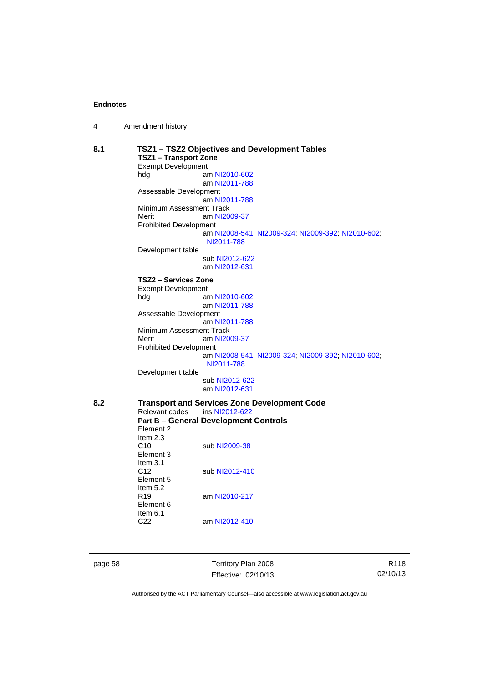|  | Amendment history |  |
|--|-------------------|--|
|--|-------------------|--|

| 8.1                                          | TSZ1 - TSZ2 Objectives and Development Tables<br><b>TSZ1 - Transport Zone</b> |                                                                  |  |  |
|----------------------------------------------|-------------------------------------------------------------------------------|------------------------------------------------------------------|--|--|
|                                              | <b>Exempt Development</b>                                                     |                                                                  |  |  |
|                                              | hdg                                                                           | am NI2010-602                                                    |  |  |
|                                              |                                                                               | am NI2011-788                                                    |  |  |
|                                              | Assessable Development                                                        |                                                                  |  |  |
|                                              | am NI2011-788                                                                 |                                                                  |  |  |
|                                              | Minimum Assessment Track                                                      |                                                                  |  |  |
|                                              | am NI2009-37<br>Merit                                                         |                                                                  |  |  |
|                                              | <b>Prohibited Development</b>                                                 |                                                                  |  |  |
|                                              |                                                                               | am NI2008-541, NI2009-324, NI2009-392, NI2010-602,<br>NI2011-788 |  |  |
|                                              | Development table                                                             |                                                                  |  |  |
|                                              |                                                                               | sub NI2012-622                                                   |  |  |
|                                              |                                                                               | am NI2012-631                                                    |  |  |
|                                              | TSZ2 – Services Zone                                                          |                                                                  |  |  |
|                                              | <b>Exempt Development</b>                                                     |                                                                  |  |  |
|                                              | hdg                                                                           | am NI2010-602                                                    |  |  |
|                                              |                                                                               | am NI2011-788                                                    |  |  |
|                                              | Assessable Development                                                        |                                                                  |  |  |
|                                              |                                                                               | am NI2011-788                                                    |  |  |
|                                              | Minimum Assessment Track                                                      |                                                                  |  |  |
|                                              | Merit                                                                         | am NI2009-37                                                     |  |  |
|                                              | <b>Prohibited Development</b>                                                 |                                                                  |  |  |
|                                              |                                                                               | am NI2008-541, NI2009-324, NI2009-392, NI2010-602,<br>NI2011-788 |  |  |
|                                              | Development table                                                             |                                                                  |  |  |
|                                              |                                                                               | sub NI2012-622                                                   |  |  |
|                                              |                                                                               | am NI2012-631                                                    |  |  |
| 8.2                                          |                                                                               | <b>Transport and Services Zone Development Code</b>              |  |  |
|                                              | ins NI2012-622<br>Relevant codes                                              |                                                                  |  |  |
| <b>Part B - General Development Controls</b> |                                                                               |                                                                  |  |  |
|                                              | Element 2                                                                     |                                                                  |  |  |
|                                              | Item $2.3$                                                                    |                                                                  |  |  |
|                                              | C10                                                                           | sub NI2009-38                                                    |  |  |
|                                              | Element 3                                                                     |                                                                  |  |  |
|                                              | Item $3.1$                                                                    |                                                                  |  |  |
|                                              | C <sub>12</sub>                                                               | sub NI2012-410                                                   |  |  |
|                                              | Element 5                                                                     |                                                                  |  |  |
|                                              | Item 5.2                                                                      |                                                                  |  |  |
|                                              | R <sub>19</sub>                                                               | am NI2010-217                                                    |  |  |
|                                              | Element 6<br>Item $6.1$                                                       |                                                                  |  |  |
|                                              | C <sub>22</sub>                                                               | am NI2012-410                                                    |  |  |
|                                              |                                                                               |                                                                  |  |  |
|                                              |                                                                               |                                                                  |  |  |
|                                              |                                                                               |                                                                  |  |  |

page 58 Territory Plan 2008 Effective: 02/10/13

R118 02/10/13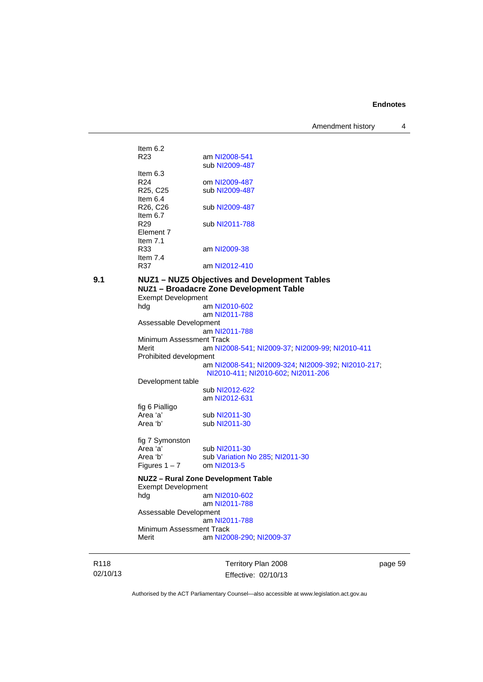Amendment history 4

| 9.1 |                                               | NUZ1 - NUZ5 Objectives and Development Tables |
|-----|-----------------------------------------------|-----------------------------------------------|
|     | R37                                           | am NI2012-410                                 |
|     | R33<br>Item $7.4$                             | am NI2009-38                                  |
|     | Element 7<br>Item $7.1$                       |                                               |
|     | Item $6.7$<br>R <sub>29</sub>                 | sub NI2011-788                                |
|     | ltem 6.4<br>R <sub>26</sub> , C <sub>26</sub> | sub NI2009-487                                |
|     | R <sub>25</sub> , C <sub>25</sub>             | sub NI2009-487                                |
|     | Item $6.3$<br>R <sub>24</sub>                 | om NI2009-487                                 |
|     |                                               | sub NI2009-487                                |
|     | Item $6.2$<br>R <sub>23</sub>                 | am NI2008-541                                 |
|     |                                               |                                               |

**NUZ1 – Broadacre Zone Development Table**  Exempt Development hdg am [NI2010-602](http://www.legislation.act.gov.au/ni/2010-602/) am [NI2011-788](http://www.legislation.act.gov.au/ni/2011-788/default.asp) Assessable Development am [NI2011-788](http://www.legislation.act.gov.au/ni/2011-788/) Minimum Assessment Track Merit am [NI2008-541](http://www.legislation.act.gov.au/ni/2008-541/); [NI2009-37](http://www.legislation.act.gov.au/ni/2009-37/); [NI2009-99](http://www.legislation.act.gov.au/ni/2009-99/); [NI2010-411](http://www.legislation.act.gov.au/ni/2010-411/) Prohibited development am [NI2008-541](http://www.legislation.act.gov.au/ni/2008-541/); [NI2009-324](http://www.legislation.act.gov.au/ni/2009-324/); [NI2009-392](http://www.legislation.act.gov.au/ni/2009-392/); [NI2010-217](http://www.legislation.act.gov.au/ni/2010-217/); [NI2010-411](http://www.legislation.act.gov.au/ni/2010-411/); [NI2010-602](http://www.legislation.act.gov.au/ni/2010-602/); [NI2011-206](http://www.legislation.act.gov.au/ni/2011-206/) Development table sub [NI2012-622](http://www.legislation.act.gov.au/ni/2012-622/default.asp) am [NI2012-631](http://www.legislation.act.gov.au/ni/2012-631/default.asp) fig 6 Pialligo Area 'a' sub [NI2011-30](http://www.legislation.act.gov.au/ni/2011-30/)<br>Area 'b' sub NI2011-30 sub [NI2011-30](http://www.legislation.act.gov.au/ni/2011-30/) fig 7 Symonston<br>Area 'a' Area 'a' sub [NI2011-30](http://www.legislation.act.gov.au/ni/2011-30/)<br>Area 'b' sub Variation N sub [Variation No 285](http://www.legislation.act.gov.au/ni/2008-123/); [NI2011-30](http://www.legislation.act.gov.au/ni/2011-30/)<br>om NI2013-5 Figures  $1 - 7$ **NUZ2 – Rural Zone Development Table**  Exempt Development hdg am [NI2010-602](http://www.legislation.act.gov.au/ni/2010-602/) am [NI2011-788](http://www.legislation.act.gov.au/ni/2011-788/) Assessable Development am [NI2011-788](http://www.legislation.act.gov.au/ni/2011-788/) Minimum Assessment Track<br>Merit am NI20 am [NI2008-290](http://www.legislation.act.gov.au/ni/2008-290/); [NI2009-37](http://www.legislation.act.gov.au/ni/2009-37/)

R118 02/10/13 Territory Plan 2008 Effective: 02/10/13 page 59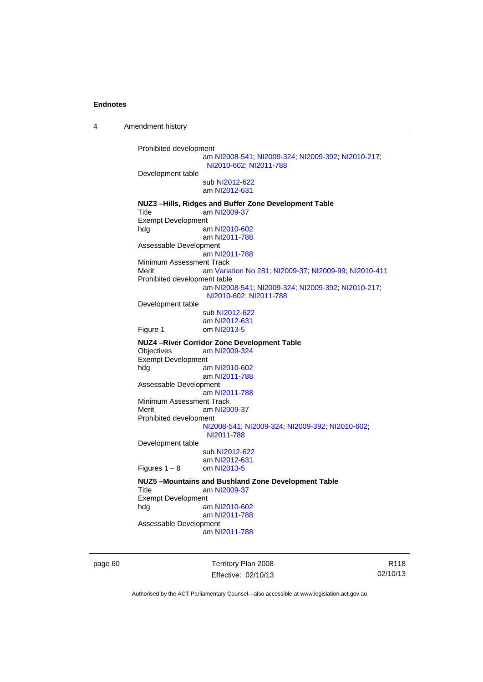4 Amendment history

```
Prohibited development 
                 am NI2008-541; NI2009-324; NI2009-392; NI2010-217; 
                 NI2010-602; NI2011-788
Development table 
                 sub NI2012-622
                 am NI2012-631
NUZ3 –Hills, Ridges and Buffer Zone Development Table 
 NI2009-37
Exempt Development 
hdg am NI2010-602
                 am NI2011-788
Assessable Development
                 am NI2011-788
Minimum Assessment Track 
Merit am Variation No 281; NI2009-37; NI2009-99; NI2010-411
Prohibited development table 
                 am NI2008-541; NI2009-324; NI2009-392; NI2010-217; 
                 NI2010-602; NI2011-788
Development table 
                 sub NI2012-622
                 am NI2012-631
Figure 1 om NI2013-5
NUZ4 –River Corridor Zone Development Table 
                 NI2009-324
Exempt Development 
hdg am NI2010-602
                 am NI2011-788
Assessable Development
                 am NI2011-788
Minimum Assessment Track 
 NI2009-37
Prohibited development 
                NI2008-541; NI2009-324; NI2009-392; NI2010-602; 
                 NI2011-788
Development table 
                 sub NI2012-622
                 NI2012-631<br>om NI2013-5
Figures 1 - 8NUZ5 –Mountains and Bushland Zone Development Table 
Title am NI2009-37
Exempt Development 
hdg am NI2010-602
                 am NI2011-788
Assessable Development
                 am NI2011-788
```
page 60 Territory Plan 2008 Effective: 02/10/13

R118 02/10/13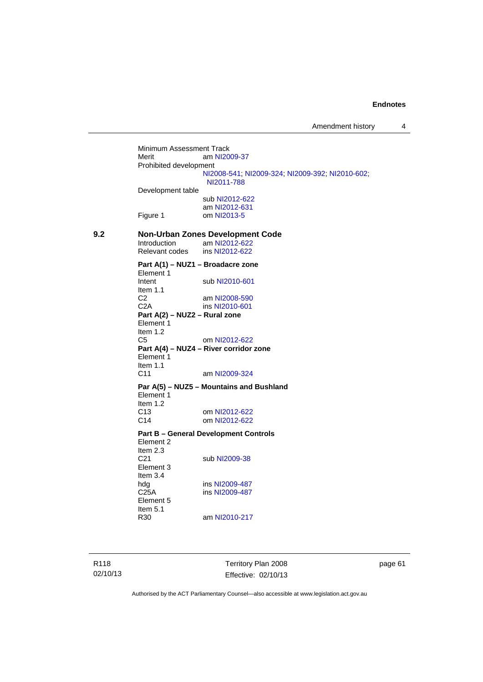Minimum Assessment Track<br>Merit am NI20 am [NI2009-37](http://www.legislation.act.gov.au/ni/2009-37/) Prohibited development [NI2008-541](http://www.legislation.act.gov.au/ni/2008-541/); [NI2009-324](http://www.legislation.act.gov.au/ni/2009-324/); [NI2009-392](http://www.legislation.act.gov.au/ni/2009-392/); [NI2010-602](http://www.legislation.act.gov.au/ni/2010-602/); [NI2011-788](http://www.legislation.act.gov.au/ni/2011-788/) Development table sub [NI2012-622](http://www.legislation.act.gov.au/ni/2012-622/default.asp) am [NI2012-631](http://www.legislation.act.gov.au/ni/2012-631/default.asp) Figure 1 om [NI2013-5](http://www.legislation.act.gov.au/ni/2013-5/default.asp) **9.2 Non-Urban Zones Development Code**  am [NI2012-622](http://www.legislation.act.gov.au/ni/2012-622/default.asp)<br>
Ins NI2012-622 Relevant codes **Part A(1) – NUZ1 – Broadacre zone**  Element 1 Intent sub [NI2010-601](http://www.legislation.act.gov.au/ni/2010-601/) Item  $1.1$ <br>C<sub>2</sub> am [NI2008-590](http://www.legislation.act.gov.au/ni/2008-590/default.asp) C2A ins [NI2010-601](http://www.legislation.act.gov.au/ni/2010-601/) **Part A(2) – NUZ2 – Rural zone**  Element 1 Item 1.2 C5 om [NI2012-622](http://www.legislation.act.gov.au/ni/2012-622/default.asp) **Part A(4) – NUZ4 – River corridor zone**  Element 1 Item 1.1 C11 am [NI2009-324](http://www.legislation.act.gov.au/ni/2009-324/) **Par A(5) – NUZ5 – Mountains and Bushland**  Element 1 Item  $1.2$ <br>C<sub>13</sub> om [NI2012-622](http://www.legislation.act.gov.au/ni/2012-622/default.asp) C14 om [NI2012-622](http://www.legislation.act.gov.au/ni/2012-622/default.asp) **Part B – General Development Controls**  Element 2 Item 2.3<br>C21 sub [NI2009-38](http://www.legislation.act.gov.au/ni/2009-38/) Element 3 Item 3.4 hdg ins [NI2009-487](http://www.legislation.act.gov.au/ni/2009-487/)<br>C25A ins NI2009-487 ins [NI2009-487](http://www.legislation.act.gov.au/ni/2009-487/) Element 5 Item  $5.1$ <br>R30 am [NI2010-217](http://www.legislation.act.gov.au/ni/2010-217/)

R118 02/10/13 Territory Plan 2008 Effective: 02/10/13 page 61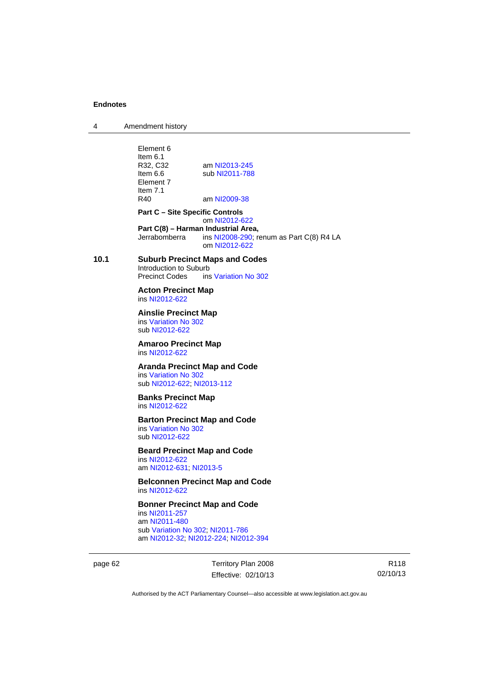4 Amendment history

Element 6 Item 6.1<br>R32. C32 R32, C32 am [NI2013-245](http://www.legislation.act.gov.au/ni/2013-245/default.asp)<br>Item 6.6 sub NI2011-788 sub [NI2011-788](http://www.legislation.act.gov.au/ni/2011-788/) Element 7 Item 7.1<br>R40 am [NI2009-38](http://www.legislation.act.gov.au/ni/2009-38/) **Part C – Site Specific Controls**  om [NI2012-622](http://www.legislation.act.gov.au/ni/2012-622/default.asp) **Part C(8) – Harman Industrial Area,**<br>
Jerrabomberra ins NI2008-290: re ins  $N$ 12008-290; renum as Part C(8) R4 LA om [NI2012-622](http://www.legislation.act.gov.au/ni/2012-622/default.asp) **10.1 Suburb Precinct Maps and Codes**  Introduction to Suburb Precinct Codes ins [Variation No 302](http://www.legislation.act.gov.au/ni/2011-573/) **Acton Precinct Map**  ins [NI2012-622](http://www.legislation.act.gov.au/ni/2012-622/default.asp) **Ainslie Precinct Map**  ins [Variation No 302](http://www.legislation.act.gov.au/ni/2011-573/) sub [NI2012-622](http://www.legislation.act.gov.au/ni/2012-622/default.asp) **Amaroo Precinct Map**  ins [NI2012-622](http://www.legislation.act.gov.au/ni/2012-622/default.asp) **Aranda Precinct Map and Code**  ins [Variation No 302](http://www.legislation.act.gov.au/ni/2011-573/) sub [NI2012-622](http://www.legislation.act.gov.au/ni/2012-622/default.asp); [NI2013-112](http://www.legislation.act.gov.au/ni/2013-112/default.asp) **Banks Precinct Map**  ins [NI2012-622](http://www.legislation.act.gov.au/ni/2012-622/default.asp) **Barton Precinct Map and Code**  ins [Variation No 302](http://www.legislation.act.gov.au/ni/2011-573/) sub [NI2012-622](http://www.legislation.act.gov.au/ni/2012-622/default.asp) **Beard Precinct Map and Code**  ins [NI2012-622](http://www.legislation.act.gov.au/ni/2012-622/default.asp) am [NI2012-631](http://www.legislation.act.gov.au/ni/2012-631/default.asp); [NI2013-5](http://www.legislation.act.gov.au/ni/2013-5/default.asp) **Belconnen Precinct Map and Code**  ins [NI2012-622](http://www.legislation.act.gov.au/ni/2012-622/default.asp) **Bonner Precinct Map and Code**  ins [NI2011-257](http://www.legislation.act.gov.au/ni/2011-257/) am [NI2011-480](http://www.legislation.act.gov.au/ni/2011-480/) sub [Variation No 302](http://www.legislation.act.gov.au/ni/2011-573/); [NI2011-786](http://www.legislation.act.gov.au/ni/2011-786/) am [NI2012-32](http://www.legislation.act.gov.au/ni/2012-32/); [NI2012-224](http://www.legislation.act.gov.au/ni/2012-224/); [NI2012-394](http://www.legislation.act.gov.au/ni/2012-394/)

page 62 Territory Plan 2008 Effective: 02/10/13

R118 02/10/13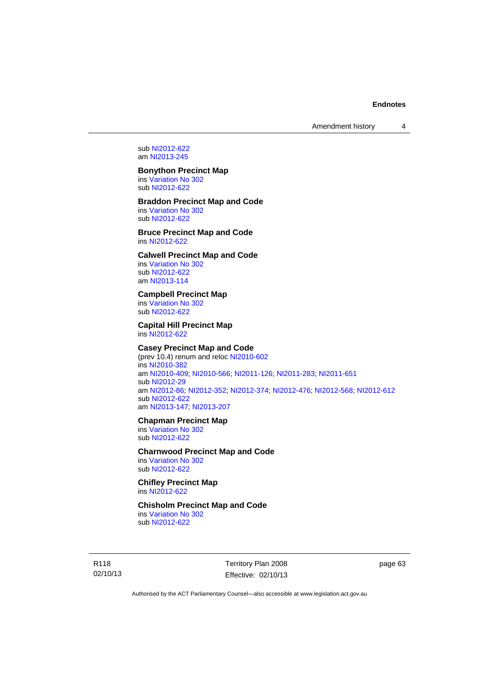Amendment history 4

sub [NI2012-622](http://www.legislation.act.gov.au/ni/2012-622/default.asp) am [NI2013-245](http://www.legislation.act.gov.au/ni/2013-245/default.asp)

# **Bonython Precinct Map**

ins [Variation No 302](http://www.legislation.act.gov.au/ni/2011-573/) sub [NI2012-622](http://www.legislation.act.gov.au/ni/2012-622/default.asp)

# **Braddon Precinct Map and Code**

ins [Variation No 302](http://www.legislation.act.gov.au/ni/2011-573/) sub [NI2012-622](http://www.legislation.act.gov.au/ni/2012-622/default.asp)

# **Bruce Precinct Map and Code**  ins [NI2012-622](http://www.legislation.act.gov.au/ni/2012-622/default.asp)

# **Calwell Precinct Map and Code**

ins [Variation No 302](http://www.legislation.act.gov.au/ni/2011-573/) sub [NI2012-622](http://www.legislation.act.gov.au/ni/2012-622/default.asp) am [NI2013-114](http://www.legislation.act.gov.au/ni/2013-114/default.asp)

# **Campbell Precinct Map**

ins [Variation No 302](http://www.legislation.act.gov.au/ni/2011-573/) sub [NI2012-622](http://www.legislation.act.gov.au/ni/2012-622/default.asp)

#### **Capital Hill Precinct Map**  ins [NI2012-622](http://www.legislation.act.gov.au/ni/2012-622/default.asp)

# **Casey Precinct Map and Code**

(prev 10.4) renum and reloc [NI2010-602](http://www.legislation.act.gov.au/ni/2010-602/) ins [NI2010-382](http://www.legislation.act.gov.au/ni/2010-382/) am [NI2010-409](http://www.legislation.act.gov.au/ni/2010-409/); [NI2010-566](http://www.legislation.act.gov.au/ni/2010-566/); [NI2011-126](http://www.legislation.act.gov.au/ni/2011-126/); [NI2011-283](http://www.legislation.act.gov.au/ni/2011-283/); [NI2011-651](http://www.legislation.act.gov.au/ni/2011-651/) sub [NI2012-29](http://www.legislation.act.gov.au/ni/2012-29/) am [NI2012-86](http://www.legislation.act.gov.au/ni/2012-86/); [NI2012-352](http://www.legislation.act.gov.au/ni/2012-352/); [NI2012-374](http://www.legislation.act.gov.au/ni/2012-374/); [NI2012-476](http://www.legislation.act.gov.au/ni/2012-476/); [NI2012-568](http://www.legislation.act.gov.au/ni/2012-568/default.asp); [NI2012-612](http://www.legislation.act.gov.au/ni/2012-612/default.asp) sub [NI2012-622](http://www.legislation.act.gov.au/ni/2012-622/default.asp) am [NI2013-147](http://www.legislation.act.gov.au/ni/2013-147/default.asp); [NI2013-207](http://www.legislation.act.gov.au/ni/2013-207/default.asp)

# **Chapman Precinct Map**

ins [Variation No 302](http://www.legislation.act.gov.au/ni/2011-573/) sub [NI2012-622](http://www.legislation.act.gov.au/ni/2012-622/default.asp)

# **Charnwood Precinct Map and Code**

ins [Variation No 302](http://www.legislation.act.gov.au/ni/2011-573/) sub [NI2012-622](http://www.legislation.act.gov.au/ni/2012-622/default.asp)

# **Chifley Precinct Map**  ins [NI2012-622](http://www.legislation.act.gov.au/ni/2012-622/default.asp)

**Chisholm Precinct Map and Code** 

ins [Variation No 302](http://www.legislation.act.gov.au/ni/2011-573/) sub [NI2012-622](http://www.legislation.act.gov.au/ni/2012-622/default.asp)

R118 02/10/13 Territory Plan 2008 Effective: 02/10/13 page 63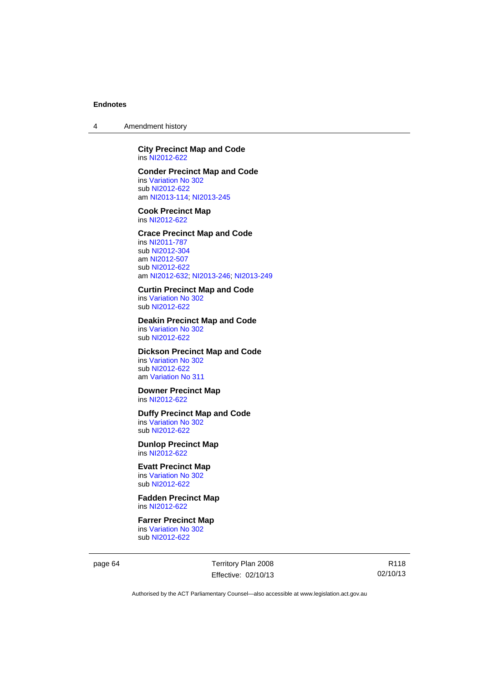4 Amendment history

# **City Precinct Map and Code**  ins [NI2012-622](http://www.legislation.act.gov.au/ni/2012-622/default.asp)

### **Conder Precinct Map and Code**

ins [Variation No 302](http://www.legislation.act.gov.au/ni/2011-573/) sub [NI2012-622](http://www.legislation.act.gov.au/ni/2012-622/default.asp) am [NI2013-114](http://www.legislation.act.gov.au/ni/2013-114/default.asp); [NI2013-245](http://www.legislation.act.gov.au/ni/2013-245/default.asp)

**Cook Precinct Map**  ins [NI2012-622](http://www.legislation.act.gov.au/ni/2012-622/default.asp)

# **Crace Precinct Map and Code**

ins [NI2011-787](http://www.legislation.act.gov.au/ni/2011-787/) sub [NI2012-304](http://www.legislation.act.gov.au/ni/2012-304/) am [NI2012-507](http://www.legislation.act.gov.au/ni/2012-507/) sub [NI2012-622](http://www.legislation.act.gov.au/ni/2012-622/default.asp) am [NI2012-632](http://www.legislation.act.gov.au/ni/2012-632/default.asp); [NI2013-246](http://www.legislation.act.gov.au/ni/2013-246/default.asp); [NI2013-249](http://www.legislation.act.gov.au/ni/2013-248/default.asp)

# **Curtin Precinct Map and Code**

ins [Variation No 302](http://www.legislation.act.gov.au/ni/2011-573/) sub [NI2012-622](http://www.legislation.act.gov.au/ni/2012-622/default.asp)

#### **Deakin Precinct Map and Code**

ins [Variation No 302](http://www.legislation.act.gov.au/ni/2011-573/) sub [NI2012-622](http://www.legislation.act.gov.au/ni/2012-622/default.asp)

# **Dickson Precinct Map and Code**

ins [Variation No 302](http://www.legislation.act.gov.au/ni/2011-573/) sub [NI2012-622](http://www.legislation.act.gov.au/ni/2012-622/default.asp) am [Variation No 311](http://www.legislation.act.gov.au/ni/2013-208/default.asp)

### **Downer Precinct Map**  ins [NI2012-622](http://www.legislation.act.gov.au/ni/2012-622/default.asp)

# **Duffy Precinct Map and Code**

ins [Variation No 302](http://www.legislation.act.gov.au/ni/2011-573/) sub [NI2012-622](http://www.legislation.act.gov.au/ni/2012-622/default.asp)

**Dunlop Precinct Map**  ins [NI2012-622](http://www.legislation.act.gov.au/ni/2012-622/default.asp)

# **Evatt Precinct Map**

ins [Variation No 302](http://www.legislation.act.gov.au/ni/2011-573/) sub [NI2012-622](http://www.legislation.act.gov.au/ni/2012-622/default.asp)

**Fadden Precinct Map**  ins [NI2012-622](http://www.legislation.act.gov.au/ni/2012-622/default.asp)

# **Farrer Precinct Map**

ins [Variation No 302](http://www.legislation.act.gov.au/ni/2011-573/) sub [NI2012-622](http://www.legislation.act.gov.au/ni/2012-622/default.asp)

page 64 Territory Plan 2008 Effective: 02/10/13

R118 02/10/13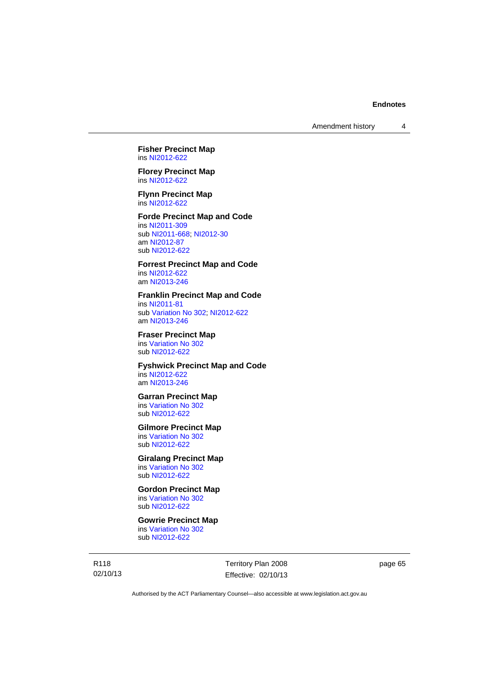# **Fisher Precinct Map**  ins [NI2012-622](http://www.legislation.act.gov.au/ni/2012-622/default.asp)

**Florey Precinct Map**  ins [NI2012-622](http://www.legislation.act.gov.au/ni/2012-622/default.asp)

**Flynn Precinct Map**  ins [NI2012-622](http://www.legislation.act.gov.au/ni/2012-622/default.asp)

# **Forde Precinct Map and Code**

ins [NI2011-309](http://www.legislation.act.gov.au/ni/2011-309/) sub [NI2011-668](http://www.legislation.act.gov.au/ni/2011-668/); [NI2012-30](http://www.legislation.act.gov.au/ni/2012-30/) am [NI2012-87](http://www.legislation.act.gov.au/ni/2012-87/) sub [NI2012-622](http://www.legislation.act.gov.au/ni/2012-622/default.asp)

# **Forrest Precinct Map and Code**

ins [NI2012-622](http://www.legislation.act.gov.au/ni/2012-622/default.asp) am [NI2013-246](http://www.legislation.act.gov.au/ni/2013-246/default.asp)

#### **Franklin Precinct Map and Code**

ins [NI2011-81](http://www.legislation.act.gov.au/ni/2011-81/) sub [Variation No 302](http://www.legislation.act.gov.au/ni/2011-573/); [NI2012-622](http://www.legislation.act.gov.au/ni/2012-622/default.asp) am [NI2013-246](http://www.legislation.act.gov.au/ni/2013-246/default.asp)

**Fraser Precinct Map**  ins [Variation No 302](http://www.legislation.act.gov.au/ni/2011-573/) sub [NI2012-622](http://www.legislation.act.gov.au/ni/2012-622/default.asp)

### **Fyshwick Precinct Map and Code**  ins [NI2012-622](http://www.legislation.act.gov.au/ni/2012-622/default.asp)

am [NI2013-246](http://www.legislation.act.gov.au/ni/2013-246/default.asp)

# **Garran Precinct Map**

ins [Variation No 302](http://www.legislation.act.gov.au/ni/2011-573/) sub [NI2012-622](http://www.legislation.act.gov.au/ni/2012-622/default.asp)

# **Gilmore Precinct Map**

ins [Variation No 302](http://www.legislation.act.gov.au/ni/2011-573/) sub [NI2012-622](http://www.legislation.act.gov.au/ni/2012-622/default.asp)

# **Giralang Precinct Map**

ins [Variation No 302](http://www.legislation.act.gov.au/ni/2011-573/) sub [NI2012-622](http://www.legislation.act.gov.au/ni/2012-622/default.asp)

# **Gordon Precinct Map**

ins [Variation No 302](http://www.legislation.act.gov.au/ni/2011-573/) sub [NI2012-622](http://www.legislation.act.gov.au/ni/2012-622/default.asp)

# **Gowrie Precinct Map**

ins [Variation No 302](http://www.legislation.act.gov.au/ni/2011-573/) sub [NI2012-622](http://www.legislation.act.gov.au/ni/2012-622/default.asp)

R118 02/10/13 Territory Plan 2008 Effective: 02/10/13 page 65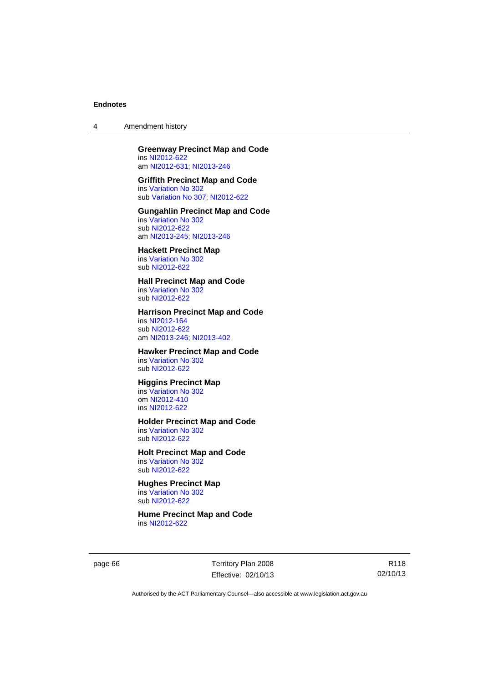4 Amendment history

# **Greenway Precinct Map and Code**

ins [NI2012-622](http://www.legislation.act.gov.au/ni/2012-622/default.asp) am [NI2012-631](http://www.legislation.act.gov.au/ni/2012-631/default.asp); [NI2013-246](http://www.legislation.act.gov.au/ni/2013-246/default.asp)

# **Griffith Precinct Map and Code**

ins [Variation No 302](http://www.legislation.act.gov.au/ni/2011-573/) sub [Variation No 307](http://www.legislation.act.gov.au/ni/2012-201/); [NI2012-622](http://www.legislation.act.gov.au/ni/2012-622/default.asp)

#### **Gungahlin Precinct Map and Code**  ins [Variation No 302](http://www.legislation.act.gov.au/ni/2011-573/) sub [NI2012-622](http://www.legislation.act.gov.au/ni/2012-622/default.asp)

am [NI2013-245](http://www.legislation.act.gov.au/ni/2013-245/default.asp); [NI2013-246](http://www.legislation.act.gov.au/ni/2013-246/default.asp)

# **Hackett Precinct Map**

ins [Variation No 302](http://www.legislation.act.gov.au/ni/2011-573/) sub [NI2012-622](http://www.legislation.act.gov.au/ni/2012-622/default.asp)

# **Hall Precinct Map and Code**

ins [Variation No 302](http://www.legislation.act.gov.au/ni/2011-573/) sub [NI2012-622](http://www.legislation.act.gov.au/ni/2012-622/default.asp)

# **Harrison Precinct Map and Code**

ins [NI2012-164](http://www.legislation.act.gov.au/ni/2012-164/) sub [NI2012-622](http://www.legislation.act.gov.au/ni/2012-622/default.asp) am [NI2013-246](http://www.legislation.act.gov.au/ni/2013-246/default.asp); [NI2013-402](http://www.legislation.act.gov.au/ni/2013-402/default.asp)

# **Hawker Precinct Map and Code**

ins [Variation No 302](http://www.legislation.act.gov.au/ni/2011-573/) sub [NI2012-622](http://www.legislation.act.gov.au/ni/2012-622/default.asp)

# **Higgins Precinct Map**

ins [Variation No 302](http://www.legislation.act.gov.au/ni/2011-573/) om [NI2012-410](http://www.legislation.act.gov.au/ni/2012-410/) ins [NI2012-622](http://www.legislation.act.gov.au/ni/2012-622/default.asp)

# **Holder Precinct Map and Code**

ins [Variation No 302](http://www.legislation.act.gov.au/ni/2011-573/) sub [NI2012-622](http://www.legislation.act.gov.au/ni/2012-622/default.asp)

# **Holt Precinct Map and Code**

ins [Variation No 302](http://www.legislation.act.gov.au/ni/2011-573/) sub [NI2012-622](http://www.legislation.act.gov.au/ni/2012-622/default.asp)

#### **Hughes Precinct Map**  ins [Variation No 302](http://www.legislation.act.gov.au/ni/2011-573/)

sub [NI2012-622](http://www.legislation.act.gov.au/ni/2012-622/default.asp)

#### **Hume Precinct Map and Code**  ins [NI2012-622](http://www.legislation.act.gov.au/ni/2012-622/default.asp)

page 66 Territory Plan 2008 Effective: 02/10/13

R118 02/10/13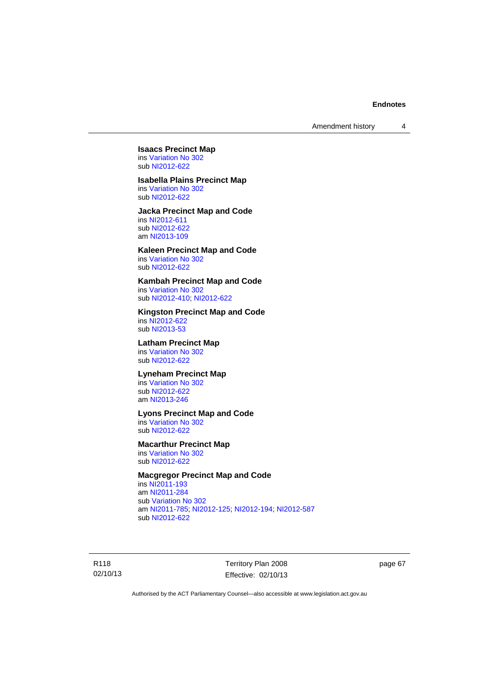# **Isaacs Precinct Map**  ins [Variation No 302](http://www.legislation.act.gov.au/ni/2011-573/)

sub [NI2012-622](http://www.legislation.act.gov.au/ni/2012-622/default.asp)

# **Isabella Plains Precinct Map**

ins [Variation No 302](http://www.legislation.act.gov.au/ni/2011-573/) sub [NI2012-622](http://www.legislation.act.gov.au/ni/2012-622/default.asp)

#### **Jacka Precinct Map and Code**  ins [NI2012-611](http://www.legislation.act.gov.au/ni/2012-611/default.asp)

sub [NI2012-622](http://www.legislation.act.gov.au/ni/2012-622/default.asp) am [NI2013-109](http://www.legislation.act.gov.au/ni/2013-109/default.asp)

# **Kaleen Precinct Map and Code**

ins [Variation No 302](http://www.legislation.act.gov.au/ni/2011-573/) sub [NI2012-622](http://www.legislation.act.gov.au/ni/2012-622/default.asp)

# **Kambah Precinct Map and Code**

ins [Variation No 302](http://www.legislation.act.gov.au/ni/2011-573/) sub [NI2012-410](http://www.legislation.act.gov.au/ni/2012-410/); [NI2012-622](http://www.legislation.act.gov.au/ni/2012-622/default.asp)

# **Kingston Precinct Map and Code**

ins [NI2012-622](http://www.legislation.act.gov.au/ni/2012-622/default.asp) sub [NI2013-53](http://www.legislation.act.gov.au/ni/2013-53/default.asp)

# **Latham Precinct Map**

ins [Variation No 302](http://www.legislation.act.gov.au/ni/2011-573/) sub [NI2012-622](http://www.legislation.act.gov.au/ni/2012-622/default.asp)

#### **Lyneham Precinct Map**

ins [Variation No 302](http://www.legislation.act.gov.au/ni/2011-573/) sub [NI2012-622](http://www.legislation.act.gov.au/ni/2012-622/default.asp) am [NI2013-246](http://www.legislation.act.gov.au/ni/2013-246/default.asp)

# **Lyons Precinct Map and Code**

ins [Variation No 302](http://www.legislation.act.gov.au/ni/2011-573/) sub [NI2012-622](http://www.legislation.act.gov.au/ni/2012-622/default.asp)

# **Macarthur Precinct Map**

ins [Variation No 302](http://www.legislation.act.gov.au/ni/2011-573/) sub [NI2012-622](http://www.legislation.act.gov.au/ni/2012-622/default.asp)

# **Macgregor Precinct Map and Code**

ins [NI2011-193](http://www.legislation.act.gov.au/ni/2011-193/) am [NI2011-284](http://www.legislation.act.gov.au/ni/2011-284/) sub [Variation No 302](http://www.legislation.act.gov.au/ni/2011-573/) am [NI2011-785](http://www.legislation.act.gov.au/ni/2011-785/); [NI2012-125](http://www.legislation.act.gov.au/ni/2012-125/); [NI2012-194](http://www.legislation.act.gov.au/ni/2012-194/); [NI2012-587](http://www.legislation.act.gov.au/ni/2012-587/default.asp) sub [NI2012-622](http://www.legislation.act.gov.au/ni/2012-622/default.asp)

R118 02/10/13 Territory Plan 2008 Effective: 02/10/13 page 67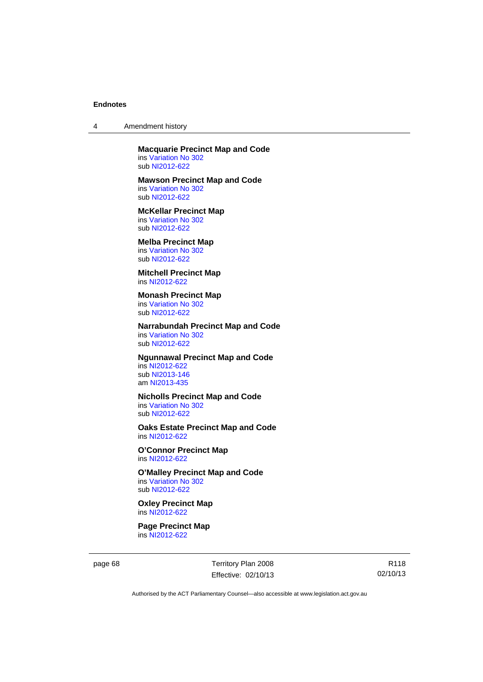4 Amendment history

**Macquarie Precinct Map and Code**  ins [Variation No 302](http://www.legislation.act.gov.au/ni/2011-573/) sub [NI2012-622](http://www.legislation.act.gov.au/ni/2012-622/default.asp)

**Mawson Precinct Map and Code** 

ins [Variation No 302](http://www.legislation.act.gov.au/ni/2011-573/) sub [NI2012-622](http://www.legislation.act.gov.au/ni/2012-622/default.asp)

**McKellar Precinct Map**  ins [Variation No 302](http://www.legislation.act.gov.au/ni/2011-573/)

sub [NI2012-622](http://www.legislation.act.gov.au/ni/2012-622/default.asp)

# **Melba Precinct Map**

ins [Variation No 302](http://www.legislation.act.gov.au/ni/2011-573/) sub [NI2012-622](http://www.legislation.act.gov.au/ni/2012-622/default.asp)

**Mitchell Precinct Map**  ins [NI2012-622](http://www.legislation.act.gov.au/ni/2012-622/default.asp)

#### **Monash Precinct Map**

ins [Variation No 302](http://www.legislation.act.gov.au/ni/2011-573/) sub [NI2012-622](http://www.legislation.act.gov.au/ni/2012-622/default.asp)

### **Narrabundah Precinct Map and Code**  ins [Variation No 302](http://www.legislation.act.gov.au/ni/2011-573/)

sub [NI2012-622](http://www.legislation.act.gov.au/ni/2012-622/default.asp)

# **Ngunnawal Precinct Map and Code**

ins [NI2012-622](http://www.legislation.act.gov.au/ni/2012-622/default.asp) sub [NI2013-146](http://www.legislation.act.gov.au/ni/2013-146/default.asp) am [NI2013-435](http://www.legislation.act.gov.au/ni/2013-435/default.asp)

# **Nicholls Precinct Map and Code**

ins [Variation No 302](http://www.legislation.act.gov.au/ni/2011-573/) sub [NI2012-622](http://www.legislation.act.gov.au/ni/2012-622/default.asp)

### **Oaks Estate Precinct Map and Code**  ins [NI2012-622](http://www.legislation.act.gov.au/ni/2012-622/default.asp)

**O'Connor Precinct Map**  ins [NI2012-622](http://www.legislation.act.gov.au/ni/2012-622/default.asp)

### **O'Malley Precinct Map and Code**  ins [Variation No 302](http://www.legislation.act.gov.au/ni/2011-573/) sub [NI2012-622](http://www.legislation.act.gov.au/ni/2012-622/default.asp)

### **Oxley Precinct Map**  ins [NI2012-622](http://www.legislation.act.gov.au/ni/2012-622/default.asp)

**Page Precinct Map**  ins [NI2012-622](http://www.legislation.act.gov.au/ni/2012-622/default.asp)

page 68 Territory Plan 2008 Effective: 02/10/13

R118 02/10/13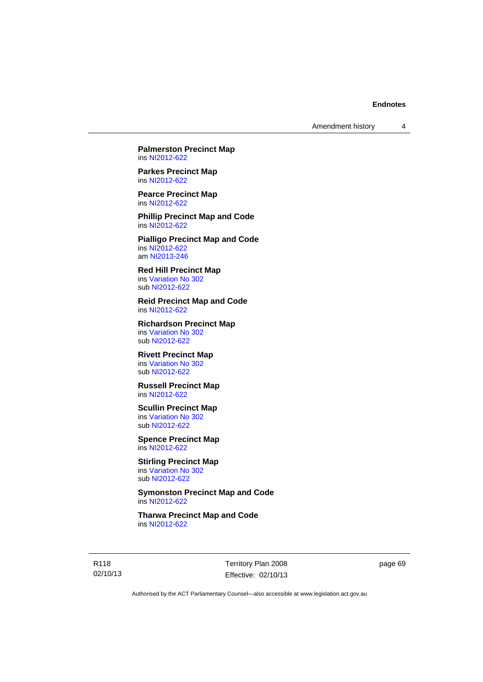**Palmerston Precinct Map**  ins [NI2012-622](http://www.legislation.act.gov.au/ni/2012-622/default.asp)

**Parkes Precinct Map**  ins [NI2012-622](http://www.legislation.act.gov.au/ni/2012-622/default.asp)

**Pearce Precinct Map**  ins [NI2012-622](http://www.legislation.act.gov.au/ni/2012-622/default.asp)

**Phillip Precinct Map and Code**  ins [NI2012-622](http://www.legislation.act.gov.au/ni/2012-622/default.asp)

**Pialligo Precinct Map and Code**  ins [NI2012-622](http://www.legislation.act.gov.au/ni/2012-622/default.asp) am [NI2013-246](http://www.legislation.act.gov.au/ni/2013-246/default.asp)

**Red Hill Precinct Map**  ins [Variation No 302](http://www.legislation.act.gov.au/ni/2011-573/) sub [NI2012-622](http://www.legislation.act.gov.au/ni/2012-622/default.asp)

**Reid Precinct Map and Code**  ins [NI2012-622](http://www.legislation.act.gov.au/ni/2012-622/default.asp)

**Richardson Precinct Map**  ins [Variation No 302](http://www.legislation.act.gov.au/ni/2011-573/) sub [NI2012-622](http://www.legislation.act.gov.au/ni/2012-622/default.asp)

#### **Rivett Precinct Map**  ins [Variation No 302](http://www.legislation.act.gov.au/ni/2011-573/)

sub [NI2012-622](http://www.legislation.act.gov.au/ni/2012-622/default.asp)

# **Russell Precinct Map**  ins [NI2012-622](http://www.legislation.act.gov.au/ni/2012-622/default.asp)

**Scullin Precinct Map** 

ins [Variation No 302](http://www.legislation.act.gov.au/ni/2011-573/) sub [NI2012-622](http://www.legislation.act.gov.au/ni/2012-622/default.asp)

**Spence Precinct Map**  ins [NI2012-622](http://www.legislation.act.gov.au/ni/2012-622/default.asp)

**Stirling Precinct Map**  ins [Variation No 302](http://www.legislation.act.gov.au/ni/2011-573/) sub [NI2012-622](http://www.legislation.act.gov.au/ni/2012-622/default.asp)

**Symonston Precinct Map and Code**  ins [NI2012-622](http://www.legislation.act.gov.au/ni/2012-622/default.asp)

**Tharwa Precinct Map and Code**  ins [NI2012-622](http://www.legislation.act.gov.au/ni/2012-622/default.asp)

R118 02/10/13 Territory Plan 2008 Effective: 02/10/13 page 69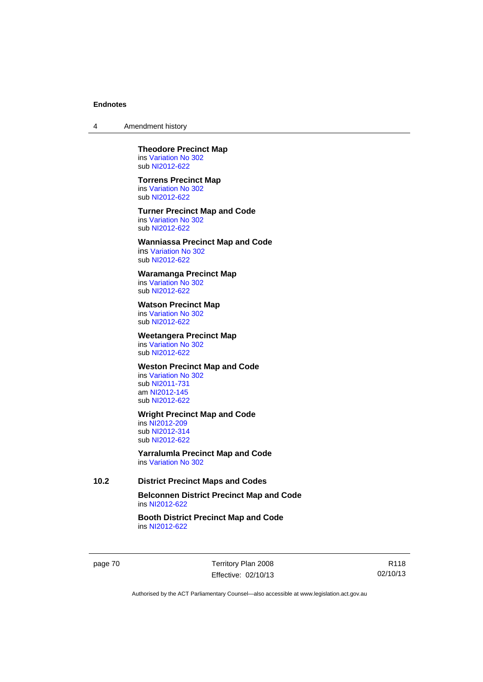4 Amendment history

#### **Theodore Precinct Map**  ins [Variation No 302](http://www.legislation.act.gov.au/ni/2011-573/) sub [NI2012-622](http://www.legislation.act.gov.au/ni/2012-622/default.asp)

#### **Torrens Precinct Map**

ins [Variation No 302](http://www.legislation.act.gov.au/ni/2011-573/) sub [NI2012-622](http://www.legislation.act.gov.au/ni/2012-622/default.asp)

# **Turner Precinct Map and Code**

ins [Variation No 302](http://www.legislation.act.gov.au/ni/2011-573/) sub [NI2012-622](http://www.legislation.act.gov.au/ni/2012-622/default.asp)

# **Wanniassa Precinct Map and Code**

ins [Variation No 302](http://www.legislation.act.gov.au/ni/2011-573/) sub [NI2012-622](http://www.legislation.act.gov.au/ni/2012-622/default.asp)

# **Waramanga Precinct Map**

ins [Variation No 302](http://www.legislation.act.gov.au/ni/2011-573/) sub [NI2012-622](http://www.legislation.act.gov.au/ni/2012-622/default.asp)

# **Watson Precinct Map**

ins [Variation No 302](http://www.legislation.act.gov.au/ni/2011-573/) sub [NI2012-622](http://www.legislation.act.gov.au/ni/2012-622/default.asp)

### **Weetangera Precinct Map**

ins [Variation No 302](http://www.legislation.act.gov.au/ni/2011-573/) sub [NI2012-622](http://www.legislation.act.gov.au/ni/2012-622/default.asp)

# **Weston Precinct Map and Code**

ins [Variation No 302](http://www.legislation.act.gov.au/ni/2011-573/) sub [NI2011-731](http://www.legislation.act.gov.au/ni/2011-731/) am [NI2012-145](http://www.legislation.act.gov.au/ni/2012-145/) sub [NI2012-622](http://www.legislation.act.gov.au/ni/2012-622/default.asp)

# **Wright Precinct Map and Code**

ins [NI2012-209](http://www.legislation.act.gov.au/ni/2012-209/) sub [NI2012-314](http://www.legislation.act.gov.au/ni/2012-314/) sub [NI2012-622](http://www.legislation.act.gov.au/ni/2012-622/default.asp)

**Yarralumla Precinct Map and Code**  ins [Variation No 302](http://www.legislation.act.gov.au/ni/2011-573/)

# **10.2 District Precinct Maps and Codes**

**Belconnen District Precinct Map and Code**  ins [NI2012-622](http://www.legislation.act.gov.au/ni/2012-622/default.asp)

# **Booth District Precinct Map and Code**  ins [NI2012-622](http://www.legislation.act.gov.au/ni/2012-622/default.asp)

page 70 Territory Plan 2008 Effective: 02/10/13

R118 02/10/13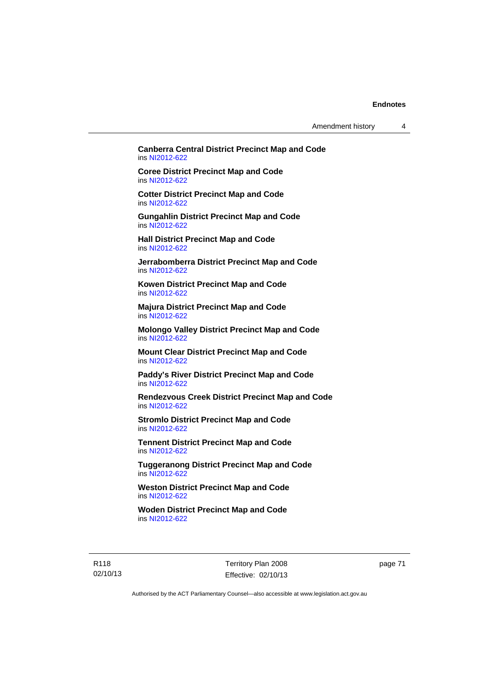Amendment history 4

# **Canberra Central District Precinct Map and Code**  ins [NI2012-622](http://www.legislation.act.gov.au/ni/2012-622/default.asp)

**Coree District Precinct Map and Code**  ins [NI2012-622](http://www.legislation.act.gov.au/ni/2012-622/default.asp)

**Cotter District Precinct Map and Code**  ins [NI2012-622](http://www.legislation.act.gov.au/ni/2012-622/default.asp)

**Gungahlin District Precinct Map and Code**  ins [NI2012-622](http://www.legislation.act.gov.au/ni/2012-622/default.asp)

**Hall District Precinct Map and Code**  ins [NI2012-622](http://www.legislation.act.gov.au/ni/2012-622/default.asp)

**Jerrabomberra District Precinct Map and Code**  ins [NI2012-622](http://www.legislation.act.gov.au/ni/2012-622/default.asp)

**Kowen District Precinct Map and Code**  ins [NI2012-622](http://www.legislation.act.gov.au/ni/2012-622/default.asp)

**Majura District Precinct Map and Code**  ins [NI2012-622](http://www.legislation.act.gov.au/ni/2012-622/default.asp)

**Molongo Valley District Precinct Map and Code**  ins [NI2012-622](http://www.legislation.act.gov.au/ni/2012-622/default.asp)

**Mount Clear District Precinct Map and Code**  ins [NI2012-622](http://www.legislation.act.gov.au/ni/2012-622/default.asp)

**Paddy's River District Precinct Map and Code**  ins [NI2012-622](http://www.legislation.act.gov.au/ni/2012-622/default.asp)

**Rendezvous Creek District Precinct Map and Code**  ins [NI2012-622](http://www.legislation.act.gov.au/ni/2012-622/default.asp)

**Stromlo District Precinct Map and Code**  ins [NI2012-622](http://www.legislation.act.gov.au/ni/2012-622/default.asp)

**Tennent District Precinct Map and Code**  ins [NI2012-622](http://www.legislation.act.gov.au/ni/2012-622/default.asp)

**Tuggeranong District Precinct Map and Code**  ins [NI2012-622](http://www.legislation.act.gov.au/ni/2012-622/default.asp)

**Weston District Precinct Map and Code**  ins [NI2012-622](http://www.legislation.act.gov.au/ni/2012-622/default.asp)

**Woden District Precinct Map and Code**  ins [NI2012-622](http://www.legislation.act.gov.au/ni/2012-622/default.asp)

R118 02/10/13 Territory Plan 2008 Effective: 02/10/13 page 71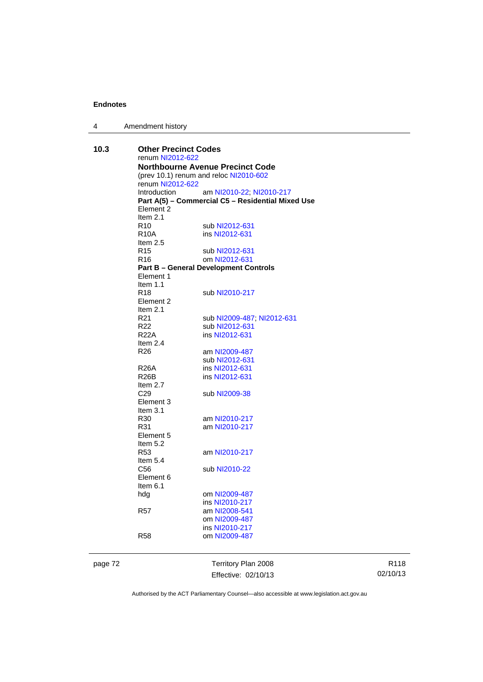| $\overline{4}$ | Amendment history |
|----------------|-------------------|
|----------------|-------------------|

| 10.3    | <b>Other Precinct Codes</b><br>renum NI2012-622<br><b>Northbourne Avenue Precinct Code</b> |                                                   |  |  |
|---------|--------------------------------------------------------------------------------------------|---------------------------------------------------|--|--|
|         |                                                                                            |                                                   |  |  |
|         |                                                                                            |                                                   |  |  |
|         |                                                                                            | (prev 10.1) renum and reloc NI2010-602            |  |  |
|         | renum NI2012-622                                                                           |                                                   |  |  |
|         | Introduction                                                                               | am NI2010-22; NI2010-217                          |  |  |
|         |                                                                                            | Part A(5) - Commercial C5 - Residential Mixed Use |  |  |
|         | Element 2                                                                                  |                                                   |  |  |
|         | Item $2.1$                                                                                 |                                                   |  |  |
|         | R <sub>10</sub>                                                                            | sub NI2012-631                                    |  |  |
|         | R <sub>10</sub> A                                                                          | ins NI2012-631                                    |  |  |
|         | Item $2.5$                                                                                 |                                                   |  |  |
|         | R15                                                                                        | sub NI2012-631                                    |  |  |
|         | R16                                                                                        | om NI2012-631                                     |  |  |
|         |                                                                                            |                                                   |  |  |
|         | <b>Part B - General Development Controls</b><br>Element 1                                  |                                                   |  |  |
|         | Item $1.1$                                                                                 |                                                   |  |  |
|         | R <sub>18</sub>                                                                            | sub NI2010-217                                    |  |  |
|         |                                                                                            |                                                   |  |  |
|         | Element 2                                                                                  |                                                   |  |  |
|         | Item $2.1$                                                                                 |                                                   |  |  |
|         | R21                                                                                        | sub NI2009-487, NI2012-631                        |  |  |
|         | R22 a                                                                                      | sub NI2012-631                                    |  |  |
|         | <b>R22A</b>                                                                                | ins NI2012-631                                    |  |  |
|         | Item $2.4$                                                                                 |                                                   |  |  |
|         | R26                                                                                        | am NI2009-487                                     |  |  |
|         |                                                                                            | sub NI2012-631                                    |  |  |
|         | <b>R26A</b>                                                                                | ins NI2012-631                                    |  |  |
|         | R26B                                                                                       | ins NI2012-631                                    |  |  |
|         | Item 2.7                                                                                   |                                                   |  |  |
|         | C <sub>29</sub>                                                                            | sub NI2009-38                                     |  |  |
|         | Element 3                                                                                  |                                                   |  |  |
|         | Item $3.1$                                                                                 |                                                   |  |  |
|         | R <sub>30</sub>                                                                            | am NI2010-217                                     |  |  |
|         | R31                                                                                        | am NI2010-217                                     |  |  |
|         | Element 5                                                                                  |                                                   |  |  |
|         | Item 5.2                                                                                   |                                                   |  |  |
|         | R53                                                                                        | am NI2010-217                                     |  |  |
|         | Item 5.4                                                                                   |                                                   |  |  |
|         | C56                                                                                        | sub NI2010-22                                     |  |  |
|         | Element 6                                                                                  |                                                   |  |  |
|         | Item 6.1                                                                                   |                                                   |  |  |
|         |                                                                                            | om NI2009-487                                     |  |  |
|         | hdg                                                                                        | ins NI2010-217                                    |  |  |
|         |                                                                                            |                                                   |  |  |
|         | R <sub>57</sub>                                                                            | am NI2008-541                                     |  |  |
|         |                                                                                            | om NI2009-487                                     |  |  |
|         |                                                                                            | ins NI2010-217                                    |  |  |
|         | <b>R58</b>                                                                                 | om NI2009-487                                     |  |  |
| page 72 |                                                                                            | Territory Plan 2008                               |  |  |
|         |                                                                                            |                                                   |  |  |
|         |                                                                                            | Effective: 02/10/13                               |  |  |

R118 02/10/13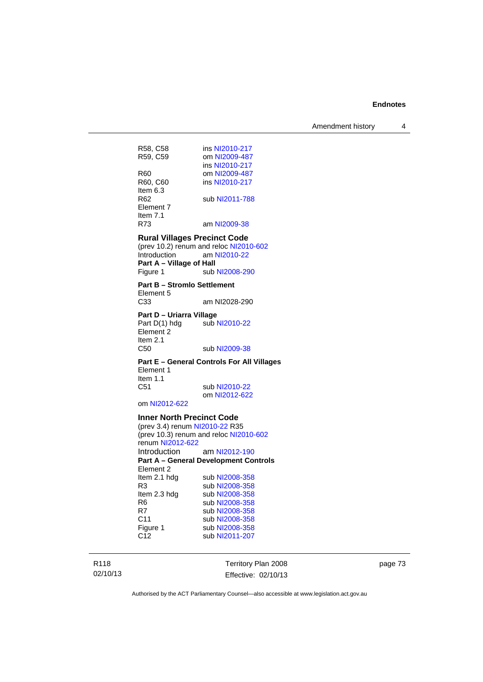Amendment history 4

| R58, C58<br>R59, C59                                                                                       | ins NI2010-217<br>om NI2009-487<br>ins NI2010-217 |  |
|------------------------------------------------------------------------------------------------------------|---------------------------------------------------|--|
| R60<br>R60, C60<br>Item 6.3                                                                                | om NI2009-487<br>ins NI2010-217                   |  |
| R62<br>Element 7<br>Item 7.1                                                                               | sub NI2011-788                                    |  |
| R73                                                                                                        | am NI2009-38                                      |  |
| <b>Rural Villages Precinct Code</b><br>(prev 10.2) renum and reloc NI2010-602<br>Introduction am NI2010-22 |                                                   |  |
| Part A - Village of Hall                                                                                   |                                                   |  |
| Figure 1                                                                                                   | sub NI2008-290                                    |  |
| <b>Part B - Stromlo Settlement</b><br>Element 5                                                            |                                                   |  |
| C33                                                                                                        | am NI2028-290                                     |  |
| Part D - Uriarra Village<br>Part D(1) hdg<br>Element 2<br>Item $2.1$                                       | sub NI2010-22                                     |  |
|                                                                                                            |                                                   |  |
| C50                                                                                                        | sub NI2009-38                                     |  |
| Element 1<br>Item $1.1$                                                                                    | Part E - General Controls For All Villages        |  |
| C51                                                                                                        | sub NI2010-22                                     |  |
|                                                                                                            | om NI2012-622                                     |  |
| om NI2012-622                                                                                              |                                                   |  |
| <b>Inner North Precinct Code</b>                                                                           |                                                   |  |
| (prev 3.4) renum NI2010-22 R35                                                                             |                                                   |  |
| renum NI2012-622                                                                                           | (prev 10.3) renum and reloc NI2010-602            |  |
| Introduction                                                                                               | am NI2012-190                                     |  |
|                                                                                                            | <b>Part A - General Development Controls</b>      |  |
| Element 2                                                                                                  |                                                   |  |
| Item 2.1 hdg<br>R3                                                                                         | sub NI2008-358<br>sub NI2008-358                  |  |
| Item 2.3 hdg                                                                                               | sub NI2008-358                                    |  |
| R6                                                                                                         | sub NI2008-358                                    |  |
| R7<br>C11                                                                                                  | sub NI2008-358<br>sub NI2008-358                  |  |
| Figure 1<br>C <sub>12</sub>                                                                                | sub NI2008-358<br>sub NI2011-207                  |  |

R118 02/10/13 Territory Plan 2008 Effective: 02/10/13

page 73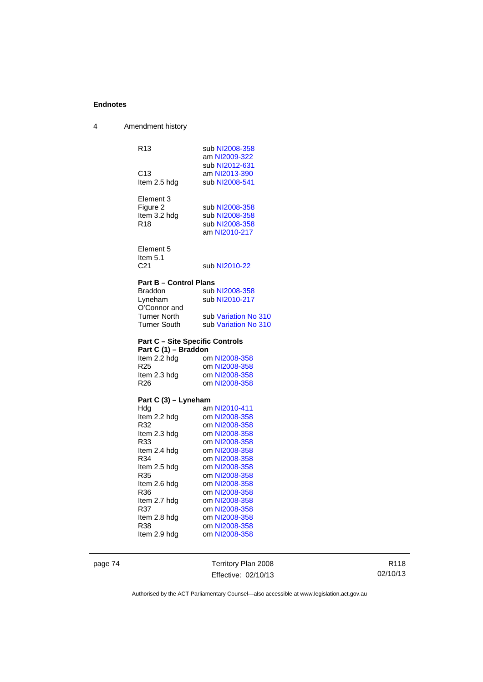| 4 | Amendment history                      |                                |
|---|----------------------------------------|--------------------------------|
|   | R <sub>13</sub>                        | sub NI2008-358                 |
|   |                                        | am NI2009-322                  |
|   |                                        | sub NI2012-631                 |
|   | C <sub>13</sub>                        | am NI2013-390                  |
|   | Item 2.5 hdg                           | sub NI2008-541                 |
|   |                                        |                                |
|   | Element 3                              |                                |
|   | Figure 2                               | sub NI2008-358                 |
|   | Item 3.2 hdg                           | sub NI2008-358                 |
|   | R <sub>18</sub>                        | sub NI2008-358                 |
|   |                                        | am NI2010-217                  |
|   | Element 5<br>Item $5.1$                |                                |
|   | C21                                    | sub NI2010-22                  |
|   |                                        |                                |
|   | <b>Part B - Control Plans</b>          |                                |
|   | <b>Braddon</b>                         | sub NI2008-358                 |
|   | Lyneham                                | sub NI2010-217                 |
|   | O'Connor and<br><b>Turner North</b>    | sub Variation No 310           |
|   | Turner South                           | sub Variation No 310           |
|   |                                        |                                |
|   | <b>Part C - Site Specific Controls</b> |                                |
|   | Part C (1) - Braddon                   |                                |
|   | Item 2.2 hdg<br>R <sub>25</sub>        | om NI2008-358<br>om NI2008-358 |
|   | Item 2.3 hdg                           | om NI2008-358                  |
|   | R <sub>26</sub>                        | om NI2008-358                  |
|   |                                        |                                |
|   | Part C (3) – Lyneham                   |                                |
|   | Hdg                                    | am NI2010-411                  |
|   | Item 2.2 hdg                           | om NI2008-358                  |
|   | R32                                    | om NI2008-358                  |
|   | Item 2.3 hdg                           | om NI2008-358                  |
|   | R33                                    | om NI2008-358                  |
|   | Item 2.4 hdg                           | om NI2008-358                  |
|   | R34                                    | om NI2008-358<br>om NI2008-358 |
|   | Item 2.5 hdg<br>R35                    | om NI2008-358                  |
|   | Item 2.6 hdg                           | om NI2008-358                  |
|   | R36                                    | om NI2008-358                  |
|   | Item 2.7 hdg                           | om NI2008-358                  |
|   | R37                                    | om NI2008-358                  |
|   | Item 2.8 hdg                           | om NI2008-358                  |
|   | R38                                    | om NI2008-358                  |
|   | Item 2.9 hdg                           | om NI2008-358                  |
|   |                                        |                                |

page 74 Territory Plan 2008 Effective: 02/10/13

R118 02/10/13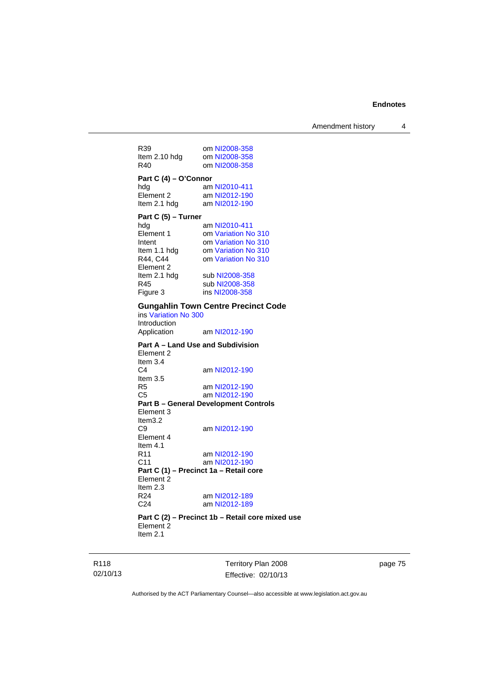Amendment history 4

| R39<br>Item 2.10 hdg<br>R40                                                                                | om NI2008-358<br>om NI2008-358<br>om NI2008-358                                                                             |
|------------------------------------------------------------------------------------------------------------|-----------------------------------------------------------------------------------------------------------------------------|
| Part C (4) - O'Connor                                                                                      |                                                                                                                             |
| hda                                                                                                        | am NI2010-411                                                                                                               |
| Element 2                                                                                                  | am NI2012-190                                                                                                               |
| Item 2.1 hdg                                                                                               | am NI2012-190                                                                                                               |
| Part C (5) - Turner<br>hda<br>Element 1<br>Intent<br>Item 1.1 hdg<br>R44, C44<br>Element 2<br>Item 2.1 hdg | am NI2010-411<br>om Variation No 310<br>om Variation No 310<br>om Variation No 310<br>om Variation No 310<br>sub NI2008-358 |
| R45                                                                                                        | sub NI2008-358                                                                                                              |
| Figure 3                                                                                                   | ins NI2008-358                                                                                                              |
|                                                                                                            | Cunashlin Town Contro Procinct (                                                                                            |

## **Gungahlin Town Centre Precinct Code**

ins [Variation No 300](http://www.legislation.act.gov.au/ni/2011-691/) Introduction<br>Application am [NI2012-190](http://www.legislation.act.gov.au/ni/2012-190/)

**Part A – Land Use and Subdivision**  Element 2 Item 3.4 C4 am [NI2012-190](http://www.legislation.act.gov.au/ni/2012-190/) Item  $3.5$ <br>R5 R5 am [NI2012-190](http://www.legislation.act.gov.au/ni/2012-190/)<br>C5 am NI2012-190 am [NI2012-190](http://www.legislation.act.gov.au/ni/2012-190/) **Part B – General Development Controls**  Element 3 Item3.2<br>C9 am [NI2012-190](http://www.legislation.act.gov.au/ni/2012-190/) Element 4 Item 4.1 R11 am [NI2012-190](http://www.legislation.act.gov.au/ni/2012-190/) C11 am [NI2012-190](http://www.legislation.act.gov.au/ni/2012-190/) **Part C (1) – Precinct 1a – Retail core**  Element 2 Item 2.3<br> $R24$ R24 am [NI2012-189](http://www.legislation.act.gov.au/ni/2012-189/)<br>C24 am NI2012-189 am [NI2012-189](http://www.legislation.act.gov.au/ni/2012-189/)

#### **Part C (2) – Precinct 1b – Retail core mixed use**  Element 2 Item 2.1

R118 02/10/13 Territory Plan 2008 Effective: 02/10/13 page 75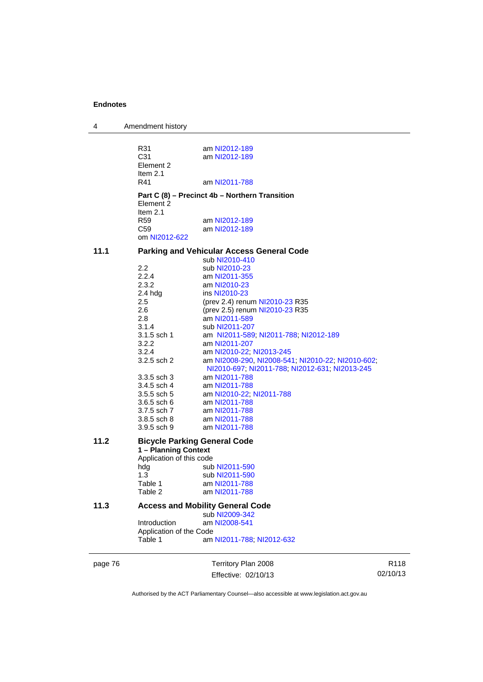| 4       | Amendment history                     |                                                                                                     |
|---------|---------------------------------------|-----------------------------------------------------------------------------------------------------|
|         | R31<br>C31<br>Element 2<br>Item $2.1$ | am NI2012-189<br>am NI2012-189                                                                      |
|         | R41                                   | am NI2011-788                                                                                       |
|         |                                       |                                                                                                     |
|         | Element 2                             | Part C (8) – Precinct 4b – Northern Transition                                                      |
|         | Item $2.1$                            |                                                                                                     |
|         | R <sub>59</sub>                       | am NI2012-189                                                                                       |
|         | C <sub>59</sub><br>om NI2012-622      | am NI2012-189                                                                                       |
| 11.1    |                                       | <b>Parking and Vehicular Access General Code</b>                                                    |
|         |                                       | sub NI2010-410                                                                                      |
|         | 2.2                                   | sub NI2010-23                                                                                       |
|         | 2.2.4                                 | am NI2011-355                                                                                       |
|         | 2.3.2                                 | am NI2010-23                                                                                        |
|         | 2.4 hdg<br>2.5                        | ins NI2010-23<br>(prev 2.4) renum NI2010-23 R35                                                     |
|         | 2.6                                   | (prev 2.5) renum NI2010-23 R35                                                                      |
|         | 2.8                                   | am NI2011-589                                                                                       |
|         | 3.1.4                                 | sub NI2011-207                                                                                      |
|         | 3.1.5 sch 1                           | am NI2011-589, NI2011-788, NI2012-189                                                               |
|         | 3.2.2                                 | am NI2011-207                                                                                       |
|         | 3.2.4                                 | am NI2010-22; NI2013-245                                                                            |
|         | 3.2.5 sch 2                           | am NI2008-290, NI2008-541, NI2010-22, NI2010-602,<br>NI2010-697; NI2011-788; NI2012-631; NI2013-245 |
|         | $3.3.5$ sch $3$                       | am NI2011-788                                                                                       |
|         | 3.4.5 sch 4                           | am NI2011-788                                                                                       |
|         | $3.5.5$ sch 5                         | am NI2010-22; NI2011-788                                                                            |
|         | 3.6.5 sch 6                           | am NI2011-788                                                                                       |
|         | 3.7.5 sch 7                           | am NI2011-788                                                                                       |
|         | 3.8.5 sch 8<br>3.9.5 sch 9            | am NI2011-788<br>am NI2011-788                                                                      |
| 11.2    |                                       | <b>Bicycle Parking General Code</b>                                                                 |
|         | 1 - Planning Context                  |                                                                                                     |
|         | Application of this code              |                                                                                                     |
|         | hdg                                   | sub NI2011-590                                                                                      |
|         | 1.3<br>Table 1                        | sub NI2011-590                                                                                      |
|         | Table 2                               | am NI2011-788<br>am NI2011-788                                                                      |
| 11.3    |                                       | <b>Access and Mobility General Code</b>                                                             |
|         |                                       | sub NI2009-342                                                                                      |
|         | Introduction                          | am NI2008-541                                                                                       |
|         | Application of the Code               |                                                                                                     |
|         | Table 1                               | am NI2011-788; NI2012-632                                                                           |
| page 76 |                                       | Territory Plan 2008                                                                                 |

Authorised by the ACT Parliamentary Counsel—also accessible at www.legislation.act.gov.au

R118 02/10/13

Effective: 02/10/13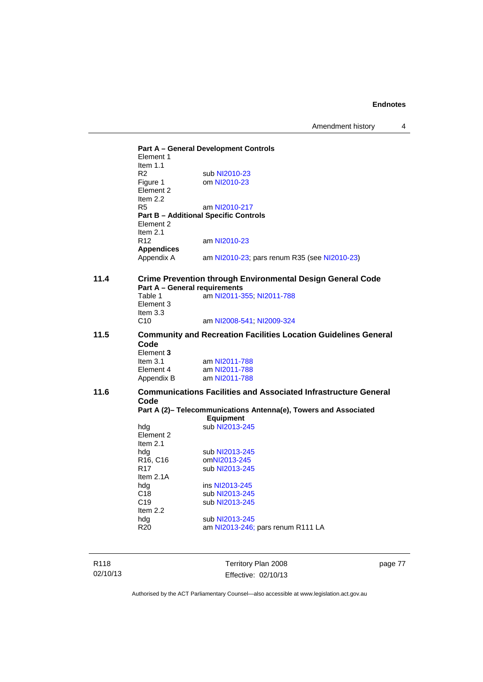Amendment history 4

**Part A – General Development Controls**  Element 1 Item 1.1<br>R2 R2 sub [NI2010-23](http://www.legislation.act.gov.au/ni/2010-23/)<br>Figure 1 om NI2010-23 om [NI2010-23](http://www.legislation.act.gov.au/ni/2010-23/) Element 2 Item 2.2 R5 am [NI2010-217](http://www.legislation.act.gov.au/ni/2010-217/) **Part B – Additional Specific Controls**  Element 2 Item 2.1 R12 am [NI2010-23](http://www.legislation.act.gov.au/ni/2010-23/) **Appendices**  am [NI2010-23](http://www.legislation.act.gov.au/ni/2010-23/); pars renum R35 (see NI2010-23) **11.4 Crime Prevention through Environmental Design General Code Part A – General requirements**  Table 1 **am [NI2011-355](http://www.legislation.act.gov.au/ni/2011-355/)**; [NI2011-788](http://www.legislation.act.gov.au/ni/2011-788/) Element 3 Item  $3.3$ <br>C<sub>10</sub> am [NI2008-541](http://www.legislation.act.gov.au/ni/2008-541/); [NI2009-324](http://www.legislation.act.gov.au/ni/2009-324/) **11.5 Community and Recreation Facilities Location Guidelines General Code**  Element **3**  Item 3.1 am [NI2011-788](http://www.legislation.act.gov.au/ni/2011-788/) Element 4 am [NI2011-788](http://www.legislation.act.gov.au/ni/2011-788/)<br>Appendix B am NI2011-788 am [NI2011-788](http://www.legislation.act.gov.au/ni/2011-788/) **11.6 Communications Facilities and Associated Infrastructure General Code Part A (2)– Telecommunications Antenna(e), Towers and Associated Equipment**  hdg sub [NI2013-245](http://www.legislation.act.gov.au/ni/2013-245/default.asp) Element 2 Item 2.1 hdg sub [NI2013-245](http://www.legislation.act.gov.au/ni/2013-245/default.asp)<br>R16, C16 omNI2013-245 R16, C16 om[NI2013-245](http://www.legislation.act.gov.au/ni/2013-245/default.asp)<br>R17 sub NI2013-245 sub [NI2013-245](http://www.legislation.act.gov.au/ni/2013-245/default.asp) Item 2.1A hdg ins [NI2013-245](http://www.legislation.act.gov.au/ni/2013-245/default.asp)<br>C18 sub NI2013-245 sub [NI2013-245](http://www.legislation.act.gov.au/ni/2013-245/default.asp) C19 sub [NI2013-245](http://www.legislation.act.gov.au/ni/2013-245/default.asp) Item 2.2<br>hdg hdg sub [NI2013-245](http://www.legislation.act.gov.au/ni/2013-245/default.asp)<br>R20 am NI2013-246; am [NI2013-246](http://www.legislation.act.gov.au/ni/2013-246/default.asp); pars renum R111 LA

R118 02/10/13 Territory Plan 2008 Effective: 02/10/13 page 77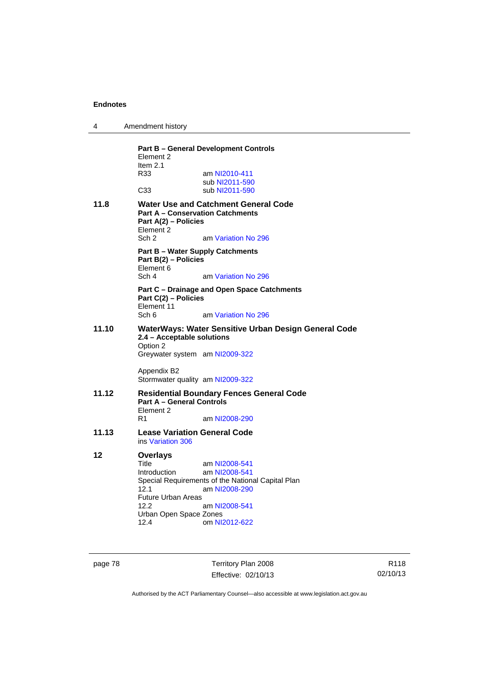| Amendment history<br>4 |  |
|------------------------|--|
|------------------------|--|

|                                                                                                           | Element 2<br>Item $2.1$                                                                          | <b>Part B - General Development Controls</b>                       |
|-----------------------------------------------------------------------------------------------------------|--------------------------------------------------------------------------------------------------|--------------------------------------------------------------------|
|                                                                                                           | R33                                                                                              | am NI2010-411<br>sub NI2011-590                                    |
|                                                                                                           | C <sub>33</sub>                                                                                  | sub NI2011-590                                                     |
| 11.8                                                                                                      | <b>Part A - Conservation Catchments</b><br>Part A(2) - Policies<br>Element 2<br>Sch <sub>2</sub> | <b>Water Use and Catchment General Code</b><br>am Variation No 296 |
|                                                                                                           | <b>Part B - Water Supply Catchments</b><br>Part B(2) - Policies<br>Element 6                     |                                                                    |
|                                                                                                           | Sch 4                                                                                            | am Variation No 296                                                |
|                                                                                                           | Part C(2) - Policies<br>Element 11                                                               | Part C – Drainage and Open Space Catchments                        |
|                                                                                                           | Sch 6                                                                                            | am Variation No 296                                                |
| 11.10                                                                                                     | 2.4 - Acceptable solutions<br>Option 2                                                           | WaterWays: Water Sensitive Urban Design General Code               |
|                                                                                                           | Greywater system am NI2009-322                                                                   |                                                                    |
|                                                                                                           | Appendix B2                                                                                      |                                                                    |
|                                                                                                           | Stormwater quality am NI2009-322                                                                 |                                                                    |
| 11.12<br><b>Residential Boundary Fences General Code</b><br><b>Part A - General Controls</b><br>Element 2 |                                                                                                  |                                                                    |
|                                                                                                           | R1                                                                                               | am NI2008-290                                                      |
| 11.13                                                                                                     | <b>Lease Variation General Code</b><br>ins Variation 306                                         |                                                                    |
| 12                                                                                                        | Overlays                                                                                         |                                                                    |
|                                                                                                           | Title                                                                                            | am NI2008-541                                                      |
|                                                                                                           | <b>Introduction</b>                                                                              | am NI2008-541<br>Special Requirements of the National Capital Plan |
|                                                                                                           | 12.1                                                                                             | am NI2008-290                                                      |
|                                                                                                           | <b>Future Urban Areas</b>                                                                        |                                                                    |
|                                                                                                           | 12.2                                                                                             | am NI2008-541                                                      |
|                                                                                                           | Urban Open Space Zones<br>12.4                                                                   | om NI2012-622                                                      |
|                                                                                                           |                                                                                                  |                                                                    |

page 78 Territory Plan 2008 Effective: 02/10/13

R118 02/10/13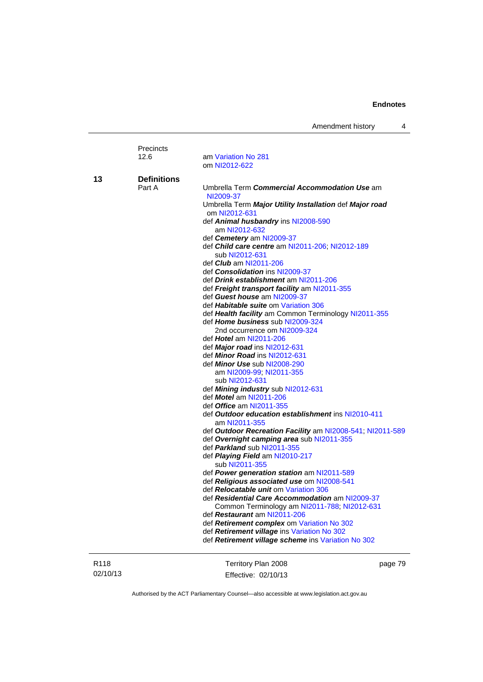| Amendment history |  |
|-------------------|--|
|-------------------|--|

|                  | Precincts<br>12.6            | am Variation No 281                                                                       |
|------------------|------------------------------|-------------------------------------------------------------------------------------------|
|                  |                              | om NI2012-622                                                                             |
| 13               | <b>Definitions</b>           |                                                                                           |
|                  | Part A                       | Umbrella Term Commercial Accommodation Use am                                             |
|                  |                              | NI2009-37                                                                                 |
|                  |                              | Umbrella Term Major Utility Installation def Major road<br>om NI2012-631                  |
|                  |                              | def Animal husbandry ins NI2008-590                                                       |
|                  |                              | am NI2012-632                                                                             |
|                  |                              | def Cemetery am NI2009-37                                                                 |
|                  |                              | def Child care centre am NI2011-206; NI2012-189                                           |
|                  |                              | sub NI2012-631                                                                            |
|                  |                              | def <i>Club</i> am NI2011-206                                                             |
|                  |                              | def <b>Consolidation</b> ins NI2009-37                                                    |
|                  |                              | def Drink establishment am NI2011-206                                                     |
|                  |                              | def Freight transport facility am NI2011-355                                              |
|                  |                              | def Guest house am NI2009-37<br>def Habitable suite om Variation 306                      |
|                  |                              | def Health facility am Common Terminology NI2011-355                                      |
|                  |                              | def Home business sub NI2009-324                                                          |
|                  | 2nd occurrence om NI2009-324 |                                                                                           |
|                  | def Hotel am NI2011-206      |                                                                                           |
|                  |                              | def Major road ins NI2012-631                                                             |
|                  |                              | def <i>Minor Road</i> ins NI2012-631                                                      |
|                  |                              | def Minor Use sub NI2008-290                                                              |
|                  |                              | am NI2009-99; NI2011-355                                                                  |
|                  |                              | sub NI2012-631                                                                            |
|                  |                              | def Mining industry sub NI2012-631                                                        |
|                  |                              | def <i>Motel</i> am NI2011-206                                                            |
|                  |                              | def Office am NI2011-355<br>def Outdoor education establishment ins NI2010-411            |
|                  |                              | am NI2011-355                                                                             |
|                  |                              | def Outdoor Recreation Facility am NI2008-541; NI2011-589                                 |
|                  |                              | def Overnight camping area sub NI2011-355                                                 |
|                  |                              | def Parkland sub NI2011-355                                                               |
|                  |                              | def Playing Field am NI2010-217                                                           |
|                  |                              | sub NI2011-355                                                                            |
|                  |                              | def Power generation station am NI2011-589                                                |
|                  |                              | def Religious associated use om NI2008-541                                                |
|                  |                              | def <b>Relocatable unit om Variation 306</b>                                              |
|                  |                              | def Residential Care Accommodation am NI2009-37                                           |
|                  |                              | Common Terminology am NI2011-788; NI2012-631                                              |
|                  |                              | def Restaurant am NI2011-206                                                              |
|                  |                              | def Retirement complex om Variation No 302<br>def Retirement village ins Variation No 302 |
|                  |                              | def Retirement village scheme ins Variation No 302                                        |
| R <sub>118</sub> |                              | Territory Plan 2008<br>page 79                                                            |
| 02/10/13         |                              |                                                                                           |
|                  |                              | Effective: 02/10/13                                                                       |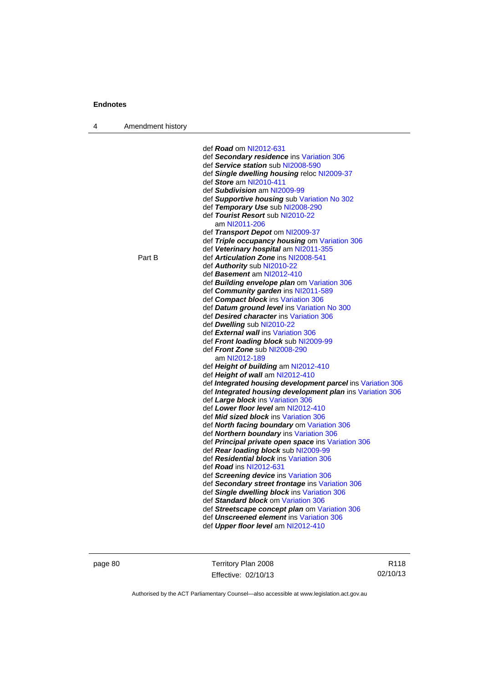| 4 | Amendment history |                                                             |
|---|-------------------|-------------------------------------------------------------|
|   |                   |                                                             |
|   |                   | def Road om NI2012-631                                      |
|   |                   | def Secondary residence ins Variation 306                   |
|   |                   | def Service station sub NI2008-590                          |
|   |                   | def Single dwelling housing reloc NI2009-37                 |
|   |                   | def Store am NI2010-411                                     |
|   |                   | def Subdivision am NI2009-99                                |
|   |                   | def Supportive housing sub Variation No 302                 |
|   |                   | def Temporary Use sub NI2008-290                            |
|   |                   | def Tourist Resort sub NI2010-22                            |
|   |                   | am NI2011-206                                               |
|   |                   | def Transport Depot om NI2009-37                            |
|   |                   | def Triple occupancy housing om Variation 306               |
|   |                   | def Veterinary hospital am NI2011-355                       |
|   | Part B            | def <b>Articulation Zone</b> ins NI2008-541                 |
|   |                   | def Authority sub NI2010-22                                 |
|   |                   | def Basement am NI2012-410                                  |
|   |                   | def <b>Building envelope plan</b> om Variation 306          |
|   |                   | def Community garden ins NI2011-589                         |
|   |                   | def Compact block ins Variation 306                         |
|   |                   | def Datum ground level ins Variation No 300                 |
|   |                   | def Desired character ins Variation 306                     |
|   |                   | def Dwelling sub NI2010-22                                  |
|   |                   | def External wall ins Variation 306                         |
|   |                   | def Front loading block sub NI2009-99                       |
|   |                   | def Front Zone sub NI2008-290                               |
|   |                   | am NI2012-189                                               |
|   |                   | def Height of building am NI2012-410                        |
|   |                   | def Height of wall am NI2012-410                            |
|   |                   | def Integrated housing development parcel ins Variation 306 |
|   |                   | def Integrated housing development plan ins Variation 306   |
|   |                   | def Large block ins Variation 306                           |
|   |                   | def Lower floor level am NI2012-410                         |
|   |                   | def <b>Mid sized block</b> ins Variation 306                |
|   |                   | def North facing boundary om Variation 306                  |
|   |                   | def Northern boundary ins Variation 306                     |
|   |                   | def Principal private open space ins Variation 306          |
|   |                   | def Rear loading block sub NI2009-99                        |
|   |                   | def Residential block ins Variation 306                     |
|   |                   | def <b>Road</b> ins NI2012-631                              |
|   |                   | def Screening device ins Variation 306                      |
|   |                   | def Secondary street frontage ins Variation 306             |
|   |                   | def Single dwelling block ins Variation 306                 |
|   |                   | def Standard block om Variation 306                         |
|   |                   | def Streetscape concept plan om Variation 306               |
|   |                   | def Unscreened element ins Variation 306                    |
|   |                   | def Upper floor level am NI2012-410                         |
|   |                   |                                                             |

page 80 Territory Plan 2008 Effective: 02/10/13

R118 02/10/13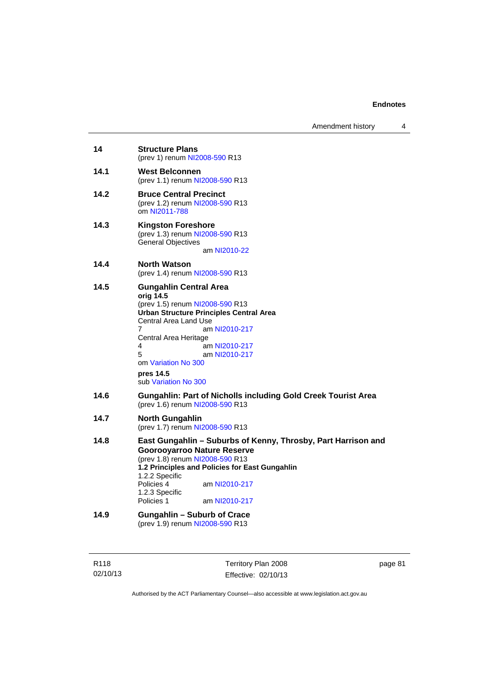| 14   | <b>Structure Plans</b><br>(prev 1) renum NI2008-590 R13                                                                                                                                                                                                                                                         |
|------|-----------------------------------------------------------------------------------------------------------------------------------------------------------------------------------------------------------------------------------------------------------------------------------------------------------------|
| 14.1 | <b>West Belconnen</b><br>(prev 1.1) renum NI2008-590 R13                                                                                                                                                                                                                                                        |
| 14.2 | <b>Bruce Central Precinct</b><br>(prev 1.2) renum NI2008-590 R13<br>om NI2011-788                                                                                                                                                                                                                               |
| 14.3 | <b>Kingston Foreshore</b><br>(prev 1.3) renum NI2008-590 R13<br><b>General Objectives</b><br>am NI2010-22                                                                                                                                                                                                       |
| 14.4 | North Watson<br>(prev 1.4) renum NI2008-590 R13                                                                                                                                                                                                                                                                 |
| 14.5 | <b>Gungahlin Central Area</b><br>orig 14.5<br>(prev 1.5) renum NI2008-590 R13<br><b>Urban Structure Principles Central Area</b><br>Central Area Land Use<br>7<br>am NI2010-217<br>Central Area Heritage<br>am NI2010-217<br>4<br>5<br>am NI2010-217<br>om Variation No 300<br>pres 14.5<br>sub Variation No 300 |
| 14.6 | <b>Gungahlin: Part of Nicholls including Gold Creek Tourist Area</b><br>(prev 1.6) renum NI2008-590 R13                                                                                                                                                                                                         |
| 14.7 | <b>North Gungahlin</b><br>(prev 1.7) renum NI2008-590 R13                                                                                                                                                                                                                                                       |
| 14.8 | East Gungahlin - Suburbs of Kenny, Throsby, Part Harrison and<br>Goorooyarroo Nature Reserve<br>(prev 1.8) renum NI2008-590 R13<br>1.2 Principles and Policies for East Gungahlin<br>1.2.2 Specific<br>Policies 4<br>am NI2010-217<br>1.2.3 Specific<br>Policies 1<br>am NI2010-217                             |
| 14.9 | Gungahlin – Suburb of Crace<br>(prev 1.9) renum NI2008-590 R13                                                                                                                                                                                                                                                  |

R118 02/10/13

Territory Plan 2008 Effective: 02/10/13 page 81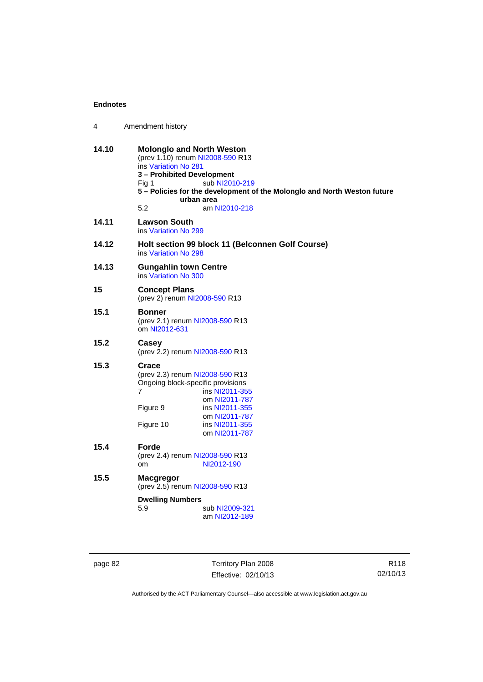| 4     | Amendment history                                                                                                                                                                                                                                                       |  |
|-------|-------------------------------------------------------------------------------------------------------------------------------------------------------------------------------------------------------------------------------------------------------------------------|--|
| 14.10 | <b>Molonglo and North Weston</b><br>(prev 1.10) renum NI2008-590 R13<br>ins Variation No 281<br>3 - Prohibited Development<br>sub NI2010-219<br>Fia 1<br>5 - Policies for the development of the Molonglo and North Weston future<br>urban area<br>5.2<br>am NI2010-218 |  |
| 14.11 | <b>Lawson South</b><br>ins Variation No 299                                                                                                                                                                                                                             |  |
| 14.12 | Holt section 99 block 11 (Belconnen Golf Course)<br>ins Variation No 298                                                                                                                                                                                                |  |
| 14.13 | <b>Gungahlin town Centre</b><br>ins Variation No 300                                                                                                                                                                                                                    |  |
| 15    | <b>Concept Plans</b><br>(prev 2) renum NI2008-590 R13                                                                                                                                                                                                                   |  |
| 15.1  | Bonner<br>(prev 2.1) renum NI2008-590 R13<br>om NI2012-631                                                                                                                                                                                                              |  |
| 15.2  | Casey<br>(prev 2.2) renum NI2008-590 R13                                                                                                                                                                                                                                |  |
| 15.3  | Crace<br>(prev 2.3) renum NI2008-590 R13<br>Ongoing block-specific provisions<br>7<br>ins NI2011-355<br>om NI2011-787<br>Figure 9<br>ins NI2011-355<br>om NI2011-787<br>Figure 10<br>ins NI2011-355<br>om NI2011-787                                                    |  |
| 15.4  | Forde<br>(prev 2.4) renum NI2008-590 R13<br>NI2012-190<br>om                                                                                                                                                                                                            |  |
| 15.5  | <b>Macgregor</b><br>(prev 2.5) renum NI2008-590 R13<br><b>Dwelling Numbers</b><br>5.9<br>sub NI2009-321<br>am NI2012-189                                                                                                                                                |  |

page 82 Territory Plan 2008 Effective: 02/10/13

R118 02/10/13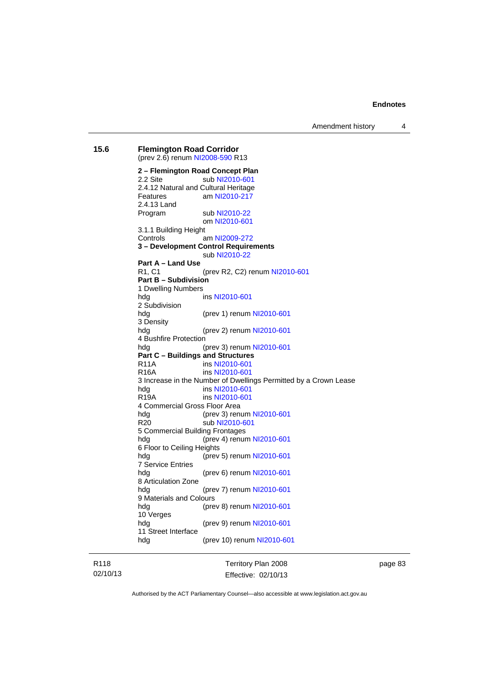Amendment history 4

**15.6 Flemington Road Corridor**  (prev 2.6) renum [NI2008-590](http://www.legislation.act.gov.au/ni/2008-590/default.asp) R13 **2 – Flemington Road Concept Plan**  2.2 Site sub [NI2010-601](http://www.legislation.act.gov.au/ni/2010-601/) 2.4.12 Natural and Cultural Heritage Features am [NI2010-217](http://www.legislation.act.gov.au/ni/2010-217/) 2.4.13 Land Program sub [NI2010-22](http://www.legislation.act.gov.au/ni/2010-22/) om [NI2010-601](http://www.legislation.act.gov.au/ni/2010-601/) 3.1.1 Building Height Controls am [NI2009-272](http://www.legislation.act.gov.au/ni/2009-272/) **3 – Development Control Requirements**  sub [NI2010-22](http://www.legislation.act.gov.au/ni/2010-22/) **Part A – Land Use**  R1, C1 (prev R2, C2) renum [NI2010-601](http://www.legislation.act.gov.au/ni/2010-601/) **Part B – Subdivision**  1 Dwelling Numbers hdg ins [NI2010-601](http://www.legislation.act.gov.au/ni/2010-601/) 2 Subdivision hdg (prev 1) renum [NI2010-601](http://www.legislation.act.gov.au/ni/2010-601/) 3 Density hdg (prev 2) renum [NI2010-601](http://www.legislation.act.gov.au/ni/2010-601/) 4 Bushfire Protection hdg (prev 3) renum [NI2010-601](http://www.legislation.act.gov.au/ni/2010-601/) **Part C – Buildings and Structures**  R11A ins [NI2010-601](http://www.legislation.act.gov.au/ni/2010-601/) R16A ins [NI2010-601](http://www.legislation.act.gov.au/ni/2010-601/) 3 Increase in the Number of Dwellings Permitted by a Crown Lease hdg ins [NI2010-601](http://www.legislation.act.gov.au/ni/2010-601/) R19A ins [NI2010-601](http://www.legislation.act.gov.au/ni/2010-601/) 4 Commercial Gross Floor Area hdg (prev 3) renum [NI2010-601](http://www.legislation.act.gov.au/ni/2010-601/) R20 sub [NI2010-601](http://www.legislation.act.gov.au/ni/2010-601/) 5 Commercial Building Frontages hdg (prev 4) renum [NI2010-601](http://www.legislation.act.gov.au/ni/2010-601/) 6 Floor to Ceiling Heights hdg (prev 5) renum [NI2010-601](http://www.legislation.act.gov.au/ni/2010-601/) 7 Service Entries (prev 6) renum [NI2010-601](http://www.legislation.act.gov.au/ni/2010-601/) 8 Articulation Zone hdg (prev 7) renum [NI2010-601](http://www.legislation.act.gov.au/ni/2010-601/) 9 Materials and Colours hdg (prev 8) renum [NI2010-601](http://www.legislation.act.gov.au/ni/2010-601/) 10 Verges hdg (prev 9) renum [NI2010-601](http://www.legislation.act.gov.au/ni/2010-601/) 11 Street Interface hdg (prev 10) renum [NI2010-601](http://www.legislation.act.gov.au/ni/2010-601/)

R118 02/10/13 Territory Plan 2008 Effective: 02/10/13 page 83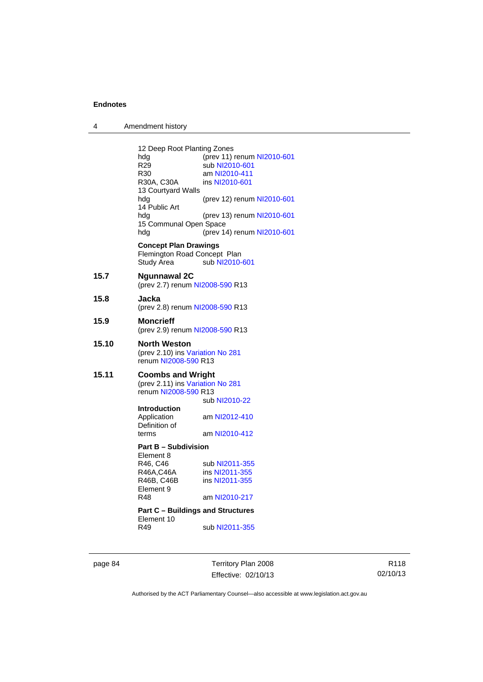| 4 | Amendment history |
|---|-------------------|
|---|-------------------|

| hdg<br>R <sub>29</sub><br>R30<br>R30A, C30A<br>13 Courtyard Walls<br>hdg<br>14 Public Art<br>hdg<br>hdg | (prev 11) renum NI2010-601<br>sub NI2010-601<br>am NI2010-411<br>ins NI2010-601<br>(prev 12) renum NI2010-601<br>(prev 13) renum NI2010-601<br>(prev 14) renum NI2010-601                                                                                                                                                                                                                                                                                                           |
|---------------------------------------------------------------------------------------------------------|-------------------------------------------------------------------------------------------------------------------------------------------------------------------------------------------------------------------------------------------------------------------------------------------------------------------------------------------------------------------------------------------------------------------------------------------------------------------------------------|
| Study Area                                                                                              | sub NI2010-601                                                                                                                                                                                                                                                                                                                                                                                                                                                                      |
| Ngunnawal 2C                                                                                            |                                                                                                                                                                                                                                                                                                                                                                                                                                                                                     |
| Jacka                                                                                                   |                                                                                                                                                                                                                                                                                                                                                                                                                                                                                     |
| <b>Moncrieff</b>                                                                                        |                                                                                                                                                                                                                                                                                                                                                                                                                                                                                     |
| <b>North Weston</b>                                                                                     |                                                                                                                                                                                                                                                                                                                                                                                                                                                                                     |
| Introduction<br>Application<br>Definition of                                                            | sub NI2010-22<br>am NI2012-410<br>am NI2010-412                                                                                                                                                                                                                                                                                                                                                                                                                                     |
|                                                                                                         |                                                                                                                                                                                                                                                                                                                                                                                                                                                                                     |
| R46, C46<br>R46A,C46A<br>R46B, C46B<br>Element 9<br>R48<br>Element 10<br>R49                            | sub NI2011-355<br>ins NI2011-355<br>ins NI2011-355<br>am NI2010-217<br>sub NI2011-355                                                                                                                                                                                                                                                                                                                                                                                               |
|                                                                                                         | 12 Deep Root Planting Zones<br>15 Communal Open Space<br><b>Concept Plan Drawings</b><br>Flemington Road Concept Plan<br>(prev 2.7) renum NI2008-590 R13<br>(prev 2.8) renum NI2008-590 R13<br>(prev 2.9) renum NI2008-590 R13<br>(prev 2.10) ins Variation No 281<br>renum NI2008-590 R13<br><b>Coombs and Wright</b><br>(prev 2.11) ins Variation No 281<br>renum NI2008-590 R13<br>terms<br><b>Part B - Subdivision</b><br>Element 8<br><b>Part C - Buildings and Structures</b> |

page 84 Territory Plan 2008 Effective: 02/10/13

R118 02/10/13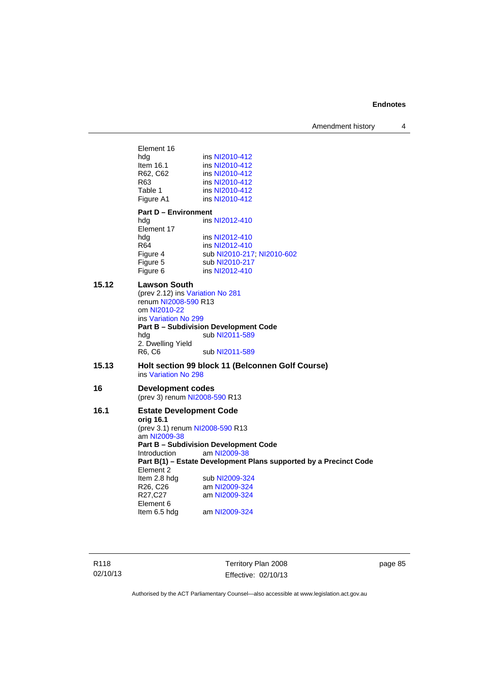Amendment history 4

Element 16<br>hdg ins [NI2010-412](http://www.legislation.act.gov.au/ni/2010-412/) Item 16.1 ins [NI2010-412](http://www.legislation.act.gov.au/ni/2010-412/)<br>R62, C62 ins NI2010-412 R62, C62 ins [NI2010-412](http://www.legislation.act.gov.au/ni/2010-412/)<br>R63 ins NI2010-412 R63 ins [NI2010-412](http://www.legislation.act.gov.au/ni/2010-412/)<br>Table 1 ins NI2010-412 ins [NI2010-412](http://www.legislation.act.gov.au/ni/2010-412/) Figure A1 ins [NI2010-412](http://www.legislation.act.gov.au/ni/2010-412/) **Part D – Environment**  hdg ins [NI2012-410](http://www.legislation.act.gov.au/ni/2012-410/) Element 17<br>hdg hdg ins [NI2012-410](http://www.legislation.act.gov.au/ni/2012-410/)<br>R64 ins NI2012-410 ins [NI2012-410](http://www.legislation.act.gov.au/ni/2012-410/) Figure 4 sub [NI2010-217](http://www.legislation.act.gov.au/ni/2010-217/); [NI2010-602](http://www.legislation.act.gov.au/ni/2010-602/) Figure 5 sub [NI2010-217](http://www.legislation.act.gov.au/ni/2010-217/)<br>Figure 6 ins NI2012-410 ins [NI2012-410](http://www.legislation.act.gov.au/ni/2012-410/) **15.12 Lawson South**  (prev 2.12) ins [Variation No 281](http://www.legislation.act.gov.au/ni/2008-352/) renum [NI2008-590](http://www.legislation.act.gov.au/ni/2008-590/default.asp) R13 om [NI2010-22](http://www.legislation.act.gov.au/ni/2010-22/) ins [Variation No 299](http://www.legislation.act.gov.au/ni/2010-575/) **Part B – Subdivision Development Code**  hdg sub [NI2011-589](http://www.legislation.act.gov.au/ni/2011-589/) 2. Dwelling Yield R6, C6 sub [NI2011-589](http://www.legislation.act.gov.au/ni/2011-589/) **15.13 Holt section 99 block 11 (Belconnen Golf Course)**  ins [Variation No 298](http://www.legislation.act.gov.au/ni/2011-152/) **16 Development codes**  (prev 3) renum [NI2008-590](http://www.legislation.act.gov.au/ni/2008-590/default.asp) R13 **16.1 Estate Development Code orig 16.1**  (prev 3.1) renum [NI2008-590](http://www.legislation.act.gov.au/ni/2008-590/default.asp) R13 am [NI2009-38](http://www.legislation.act.gov.au/ni/2009-38/) **Part B – Subdivision Development Code**  Introduction am [NI2009-38](http://www.legislation.act.gov.au/ni/2009-38/) **Part B(1) – Estate Development Plans supported by a Precinct Code**  Element 2<br>Item 2.8 hdg Item 2.8 hdg sub [NI2009-324](http://www.legislation.act.gov.au/ni/2009-324/)<br>R26, C26 am NI2009-324 am [NI2009-324](http://www.legislation.act.gov.au/ni/2009-324/) R27,C27 am [NI2009-324](http://www.legislation.act.gov.au/ni/2009-324/) Element 6 Item 6.5 hdg am [NI2009-324](http://www.legislation.act.gov.au/ni/2009-324/)

R118 02/10/13 Territory Plan 2008 Effective: 02/10/13 page 85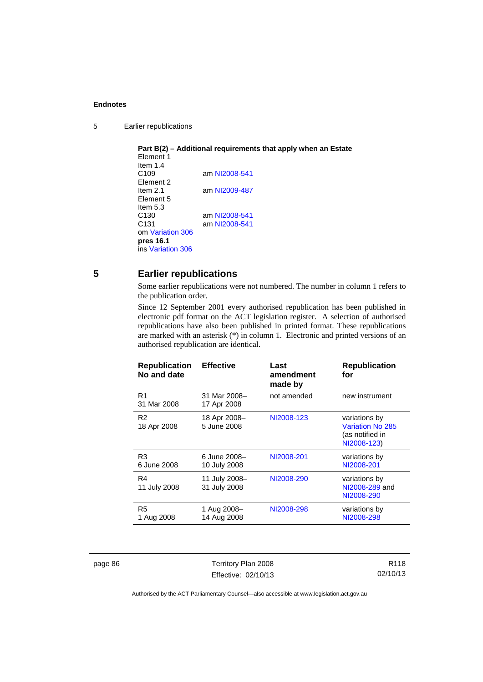5 Earlier republications

**Part B(2) – Additional requirements that apply when an Estate**  Element 1 Item 1.4<br>C109 am [NI2008-541](http://www.legislation.act.gov.au/ni/2008-541/) Element 2 Item 2.1 am [NI2009-487](http://www.legislation.act.gov.au/ni/2009-487/) Element 5 Item 5.3 C130 am [NI2008-541](http://www.legislation.act.gov.au/ni/2008-541/) C131 am [NI2008-541](http://www.legislation.act.gov.au/ni/2008-541/) om [Variation 306](http://www.legislation.act.gov.au/ni/2013-93/default.asp) **pres 16.1** ins [Variation 306](http://www.legislation.act.gov.au/ni/2013-93/default.asp)

# **5 Earlier republications**

Some earlier republications were not numbered. The number in column 1 refers to the publication order.

Since 12 September 2001 every authorised republication has been published in electronic pdf format on the ACT legislation register. A selection of authorised republications have also been published in printed format. These republications are marked with an asterisk (\*) in column 1. Electronic and printed versions of an authorised republication are identical.

| <b>Republication</b><br>No and date | <b>Effective</b>              | Last<br>amendment<br>made by | <b>Republication</b><br>for                                         |
|-------------------------------------|-------------------------------|------------------------------|---------------------------------------------------------------------|
| R <sub>1</sub><br>31 Mar 2008       | 31 Mar 2008-<br>17 Apr 2008   | not amended                  | new instrument                                                      |
| R <sub>2</sub><br>18 Apr 2008       | 18 Apr 2008-<br>5 June 2008   | NI2008-123                   | variations by<br>Variation No 285<br>(as notified in<br>NI2008-123) |
| R <sub>3</sub><br>6 June 2008       | 6 June 2008-<br>10 July 2008  | NI2008-201                   | variations by<br>NI2008-201                                         |
| R4<br>11 July 2008                  | 11 July 2008-<br>31 July 2008 | NI2008-290                   | variations by<br>NI2008-289 and<br>NI2008-290                       |
| R <sub>5</sub><br>1 Aug 2008        | 1 Aug 2008-<br>14 Aug 2008    | NI2008-298                   | variations by<br>NI2008-298                                         |

page 86 Territory Plan 2008 Effective: 02/10/13

R118 02/10/13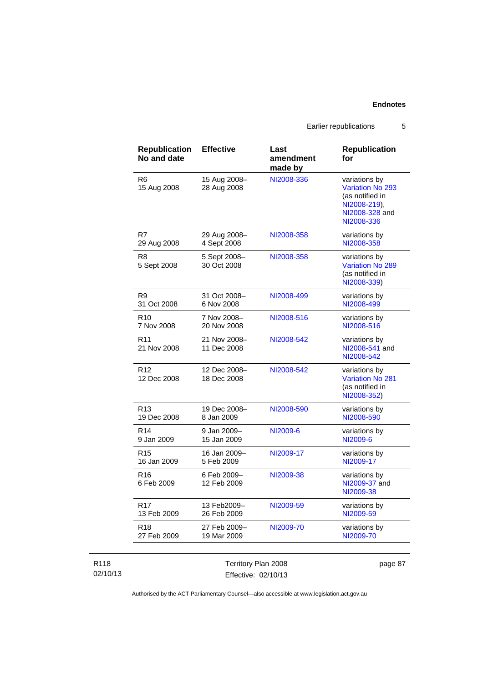Earlier republications 5

| <b>Republication</b><br>No and date | <b>Effective</b>            | Last<br>amendment<br>made by | <b>Republication</b><br>for                                                                                 |
|-------------------------------------|-----------------------------|------------------------------|-------------------------------------------------------------------------------------------------------------|
| R <sub>6</sub><br>15 Aug 2008       | 15 Aug 2008-<br>28 Aug 2008 | NI2008-336                   | variations by<br><b>Variation No 293</b><br>(as notified in<br>NI2008-219),<br>NI2008-328 and<br>NI2008-336 |
| R7                                  | 29 Aug 2008–                | NI2008-358                   | variations by                                                                                               |
| 29 Aug 2008                         | 4 Sept 2008                 |                              | NI2008-358                                                                                                  |
| R <sub>8</sub><br>5 Sept 2008       | 5 Sept 2008-<br>30 Oct 2008 | NI2008-358                   | variations by<br><b>Variation No 289</b><br>(as notified in<br>NI2008-339)                                  |
| R <sub>9</sub>                      | 31 Oct 2008-                | NI2008-499                   | variations by                                                                                               |
| 31 Oct 2008                         | 6 Nov 2008                  |                              | NI2008-499                                                                                                  |
| R <sub>10</sub>                     | 7 Nov 2008-                 | NI2008-516                   | variations by                                                                                               |
| 7 Nov 2008                          | 20 Nov 2008                 |                              | NI2008-516                                                                                                  |
| R <sub>11</sub><br>21 Nov 2008      | 21 Nov 2008-<br>11 Dec 2008 | NI2008-542                   | variations by<br>NI2008-541 and<br>NI2008-542                                                               |
| R <sub>12</sub><br>12 Dec 2008      | 12 Dec 2008-<br>18 Dec 2008 | NI2008-542                   | variations by<br><b>Variation No 281</b><br>(as notified in<br>NI2008-352)                                  |
| R <sub>13</sub>                     | 19 Dec 2008-                | NI2008-590                   | variations by                                                                                               |
| 19 Dec 2008                         | 8 Jan 2009                  |                              | NI2008-590                                                                                                  |
| R <sub>14</sub>                     | 9 Jan 2009-                 | NI2009-6                     | variations by                                                                                               |
| 9 Jan 2009                          | 15 Jan 2009                 |                              | NI2009-6                                                                                                    |
| R <sub>15</sub>                     | 16 Jan 2009-                | NI2009-17                    | variations by                                                                                               |
| 16 Jan 2009                         | 5 Feb 2009                  |                              | NI2009-17                                                                                                   |
| R <sub>16</sub><br>6 Feb 2009       | 6 Feb 2009-<br>12 Feb 2009  | NI2009-38                    | variations by<br>NI2009-37 and<br>NI2009-38                                                                 |
| R <sub>17</sub>                     | 13 Feb2009-                 | NI2009-59                    | variations by                                                                                               |
| 13 Feb 2009                         | 26 Feb 2009                 |                              | NI2009-59                                                                                                   |
| R <sub>18</sub>                     | 27 Feb 2009-                | NI2009-70                    | variations by                                                                                               |
| 27 Feb 2009                         | 19 Mar 2009                 |                              | NI2009-70                                                                                                   |

| R118     | Territory Plan 2008 | page 87 |
|----------|---------------------|---------|
| 02/10/13 | Effective: 02/10/13 |         |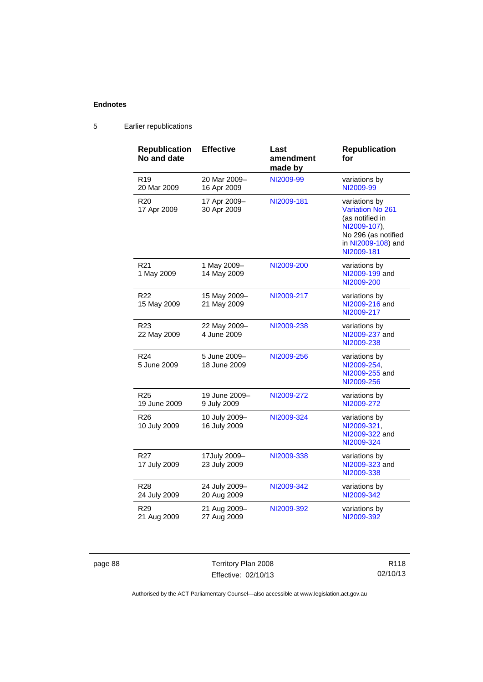| <b>Republication</b><br>No and date | <b>Effective</b>              | Last<br>amendment<br>made by | <b>Republication</b><br>for                                                                                                            |
|-------------------------------------|-------------------------------|------------------------------|----------------------------------------------------------------------------------------------------------------------------------------|
| R <sub>19</sub><br>20 Mar 2009      | 20 Mar 2009-<br>16 Apr 2009   | NI2009-99                    | variations by<br>NI2009-99                                                                                                             |
| R <sub>20</sub><br>17 Apr 2009      | 17 Apr 2009-<br>30 Apr 2009   | NI2009-181                   | variations by<br><b>Variation No 261</b><br>(as notified in<br>NI2009-107),<br>No 296 (as notified<br>in NI2009-108) and<br>NI2009-181 |
| R <sub>21</sub><br>1 May 2009       | 1 May 2009-<br>14 May 2009    | NI2009-200                   | variations by<br>NI2009-199 and<br>NI2009-200                                                                                          |
| R <sub>22</sub><br>15 May 2009      | 15 May 2009-<br>21 May 2009   | NI2009-217                   | variations by<br>NI2009-216 and<br>NI2009-217                                                                                          |
| R <sub>23</sub><br>22 May 2009      | 22 May 2009-<br>4 June 2009   | NI2009-238                   | variations by<br>NI2009-237 and<br>NI2009-238                                                                                          |
| R <sub>24</sub><br>5 June 2009      | 5 June 2009-<br>18 June 2009  | NI2009-256                   | variations by<br>NI2009-254,<br>NI2009-255 and<br>NI2009-256                                                                           |
| R <sub>25</sub><br>19 June 2009     | 19 June 2009-<br>9 July 2009  | NI2009-272                   | variations by<br>NI2009-272                                                                                                            |
| R <sub>26</sub><br>10 July 2009     | 10 July 2009-<br>16 July 2009 | NI2009-324                   | variations by<br>NI2009-321,<br>NI2009-322 and<br>NI2009-324                                                                           |
| R <sub>27</sub><br>17 July 2009     | 17July 2009-<br>23 July 2009  | NI2009-338                   | variations by<br>NI2009-323 and<br>NI2009-338                                                                                          |
| R <sub>28</sub><br>24 July 2009     | 24 July 2009-<br>20 Aug 2009  | NI2009-342                   | variations by<br>NI2009-342                                                                                                            |
| R <sub>29</sub><br>21 Aug 2009      | 21 Aug 2009-<br>27 Aug 2009   | NI2009-392                   | variations by<br>NI2009-392                                                                                                            |

# 5 Earlier republications

page 88 Territory Plan 2008 Effective: 02/10/13

R118 02/10/13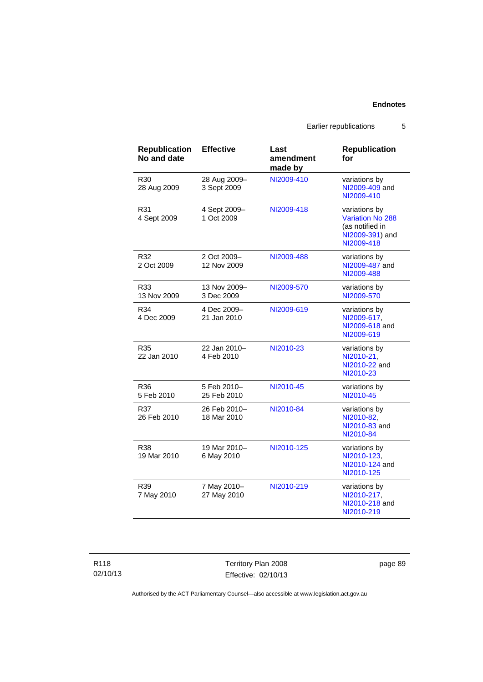Earlier republications 5

**for** 

**Republication** 

**made by**  R30 28 Aug 2009 28 Aug 2009– 3 Sept 2009 [NI2009-410](http://www.legislation.act.gov.au/ni/2009-410/) variations by [NI2009-409](http://www.legislation.act.gov.au/ni/2009-409/) and [NI2009-410](http://www.legislation.act.gov.au/ni/2009-410/) R31 4 Sept 2009 4 Sept 2009– 1 Oct 2009 [NI2009-418](http://www.legislation.act.gov.au/ni/2009-418/) variations by [Variation No 288](http://www.legislation.act.gov.au/ni/2009-391/) (as notified in [NI2009-391](http://www.legislation.act.gov.au/ni/2009-391/)) and [NI2009-418](http://www.legislation.act.gov.au/ni/2009-418/) R32 2 Oct 2009 2 Oct 2009– 12 Nov 2009 [NI2009-488](http://www.legislation.act.gov.au/ni/2009-488/) variations by [NI2009-487](http://www.legislation.act.gov.au/ni/2009-487/) and [NI2009-488](http://www.legislation.act.gov.au/ni/2009-488/) R33 13 Nov 2009 13 Nov 2009– 3 Dec 2009 [NI2009-570](http://www.legislation.act.gov.au/ni/2009-570/) variations by [NI2009-570](http://www.legislation.act.gov.au/ni/2009-570/) R34 4 Dec 2009 4 Dec 2009– 21 Jan 2010 [NI2009-619](http://www.legislation.act.gov.au/ni/2009-619/) variations by [NI2009-617](http://www.legislation.act.gov.au/ni/2009-617/), [NI2009-618](http://www.legislation.act.gov.au/ni/2009-618/) and [NI2009-619](http://www.legislation.act.gov.au/ni/2009-619/) R35 22 Jan 2010 22 Jan 2010– 4 Feb 2010 [NI2010-23](http://www.legislation.act.gov.au/ni/2010-23/) variations by [NI2010-21](http://www.legislation.act.gov.au/ni/2010-21/), [NI2010-22](http://www.legislation.act.gov.au/ni/2010-22/) and [NI2010-23](http://www.legislation.act.gov.au/ni/2010-23/) R36 5 Feb 2010 5 Feb 2010– 25 Feb 2010 [NI2010-45](http://www.legislation.act.gov.au/ni/2010-45/) variations by [NI2010-45](http://www.legislation.act.gov.au/ni/2010-45/) R37 26 Feb 2010 26 Feb 2010– 18 Mar 2010 [NI2010-84](http://www.legislation.act.gov.au/ni/2010-84/) variations by [NI2010-82](http://www.legislation.act.gov.au/ni/2010-82/), [NI2010-83](http://www.legislation.act.gov.au/ni/2010-83/) and [NI2010-84](http://www.legislation.act.gov.au/ni/2010-84/) R38 19 Mar 2010 19 Mar 2010– 6 May 2010 [NI2010-125](http://www.legislation.act.gov.au/ni/2010-125/) variations by [NI2010-123](http://www.legislation.act.gov.au/ni/2010-123/), [NI2010-124](http://www.legislation.act.gov.au/ni/2010-124/) and [NI2010-125](http://www.legislation.act.gov.au/ni/2010-125/) R39 7 May 2010 7 May 2010– 27 May 2010 [NI2010-219](http://www.legislation.act.gov.au/ni/2010-219/) variations by [NI2010-217](http://www.legislation.act.gov.au/ni/2010-217/), [NI2010-218](http://www.legislation.act.gov.au/ni/2010-218/) and

**amendment** 

**Effective Last** 

**Republication No and date** 

> Territory Plan 2008 Effective: 02/10/13

page 89

[NI2010-219](http://www.legislation.act.gov.au/ni/2010-219/)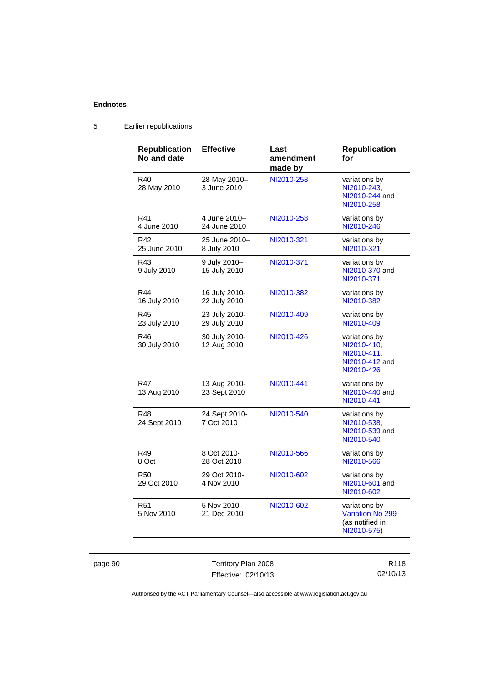| <b>Republication</b><br>No and date | <b>Effective</b>              | Last<br>amendment<br>made by | <b>Republication</b><br>for                                                 |
|-------------------------------------|-------------------------------|------------------------------|-----------------------------------------------------------------------------|
| R40<br>28 May 2010                  | 28 May 2010-<br>3 June 2010   | NI2010-258                   | variations by<br>NI2010-243.<br>NI2010-244 and<br>NI2010-258                |
| R41<br>4 June 2010                  | 4 June 2010–<br>24 June 2010  | NI2010-258                   | variations by<br>NI2010-246                                                 |
| R42<br>25 June 2010                 | 25 June 2010-<br>8 July 2010  | NI2010-321                   | variations by<br>NI2010-321                                                 |
| R43<br>9 July 2010                  | 9 July 2010-<br>15 July 2010  | NI2010-371                   | variations by<br>NI2010-370 and<br>NI2010-371                               |
| R44<br>16 July 2010                 | 16 July 2010-<br>22 July 2010 | NI2010-382                   | variations by<br>NI2010-382                                                 |
| R45<br>23 July 2010                 | 23 July 2010-<br>29 July 2010 | NI2010-409                   | variations by<br>NI2010-409                                                 |
| R46<br>30 July 2010                 | 30 July 2010-<br>12 Aug 2010  | NI2010-426                   | variations by<br>NI2010-410.<br>NI2010-411,<br>NI2010-412 and<br>NI2010-426 |
| R47<br>13 Aug 2010                  | 13 Aug 2010-<br>23 Sept 2010  | NI2010-441                   | variations by<br>NI2010-440 and<br>NI2010-441                               |
| R48<br>24 Sept 2010                 | 24 Sept 2010-<br>7 Oct 2010   | NI2010-540                   | variations by<br>NI2010-538,<br>NI2010-539 and<br>NI2010-540                |
| R49<br>8 Oct                        | 8 Oct 2010-<br>28 Oct 2010    | NI2010-566                   | variations by<br>NI2010-566                                                 |
| R50<br>29 Oct 2010                  | 29 Oct 2010-<br>4 Nov 2010    | NI2010-602                   | variations by<br>NI2010-601 and<br>NI2010-602                               |
| R51<br>5 Nov 2010                   | 5 Nov 2010-<br>21 Dec 2010    | NI2010-602                   | variations by<br><b>Variation No 299</b><br>(as notified in<br>NI2010-575)  |

# 5 Earlier republications

page 90 Territory Plan 2008 Effective: 02/10/13

R118 02/10/13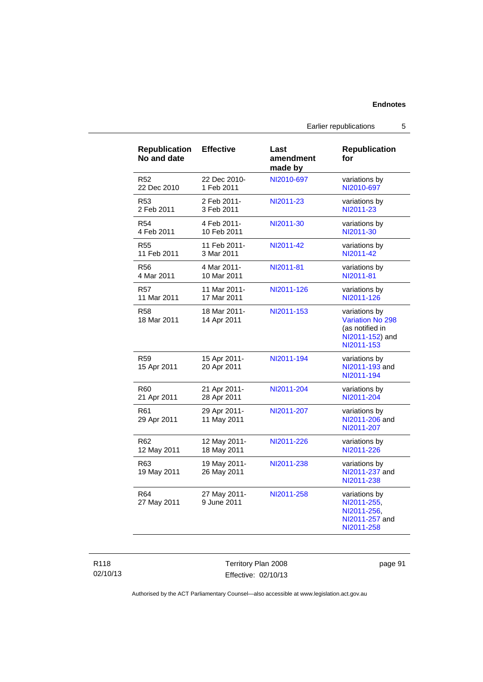Earlier republications 5

| <b>Republication</b><br>No and date | <b>Effective</b>            | Last<br>amendment<br>made by | <b>Republication</b><br>for                                                           |
|-------------------------------------|-----------------------------|------------------------------|---------------------------------------------------------------------------------------|
| R <sub>52</sub>                     | 22 Dec 2010-                | NI2010-697                   | variations by                                                                         |
| 22 Dec 2010                         | 1 Feb 2011                  |                              | NI2010-697                                                                            |
| R53                                 | 2 Feb 2011-                 | NI2011-23                    | variations by                                                                         |
| 2 Feb 2011                          | 3 Feb 2011                  |                              | NI2011-23                                                                             |
| R <sub>54</sub>                     | 4 Feb 2011-                 | NI2011-30                    | variations by                                                                         |
| 4 Feb 2011                          | 10 Feb 2011                 |                              | NI2011-30                                                                             |
| <b>R55</b>                          | 11 Feb 2011-                | NI2011-42                    | variations by                                                                         |
| 11 Feb 2011                         | 3 Mar 2011                  |                              | NI2011-42                                                                             |
| <b>R56</b>                          | 4 Mar 2011-                 | NI2011-81                    | variations by                                                                         |
| 4 Mar 2011                          | 10 Mar 2011                 |                              | NI2011-81                                                                             |
| R57                                 | 11 Mar 2011-                | NI2011-126                   | variations by                                                                         |
| 11 Mar 2011                         | 17 Mar 2011                 |                              | NI2011-126                                                                            |
| <b>R58</b><br>18 Mar 2011           | 18 Mar 2011-<br>14 Apr 2011 | NI2011-153                   | variations by<br>Variation No 298<br>(as notified in<br>NI2011-152) and<br>NI2011-153 |
| R59<br>15 Apr 2011                  | 15 Apr 2011-<br>20 Apr 2011 | NI2011-194                   | variations by<br>NI2011-193 and<br>NI2011-194                                         |
| R60                                 | 21 Apr 2011-                | NI2011-204                   | variations by                                                                         |
| 21 Apr 2011                         | 28 Apr 2011                 |                              | NI2011-204                                                                            |
| R61<br>29 Apr 2011                  | 29 Apr 2011-<br>11 May 2011 | NI2011-207                   | variations by<br>NI2011-206 and<br>NI2011-207                                         |
| R62                                 | 12 May 2011-                | NI2011-226                   | variations by                                                                         |
| 12 May 2011                         | 18 May 2011                 |                              | NI2011-226                                                                            |
| R63<br>19 May 2011                  | 19 May 2011-<br>26 May 2011 | NI2011-238                   | variations by<br>NI2011-237 and<br>NI2011-238                                         |
| R64<br>27 May 2011                  | 27 May 2011-<br>9 June 2011 | NI2011-258                   | variations by<br>NI2011-255,<br>NI2011-256,<br>NI2011-257 and<br>NI2011-258           |

Territory Plan 2008 Effective: 02/10/13 page 91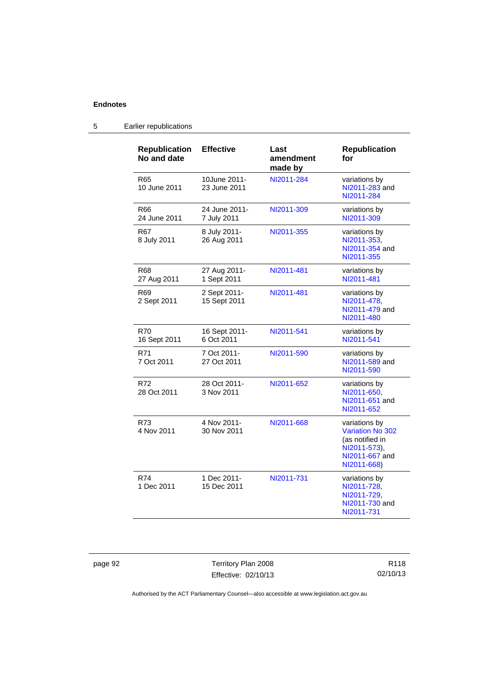| <b>Republication</b><br>No and date | <b>Effective</b>             | Last<br>amendment<br>made by | <b>Republication</b><br>for                                                                                  |
|-------------------------------------|------------------------------|------------------------------|--------------------------------------------------------------------------------------------------------------|
| R65<br>10 June 2011                 | 10June 2011-<br>23 June 2011 | NI2011-284                   | variations by<br>NI2011-283 and<br>NI2011-284                                                                |
| R66<br>24 June 2011                 | 24 June 2011-<br>7 July 2011 | NI2011-309                   | variations by<br>NI2011-309                                                                                  |
| R67<br>8 July 2011                  | 8 July 2011-<br>26 Aug 2011  | NI2011-355                   | variations by<br>NI2011-353,<br>NI2011-354 and<br>NI2011-355                                                 |
| R68<br>27 Aug 2011                  | 27 Aug 2011-<br>1 Sept 2011  | NI2011-481                   | variations by<br>NI2011-481                                                                                  |
| R69<br>2 Sept 2011                  | 2 Sept 2011-<br>15 Sept 2011 | NI2011-481                   | variations by<br>NI2011-478,<br>NI2011-479 and<br>NI2011-480                                                 |
| R70<br>16 Sept 2011                 | 16 Sept 2011-<br>6 Oct 2011  | NI2011-541                   | variations by<br>NI2011-541                                                                                  |
| R71<br>7 Oct 2011                   | 7 Oct 2011-<br>27 Oct 2011   | NI2011-590                   | variations by<br>NI2011-589 and<br>NI2011-590                                                                |
| R72<br>28 Oct 2011                  | 28 Oct 2011-<br>3 Nov 2011   | NI2011-652                   | variations by<br>NI2011-650,<br>NI2011-651 and<br>NI2011-652                                                 |
| R73<br>4 Nov 2011                   | 4 Nov 2011-<br>30 Nov 2011   | NI2011-668                   | variations by<br><b>Variation No 302</b><br>(as notified in<br>NI2011-573),<br>NI2011-667 and<br>NI2011-668) |
| R74<br>1 Dec 2011                   | 1 Dec 2011-<br>15 Dec 2011   | NI2011-731                   | variations by<br>NI2011-728,<br>NI2011-729,<br>NI2011-730 and<br>NI2011-731                                  |

# 5 Earlier republications

page 92 Territory Plan 2008 Effective: 02/10/13

R118 02/10/13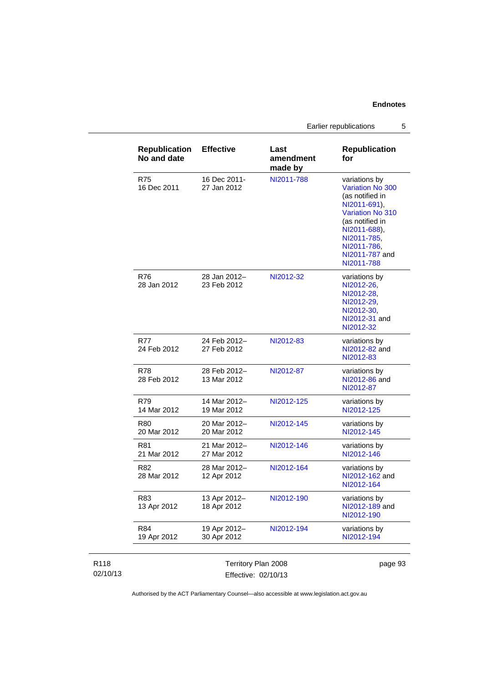Earlier republications 5

| <b>Republication</b><br>No and date | <b>Effective</b>            | Last<br>amendment<br>made by | <b>Republication</b><br>for                                                                                                                                                                             |
|-------------------------------------|-----------------------------|------------------------------|---------------------------------------------------------------------------------------------------------------------------------------------------------------------------------------------------------|
| R75<br>16 Dec 2011                  | 16 Dec 2011-<br>27 Jan 2012 | NI2011-788                   | variations by<br><b>Variation No 300</b><br>(as notified in<br>NI2011-691),<br><b>Variation No 310</b><br>(as notified in<br>NI2011-688),<br>NI2011-785,<br>NI2011-786,<br>NI2011-787 and<br>NI2011-788 |
| R76<br>28 Jan 2012                  | 28 Jan 2012-<br>23 Feb 2012 | NI2012-32                    | variations by<br>NI2012-26,<br>NI2012-28,<br>NI2012-29,<br>NI2012-30,<br>NI2012-31 and<br>NI2012-32                                                                                                     |
| R77<br>24 Feb 2012                  | 24 Feb 2012-<br>27 Feb 2012 | NI2012-83                    | variations by<br>NI2012-82 and<br>NI2012-83                                                                                                                                                             |
| R78<br>28 Feb 2012                  | 28 Feb 2012-<br>13 Mar 2012 | NI2012-87                    | variations by<br>NI2012-86 and<br>NI2012-87                                                                                                                                                             |
| R79<br>14 Mar 2012                  | 14 Mar 2012-<br>19 Mar 2012 | NI2012-125                   | variations by<br>NI2012-125                                                                                                                                                                             |
| R80<br>20 Mar 2012                  | 20 Mar 2012-<br>20 Mar 2012 | NI2012-145                   | variations by<br>NI2012-145                                                                                                                                                                             |
| R81<br>21 Mar 2012                  | 21 Mar 2012-<br>27 Mar 2012 | NI2012-146                   | variations by<br>NI2012-146                                                                                                                                                                             |
| R82<br>28 Mar 2012                  | 28 Mar 2012-<br>12 Apr 2012 | NI2012-164                   | variations by<br>NI2012-162 and<br>NI2012-164                                                                                                                                                           |
| R83<br>13 Apr 2012                  | 13 Apr 2012-<br>18 Apr 2012 | NI2012-190                   | variations by<br>NI2012-189 and<br>NI2012-190                                                                                                                                                           |
| R84<br>19 Apr 2012                  | 19 Apr 2012-<br>30 Apr 2012 | NI2012-194                   | variations by<br>NI2012-194                                                                                                                                                                             |

| R <sub>118</sub> | Territory Plan 2008 | page 93 |
|------------------|---------------------|---------|
| 02/10/13         | Effective: 02/10/13 |         |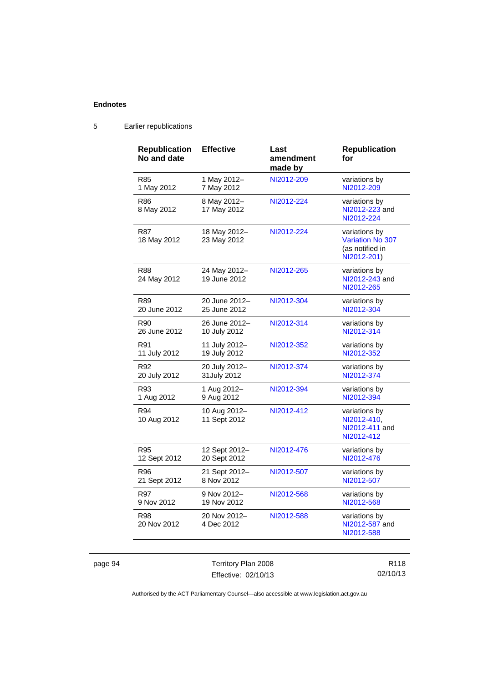| <b>Republication</b><br>No and date | <b>Effective</b>             | Last<br>amendment<br>made by | <b>Republication</b><br>for                                                |
|-------------------------------------|------------------------------|------------------------------|----------------------------------------------------------------------------|
| R85                                 | 1 May 2012-                  | NI2012-209                   | variations by                                                              |
| 1 May 2012                          | 7 May 2012                   |                              | NI2012-209                                                                 |
| R86<br>8 May 2012                   | 8 May 2012-<br>17 May 2012   | NI2012-224                   | variations by<br>NI2012-223 and<br>NI2012-224                              |
| R87<br>18 May 2012                  | 18 May 2012-<br>23 May 2012  | NI2012-224                   | variations by<br><b>Variation No 307</b><br>(as notified in<br>NI2012-201) |
| <b>R88</b><br>24 May 2012           | 24 May 2012-<br>19 June 2012 | NI2012-265                   | variations by<br>NI2012-243 and<br>NI2012-265                              |
| R89                                 | 20 June 2012-                | NI2012-304                   | variations by                                                              |
| 20 June 2012                        | 25 June 2012                 |                              | NI2012-304                                                                 |
| R90                                 | 26 June 2012-                | NI2012-314                   | variations by                                                              |
| 26 June 2012                        | 10 July 2012                 |                              | NI2012-314                                                                 |
| R91                                 | 11 July 2012-                | NI2012-352                   | variations by                                                              |
| 11 July 2012                        | 19 July 2012                 |                              | NI2012-352                                                                 |
| R92                                 | 20 July 2012-                | NI2012-374                   | variations by                                                              |
| 20 July 2012                        | 31 July 2012                 |                              | NI2012-374                                                                 |
| R93                                 | 1 Aug 2012-                  | NI2012-394                   | variations by                                                              |
| 1 Aug 2012                          | 9 Aug 2012                   |                              | NI2012-394                                                                 |
| R94<br>10 Aug 2012                  | 10 Aug 2012-<br>11 Sept 2012 | NI2012-412                   | variations by<br>NI2012-410.<br>NI2012-411 and<br>NI2012-412               |
| R95                                 | 12 Sept 2012-                | NI2012-476                   | variations by                                                              |
| 12 Sept 2012                        | 20 Sept 2012                 |                              | NI2012-476                                                                 |
| R96                                 | 21 Sept 2012-                | NI2012-507                   | variations by                                                              |
| 21 Sept 2012                        | 8 Nov 2012                   |                              | NI2012-507                                                                 |
| R97                                 | 9 Nov 2012-                  | NI2012-568                   | variations by                                                              |
| 9 Nov 2012                          | 19 Nov 2012                  |                              | NI2012-568                                                                 |
| R98<br>20 Nov 2012                  | 20 Nov 2012-<br>4 Dec 2012   | NI2012-588                   | variations by<br>NI2012-587 and<br>NI2012-588                              |

# 5 Earlier republications

page 94 Territory Plan 2008 Effective: 02/10/13

R118 02/10/13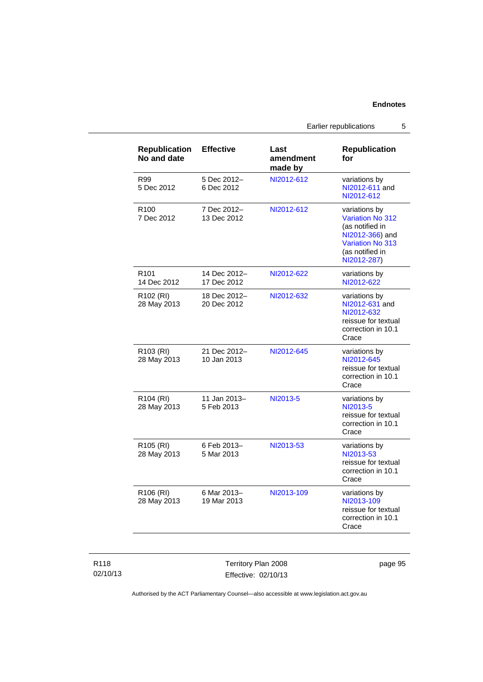Earlier republications 5

| <b>Republication</b><br>No and date  | <b>Effective</b>            | Last<br>amendment<br>made by | <b>Republication</b><br>for                                                                                                                 |
|--------------------------------------|-----------------------------|------------------------------|---------------------------------------------------------------------------------------------------------------------------------------------|
| R99<br>5 Dec 2012                    | 5 Dec 2012-<br>6 Dec 2012   | NI2012-612                   | variations by<br>NI2012-611 and<br>NI2012-612                                                                                               |
| R <sub>100</sub><br>7 Dec 2012       | 7 Dec 2012-<br>13 Dec 2012  | NI2012-612                   | variations by<br><b>Variation No 312</b><br>(as notified in<br>NI2012-366) and<br><b>Variation No 313</b><br>(as notified in<br>NI2012-287) |
| R <sub>101</sub><br>14 Dec 2012      | 14 Dec 2012-<br>17 Dec 2012 | NI2012-622                   | variations by<br>NI2012-622                                                                                                                 |
| R <sub>102</sub> (RI)<br>28 May 2013 | 18 Dec 2012-<br>20 Dec 2012 | NI2012-632                   | variations by<br>NI2012-631 and<br>NI2012-632<br>reissue for textual<br>correction in 10.1<br>Crace                                         |
| R103 (RI)<br>28 May 2013             | 21 Dec 2012-<br>10 Jan 2013 | NI2012-645                   | variations by<br>NI2012-645<br>reissue for textual<br>correction in 10.1<br>Crace                                                           |
| R104 (RI)<br>28 May 2013             | 11 Jan 2013-<br>5 Feb 2013  | NI2013-5                     | variations by<br>NI2013-5<br>reissue for textual<br>correction in 10.1<br>Crace                                                             |
| R105 (RI)<br>28 May 2013             | 6 Feb 2013-<br>5 Mar 2013   | NI2013-53                    | variations by<br>NI2013-53<br>reissue for textual<br>correction in 10.1<br>Crace                                                            |
| R106 (RI)<br>28 May 2013             | 6 Mar 2013-<br>19 Mar 2013  | NI2013-109                   | variations by<br>NI2013-109<br>reissue for textual<br>correction in 10.1<br>Crace                                                           |

| R118     |  |
|----------|--|
| 02/10/13 |  |

Territory Plan 2008 Effective: 02/10/13 page 95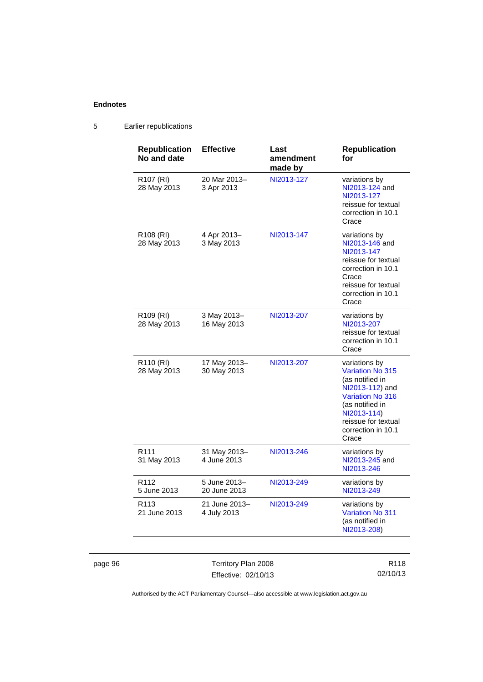| <b>Republication</b><br>No and date  | <b>Effective</b>             | Last<br>amendment<br>made by | <b>Republication</b><br>for                                                                                                                                                                       |
|--------------------------------------|------------------------------|------------------------------|---------------------------------------------------------------------------------------------------------------------------------------------------------------------------------------------------|
| R <sub>107</sub> (RI)<br>28 May 2013 | 20 Mar 2013-<br>3 Apr 2013   | NI2013-127                   | variations by<br>NI2013-124 and<br>NI2013-127<br>reissue for textual<br>correction in 10.1<br>Crace                                                                                               |
| R108 (RI)<br>28 May 2013             | 4 Apr 2013-<br>3 May 2013    | NI2013-147                   | variations by<br>NI2013-146 and<br>NI2013-147<br>reissue for textual<br>correction in 10.1<br>Crace<br>reissue for textual<br>correction in 10.1<br>Crace                                         |
| R109 (RI)<br>28 May 2013             | 3 May 2013-<br>16 May 2013   | NI2013-207                   | variations by<br>NI2013-207<br>reissue for textual<br>correction in 10.1<br>Crace                                                                                                                 |
| R110 (RI)<br>28 May 2013             | 17 May 2013-<br>30 May 2013  | NI2013-207                   | variations by<br><b>Variation No 315</b><br>(as notified in<br>NI2013-112) and<br><b>Variation No 316</b><br>(as notified in<br>NI2013-114)<br>reissue for textual<br>correction in 10.1<br>Crace |
| R <sub>111</sub><br>31 May 2013      | 31 May 2013-<br>4 June 2013  | NI2013-246                   | variations by<br>NI2013-245 and<br>NI2013-246                                                                                                                                                     |
| R <sub>112</sub><br>5 June 2013      | 5 June 2013-<br>20 June 2013 | NI2013-249                   | variations by<br>NI2013-249                                                                                                                                                                       |
| R <sub>113</sub><br>21 June 2013     | 21 June 2013-<br>4 July 2013 | NI2013-249                   | variations by<br><b>Variation No 311</b><br>(as notified in<br>NI2013-208)                                                                                                                        |

# 5 Earlier republications

page 96 Territory Plan 2008 Effective: 02/10/13

R118 02/10/13